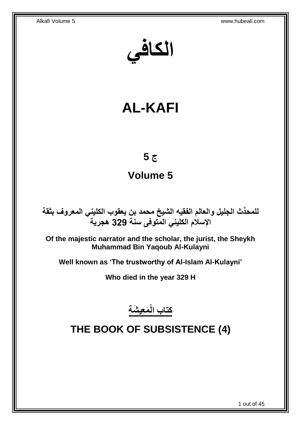**الكافي**

# **AL-KAFI**

## **ج 5**

## **Volume 5**

**دث الجليل والعالم الفقيه الشيخ محمد بن يعقوب الكليني المعروف بثقة للمح ِّ اإلسالم الكليني المتوفى سنة 329 هجرية**

**Of the majestic narrator and the scholar, the jurist, the Sheykh Muhammad Bin Yaqoub Al-Kulayni**

**Well known as 'The trustworthy of Al-Islam Al-Kulayni'**

**Who died in the year 329 H**

**َم ِعي َش ِة كتاب الْ**

# <span id="page-0-0"></span>**THE BOOK OF SUBSISTENCE (4)**

1 out of 45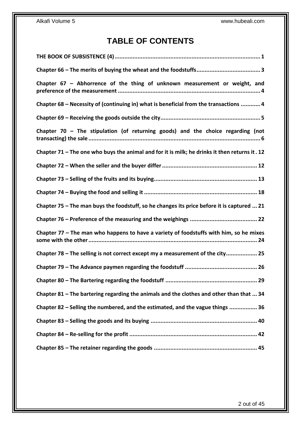## **TABLE OF CONTENTS**

| Chapter $67$ – Abhorrence of the thing of unknown measurement or weight, and                   |
|------------------------------------------------------------------------------------------------|
| Chapter 68 - Necessity of (continuing in) what is beneficial from the transactions  4          |
|                                                                                                |
| Chapter 70 - The stipulation (of returning goods) and the choice regarding (not                |
| Chapter 71 – The one who buys the animal and for it is milk; he drinks it then returns it . 12 |
|                                                                                                |
|                                                                                                |
|                                                                                                |
| Chapter 75 – The man buys the foodstuff, so he changes its price before it is captured  21     |
|                                                                                                |
| Chapter 77 - The man who happens to have a variety of foodstuffs with him, so he mixes         |
| Chapter 78 - The selling is not correct except my a measurement of the city 25                 |
|                                                                                                |
|                                                                                                |
| Chapter 81 - The bartering regarding the animals and the clothes and other than that  34       |
| Chapter 82 – Selling the numbered, and the estimated, and the vague things  36                 |
|                                                                                                |
|                                                                                                |
|                                                                                                |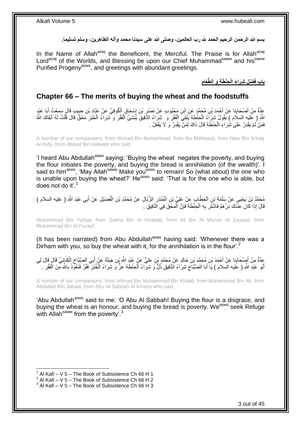بسم الله الرحمن الرحيم الحمد لله رب العالمين، وصلى الله على سيدنا محمد وآله الطاهرين، وسلم تسليما.

In the Name of Allah<sup>azwj</sup> the Beneficent, the Merciful. The Praise is for Allah<sup>azwj</sup> Lord<sup>azwj</sup> of the Worlds, and Blessing be upon our Chief Muhammad<sup>saww</sup> and his<sup>saww</sup> Purified Progeny<sup>asws</sup>, and greetings with abundant greetings.

> **ِ** باب فَضْلِ شِرَاءِ الْحِنْطَةِ وَ الطَّعَامِ

### <span id="page-2-0"></span>**Chapter 66 – The merits of buying the wheat and the foodstuffs**

عِدَّةٌ مِنْ أَصْحَابِنَا عَنْ أَحْمَدَ بْنِ مُحَمَّدٍ عَنِ ابْنِ مَحْبُوبٍ عَنْ نَصْرٍ بْنِ إِسْحَاقَ الْكُوفِيِّ عَنْ عَبَّادِ بْنِ حَبِيبٍ قَالَ سَمِعْتُ أَبَا عَيْدٍ ∣∣<br>⊱ ِ **∣** َ َ ِ اللَّهِ ( عليه السلَام ) يَقُولُ شِرَاءُ الْحِنْطَةِ يَنْفِيَ الْفَقْرَ وَ شِرَاءُ الدَّقِيقِ يُنْشِئُ الْفَقْرَ وَ شِرَاءُ الْخُبْزِ مَحْقٌ قَالَ قُلْتُ لَهُ أَبْقَاكَ اللَّهُ ْ َ ْ ِ ْ ْ فَمَنْ لَمْ يَقْدِرْ عَلَىٰ شِٰرَاءِ الْحِنْطَةِ قَالَ ذَاكَ لِمَنْ يَقْدِرُ وَ لَا يَفْعَلُ . ْ

A number of our companions, from Ahmad Bin Muhammad, from Ibn Mahboub, from Nasr Bin Is'haq Al Kufy, from Abbad Bin Habeeb who said,

'I heard Abu Abdullah<sup>asws</sup> saying: 'Buying the wheat negates the poverty, and buying the flour initiates the poverty, and buying the bread is annihilation (of the wealth)'. I said to him<sup>asws</sup>, 'May Allah<sup>saww</sup> Make you<sup>asws</sup> to remain! So (what about) the one who is unable upon buying the wheat?' He<sup>asws</sup> said: 'That is for the one who is able, but does not do it'.<sup>1</sup>

مُحَمَّدُ بْنُ يَحْيَي عَنْ سَلَمَةَ بْنِ الْخَطَّابِ عَنْ عَلِيِّ بْنِ الْمُنْذِرِ الزَّبَّالِ عَنْ مُحَمَّدِ بْنِ الْفُضَيْلِ عَنْ أَبِي عَبْدِ اللَّهِ ( عليه السلام ) ْ ِ ْ ْ َ قَالَ إِذَا كَانَ عِنْدَكَ دِرْهَمٌ فَاشْتََرِ بِهِ الْحِنْطَةَ فَإِنَّ الْمَحْقَ فِي اَلدَّقِيقِ . ْ ِ ْ ِ **∶** 

Muhammad Bin Yahya, from Salma Bin Al Khattab, from Ali Bin Al Munzir Al Zayyad, from Muhammad Bin Al Fuzayl,

(It has been narrated) from Abu Abdullah<sup>asws</sup> having said: 'Whenever there was a Dirham with you, so buy the wheat with it, for the annihilation is in the flour'.<sup>2</sup>

عِدَّةٌ مِنْ أَصْحَابِنَا عَنْ أَحْمَدَ بْنِ مُحَمَّدٍ بْنِ خَالِدٍ عَنْ مُحَمَّدٍ بْنِ عَلِيٍّ عَنْ عَبْدِ اللَّهِ بْنِ جَبَلَةَ عَنْ أَبِي الصَّبَّاحِ الْكِنَانِيِّ قَالَ فِي الصَّدَّانِ فَالَ لِي َ ِ ْ  $\zeta$ َ َ أَبُو عَلْدِ اللَّهِ ( عَليه السلام ) يَا أَبَا الصَّبَّاَحِ شِرَاءُ الْذَقِيقِ ذُلٌّ وَ شِرَّاءُ الْحِنْطَةِ عِزٌّ وَ شِرَاءُ الْخُبْزِ ۖ فَقُرٌ فَنَعُوَّذُ بِاللَّهِ مِّنَ الْفَقْرِ . َ ْ ِ ِ ْ ِ ِ

A number of our companions, from Ahmad Bin Muhammad Bin Khalid, from Muhammad Bin Ali, from Abdullah Bin Jabala, from Abu Al Sabbah Al Kinany who said,

'Abu Abdullah<sup>asws</sup> said to me: 'O Abu Al Sabbah! Buying the flour is a disgrace, and buying the wheat is an honour, and buying the bread is poverty. We<sup>asws</sup> seek Refuge with Allah<sup>saww</sup> from the poverty'.<sup>3</sup>

 $1$  Al Kafi – V 5 – The Book of Subsistence Ch 66 H 1

 $2$  Al Kafi – V 5 – The Book of Subsistence Ch 66 H 2

 $3$  Al Kafi – V 5 – The Book of Subsistence Ch 66 H 3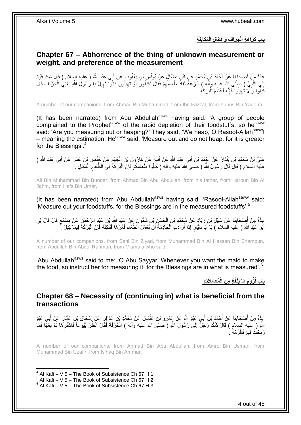**ِج باب َك ِة َرا َه ِة الْ ُم َكاَيلَ ْض ِل الْ َزا ِف َو فَ**

### <span id="page-3-0"></span>**Chapter 67 – Abhorrence of the thing of unknown measurement or weight, and preference of the measurement**

عِدَّةٌ مِنْ أَصْحَابِنَا عَنْ أَحْمَدَ بْنِ مُحَمَّدٍ عَنِ ابْنِ فَضِّالٍ عَنْ يُونُسَ بْنِ يَعْقُوبَ عَنْ أَبِي عَبْدِ اللَّهِ ( عليه السلام ) قَالَ شَكَا قَوْمٌ َ **∣** َ إِلَى النَّبِيِّ ( صلَى الله عليه وآله ) سُرْعَةً نَفَادِ طَعَامِهِمْ فَقَالَ تَكِيلُونَ أَوْ تَهِيلُونَ قَالُوا نَهِيلُ يَا رُسُولَ اللَّهِ يَعْنِي الْجِزَافَ قَالَ ِ ِ َ ِ **∶** ْ كِيلُوا وَ َ لَا تُـهِيلُوا فَإِنَّهُ أَعْظَمُ لِلْبَرَكَٰةِ . َ ِ ِ ْ

A number of our companions, from Ahmad Bin Muhammad, from Ibn Fazzal, from Yunus Bin Yaqoub,

(It has been narrated) from Abu Abdullah $a<sup>asws</sup>$  having said: 'A group of people complained to the Prophet<sup>saww</sup> of the rapid depletion of their foodstuffs, so he<sup>saww</sup> said: 'Are you measuring out or heaping?' They said, 'We heap, O Rasool-Allah<sup>saww</sup>! – meaning the estimation. He<sup>saww</sup> said: 'Measure out and do not heap, for it is greater for the Blessings'.<sup>4</sup>

عَلِيُّ بْنُ مُحَمَّدِ بْنِ بُنْدَارَ عَنْ أَجْمَدَ بْنِ أَبِي عَبْدِ اللَّهِ عَنْ أَبِيهِم عَنْ فِيهِم عَنْ جَفْصِ بْنِ عُمَرَ عَنْ أَبِي عَبْدِ اللَّهِ ( َ َ ِ ْ **!** َ َ عليه السلام ) قَالَ قَالَ رَسُولُ اللَّهِ ( صَلَمَى الله عليه وأله )كِيلُوا طَعَامَكُمْ فَإِنَّ الْبَرَكَةُ فِي الطَّعَامِ الْمَكِيلِ . ْ ِ ْ ِ

Ali Bin Muhammad Bin Bundar, from Ahmad Bin Abu Abdullah, from his father, from Haroun Bin Al Jahm, from Hafs Bin Umar,

(It has been narrated) from Abu Abdullah $^{asws}$  having said: 'Rasool-Allah $^{saww}$  said: 'Measure out your foodstuffs, for the Blessings are in the measured foodstuffs'.<sup>5</sup>

عِدَّةٌ مِنْ أَصِدْحَابِنَا عَنْ سَهْلِ بْنِ زِيَادٍ عَنْ مُجَمَّدِ بْنِ الْحَسَنِ بْنِ شَمُّونٍ عَنْ عَبْدِ اللَّهِ بْنِ عَبْدِ الزَّحْمَنِ عَنْ مِسْمَعٍ قَالَ قَالَ لِي<br>يَنْ ْ ِ **∣** َ ٍ َ أَبُو عَبْدِ اللَّهِ ( عَليه السلام ) يَا أَبَاَ سَيَّارٍ إِذَا أَرَادَتِ اَلْخَادِمَةُ أَنْ تَعْمَلَ الْطَّعَامَ فَمُرْهَا فَلْتَكِلْهُ فَإِنَّ الْبَرَكَةَ فِيمَا كِيلَ جَنَّ ْ َ َ ْ ِ ْ ْ

A number of our companions, from Sahl Bin Ziyad, from Muhammad Bin Al Hassan Bin Shamoun, from Abdullah Bin Abdul Rahman, from Misma'a who said,

'Abu Abdullah<sup>asws</sup> said to me: 'O Abu Sayyar! Whenever you want the maid to make the food, so instruct her for measuring it, for the Blessings are in what is measured'.<sup>6</sup>

> **ُمَعا َمَال ِت ُع ِم َن الْ َما َيْنفَ باب لُ ُزوم ِ**

<span id="page-3-1"></span>**Chapter 68 – Necessity of (continuing in) what is beneficial from the transactions**

عِدَّةٌ مِنْ أَصْحَابِنَا عَنْ أَحْمَدَ بْنِ أَبِي عَبْدِ اللَّهِ عَنْ عَمْرِو بْنِ عُثْمَانَ عَنْ مُحَمَّدِ بْنِ عُذَافِرِ عَنْ إِسْحَاقَ بْنِ عَمَّارِ عَنْ أَبِي عَبْدِ ْ َ َ **∣** َ **∶** َ ِ اللَّهِ ( عَليه السِلَام ) قَالَ شَكَا رَجُلٌّ إِلَى رَسُولِ اللَّهِ (َ صلى الله عليه وآله ) الْحُرْفَةَ فَقَالَ انْظُرْ بُيُوعاً فَاشْتَرِهَما ثُمَّ بِغُهَّا فَمَا  $\frac{1}{2}$ ِ ا<br>المقام **∶** ْ رَبِحْتَ فِيهِ فَالْزَمْهُ . ْ ِ

A number of our companions, from Ahmad Bin Abu Abdullah, from Amro Bin Usman, from Muhammad Bin Uzafir, from Is'haq Bin Ammar,

 $4$  Al Kafi – V 5 – The Book of Subsistence Ch 67 H 1

1

 $5$  Al Kafi – V 5 – The Book of Subsistence Ch 67 H 2

 $6$  Al Kafi – V 5 – The Book of Subsistence Ch 67 H 3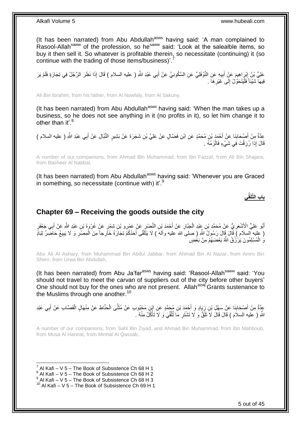(It has been narrated) from Abu Abdullah<sup>asws</sup> having said: 'A man complained to Rasool-Allah<sup>saww</sup> of the profession, so he<sup>saww</sup> said: 'Look at the salealble items, so buy it then sell it. So whatever is profitable therein, so necessitate (continuing) it (so continue with the trading of those items/business)'.

عَلِيُّ بِنُ إِبْرَاهِيمَ عَنِْ أَبِيهِ عَنِ النَّوْفَلِيِّ عَنِ السَّكُونِيِّ عَنْ أَبِي عَبْدِ اللَّهِ ( عليه السلام ) قَالَ إِذَا نَظَرَ الرَّجُلُ فِي تِجَارَةٍ فَلَمْ يَرَ َ **!** َ فِيهَا شَيْئاً فَلْيَتَحَوَّلْ إِلَى غَيْرِ هَا ِ ِ  $\frac{1}{2}$ :<br>ا

Ali Bin Ibrahim, from his father, from Al Nowfaly, from Al Sakuny,

(It has been narrated) from Abu Abdullah<sup>asws</sup> having said: 'When the man takes up a business, so he does not see anything in it (no profits in it), so let him change it to other than it' <sup>8</sup>

عِدَّةٌ مِنْ أَصْحَابِنَا عَنْ أَحْمَدَ بْنِ مُحَمَّدٍ عَنِ ابْنِ فَضَّالٍ عَنْ عَلِيٍّ بْنِ شَجَرَةَ عَنْ بَشِيرٍ النَّبَّالِ عَنْ أَبِي عَبْدِ الثَّهِ ( عليه السلام ) **∣** َ َ قَالَ إِذَا رُزِقْتَ فِي شَيْءٍ فَالْزَمْهُ . ِ ْ

A number of our companions, from Ahmad Bin Muhammad, from Ibn Fazzal, from Ali Bin Shajara, from Basheer Al Nabbal,

(It has been narrated) from Abu Abdullah<sup>asws</sup> having said: 'Whenever you are Graced in something, so necessitate (continue with) it'.<sup>9</sup>

**باب الَّتلَقِّي**

## <span id="page-4-0"></span>**Chapter 69 – Receiving the goods outside the city**

أَبُو عَلِيٍّ الْأَشْعَرِيُّ عَنْ مُحَمَّدِ بْنِ عَبْدِ الْجَبَّارِ عَنْ أَحْمَدَ بْنِ النَّضْرِ عَنْ عَمْرِو بْنِ شِمْرٍ عَنْ عُرْوَةَ بْنِ عَبْدِ اللَّهِ عَنْ أَبِي جَعْفَرٍ َ ِ َ ِ ْ **∶** َ ( عليه السلام ) قَالَ قَالَ رَسُولُ اللَّهِ ( صلى الله عليه وأله ) لَا يَتَلَقَّى أَحَدُكُمُ نِجَارَةً خَارِجاً مِنَ الْمِصْرِ وَ لَا يَبِيعُ حَاضِّرٌ لِبَادٍ َ ِ ْ َوُ الْمُسْلِمُونَ يَرْزُقُ اللَّهُ بَعْضَـهُمْ مِنْ بَعْْضٍ ْ

Abu Ali Al Ashary, from Muhammad Bin Abdul Jabbar, from Ahmad Bin Al Nazar, from Amro Bin Shimr, from Urwa Bin Abdullah,

(It has been narrated) from Abu Ja'far<sup>asws</sup> having said: 'Rasool-Allah<sup>saww</sup> said: 'You should not travel to meet the carvan of suppliers out of the city before other buyers' One should not buy for the ones who are not present. Allah<sup>azwj</sup> Grants sustenance to the Muslims through one another.<sup>10</sup>

عِدَّةٌ مِنْ أَصْحَابِنَا عَنْ سَهْلِ بْنِ زِيَادٍ وَ أَحْمَدَ بْنِ مُحَمَّدٍ عَنِ إِنْنِ مَحْبُوبٍ عَنْ مُثَنَّى الْحَنَّاطِ عَنْ مِنْهَالٍ الْقَصَّابِ عَنْ أَبِي عَبْدِ ْ **1** َ َ **∶ ∣** َ ِ َ ْ اللَّهِ ( عليه السلاَم ) قَالَ قَالَ لَا َتَلَقَّ وَ لَا تَشْتَرِ مَا تُلُقِّيَ وَ لَا َتَأْكُلْ مِنْهُ . ا<br>ا ِ :<br>أ

A number of our companions, from Sahl Bin Ziyad, and Ahmad Bin Muhammad, from Ibn Mahboub, from Musa Al Hannat, from Minhal Al Qassab,

<sup>1</sup> 7 Al Kafi – V 5 – The Book of Subsistence Ch 68 H 1

 $^8$  Al Kafi – V 5 – The Book of Subsistence Ch 68 H 2

 $^9$  Al Kafi – V 5 – The Book of Subsistence Ch 68 H 3

 $10$  Al Kafi – V 5 – The Book of Subsistence Ch 69 H 1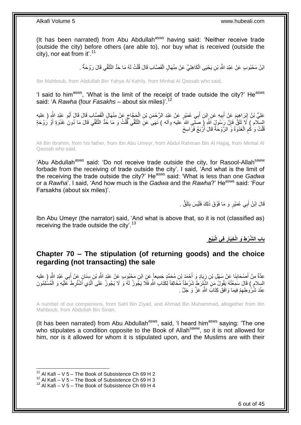(It has been narrated) from Abu Abdullah<sup>asws</sup> having said: 'Neither receive trade (outside the city) before others (are able to), nor buy what is received (outside the city), nor eat from it'.<sup>11</sup>

> لَ ابْنُ مَحْبُوبٍ عَنْ عَبْدِ اللَّهِ بْنِ يَحْيَى الْكَاهِلِيِّ عَنْ مِنْهَالٍ الْقَصَّابِ قَالَ قُلْتُ لَهُ مَا حَدُّ الثَّلَقِّي قَالَ رَوْحَةٌ . ْ ْ ْ

Ibn Mahboub, from Abdullah Bin Yahya Al Kahily, from Minhal Al Qassab who said,

'I said to him<sup>asws</sup>, 'What is the limit of the receipt of trade outside the city?' He<sup>asws</sup> said: 'A *Rawha* (four *Fasakhs* – about six miles)'.<sup>12</sup>

**∶** عَلِيُّ بْنُ إِبْرَاهِيمَ عَنْ أَبِيهِ عَنِ إِبْنِ أَبِي عُمَيْرٍ عَنْ عَبْدِ الرَّحْمَنِ بْنِ الْحَجَّاجِ عَنْ مِنْهَالٍ الْقَصَّابِ قَالَ قَالَ أَبُو عَبْدِ الثَّهِ ( عليه َ **!** َ ِ َ ْ ِ ْ السِّلَام ) لَا تَلَقَّ فَإِنَّ رَسُولَ اَللَّهِ (َ صَلْبِى اللهِ ًعليه وأله ) نَهَى َعَنِ الثَّلَقِّي ۖ قُلْتُ وَ مَا حُدُّ الثَّلَقِّي قَالَ مَا دُونَ غَدْوَةٍ أَوْ رَوْحَةٍ لَ ْ لَ ِ َ قُلْتُ وَ كُم الْغَدْوَةُ وَ الرَّوْحَةُ قَالَ أَرْبَعُ فَرَاسِخَ َ ْ ِ ْ

Ali Bin Ibrahim, from his father, from Ibn Abu Umeyr, from Abdul Rahman Bin Al Hajjaj, from Minhal Al Qassab who said,

'Abu Abdullah<sup>asws</sup> said: 'Do not receive trade outside the city, for Rasool-Allah<sup>saww</sup> forbade from the receiving of trade outside the city'. I said, 'And what is the limit of the receiving the trade outside the city?' He<sup>asws</sup> said: 'What is less than one *Gadwa* or a *Rawha*'. I said, 'And how much is the *Gadwa* and the *Rawha*?' He<sup>asws</sup> said: 'Four Farsakhs (about six miles)'.

> قَالَ ابْنُ أَبِي عُمَيْرٍ وَ مَا فَوْقَ ذَلِكَ فَلَيْسَ بِثَلَقٍّ . **∣** َ

Ibn Abu Umeyr (the narrator) said, 'And what is above that, so it is not (classified as) receiving the trade outside the city'.<sup>13</sup>

> **ِ َبْيع فِي الْ ِخَيار باب ال َّش ْر ِط َو الْ ِ**

### <span id="page-5-0"></span>**Chapter 70 – The stipulation (of returning goods) and the choice regarding (not transacting) the sale**

عِدَّةٌ مِنْ أَصْحَابِنَا عَنْ سَهْلِ بْنِ زِيَادٍ وَ أَحْمَدَ بْنِ مُحَمَّدٍ جَمِيعاً عَنِ ابْنِ مَحْبُوبٍ عَنْ عَبْدٍ اللَّهِ بْنِ سِنَانٍ عَنْ أَبِي عَبْدِ اللَّهِ ( عليه<br>. َ ្ធ **∣** َ َ السِلامِ ) قَالَ سَمِعْتُهُ يَقُولُ مَنِ اشْتَتِرَطَ شَرْطاً مُخَالِفاً لِكِتَابِ اللَّهِ فَلَا يَجُوزُ لَهُ وَ لَا يَجُوزُ عَلَى اَلَّذِي أَشْتُرِطَ عَلَيْهِ وَ الْمُسْلِمُونَ ْ ِ َّ عِنْدَ شُرُوطِهِمْ فِيمَا وَافَقَ كِتَابَ اللَّهِ عَزَّ وَ جَلَّ . ِ

A number of our companions, from Sahl Bin Ziyad, and Ahmad Bin Muhammad, altogether from Ibn Mahboub, from Abdullah Bin Sinan,

(It has been narrated) from Abu Abdullah $a<sup>asws</sup>$ , said, 'I heard him $a<sup>asws</sup>$  saying: 'The one who stipulates a condition opposite to the Book of Allah<sup>saww</sup>, so it is not allowed for him, nor is it allowed for whom it is stipulated upon, and the Muslims are with their

<sup>&</sup>lt;sup>11</sup> Al Kafi – V 5 – The Book of Subsistence Ch 69 H 2

 $^{12}$  Al Kafi – V 5 – The Book of Subsistence Ch 69 H 3

 $13$  Al Kafi – V 5 – The Book of Subsistence Ch 69 H 4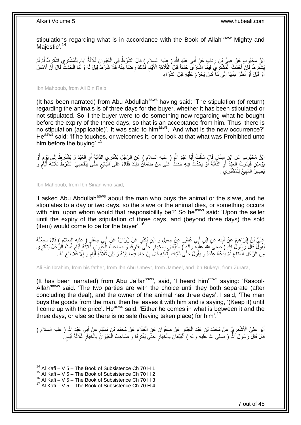stipulations regarding what is in accordance with the Book of Allah<sup>saww</sup> Mighty and Majestic'.<sup>14</sup>

َائِنُ مَجْبُوبِ عَنْ عَلِيٍّ بِْنِ رِئَابٍ عَنْ أَبِي عَبْدِ اللَّهِ ( عليه السلام ) قَالَ الشَّرْطُ فِي الْحَيَوَانِ ثَلاَثَةُ أَيَّامٍ لِلْمُشْتَرِي اشْتَرَطَ أَمْ لَمْ<br>ابْنُ مَجْبُوبِ عَنْ عَلَيَّ أَيْنَ رَبَّاسٍ مِنْ َ ْ َ ِ َ ْ ֧֖֚֚֓֝֬֝ َ َبَشْتَرِ لَهُ فَإِنْ أَحْدَثَ الْمُشْتَرِّيِّ فِيمَا اشْتَرَى ۖ حَدَثاً قَبْلَ الثَّلَاثَةِ الْأَيَّامِ فَذَلِكَ رِضَا مِنْهُ فَّلَا شَرْطَ قِيلَ لَهُ وَ مَا الْحَدَثُ قَالَ أَنْ لَامَس<br>نَسْتَقِيدَ نَبِي نَبِي الْمُسْتَر َ َّ ْ َ ِ ِ َ ْ ِ ِ أَوْ قَبَّلَ أَوْ نَظَرَ مِنْهَا إِلَى مَا كَانَ يَحْرُمُ عَلَيْهِ قَبْلَ الشِّرَاءِ ِ َ َ

Ibn Mahboub, from Ali Bin Raib,

(It has been narrated) from Abu Abdullah<sup>asws</sup> having said: 'The stipulation (of return) regarding the animals is of three days for the buyer, whether it has been stipulated or not stipulated. So if the buyer were to do something new regarding what he bought before the expiry of the three days, so that is an acceptance from him. Thus, there is no stipulation (applicable)'. It was said to him<sup>asws</sup>, 'And what is the new occurrence?' He<sup>asws</sup> said: 'If he touches, or welcomes it, or to look at that what was Prohibited unto him before the buying'.<sup>15</sup>

أ اَئِنُ مَحْبُوبٍ عَنِ ابْنِ سِنَانٍ قَالَ سَأَلْتُ أَبَا عَبْدِ اللَّهِ ( عليه السلام ) عَنِ الرَّجُلِ يَشْتَرِي الذَّابَّةَ أَوِ الْعَبْدَ وَ يَشْتَرِطُ إِلَي يَوْمٍ أَوْ<br>وَيَدَ حَسَنَ مُسَوِّرَةً مَنْ السَّنَّةَ فَقَالَ َ ْ َ َ **ื** ِ ِ ْ ِ يَوْمَيْنِ فَيَمُونُ الْعَبْدُ أَوِ الدَّابَةُ أَوْ يَحْدُثُ فِيهِ حَدَثٌ عَلَى مَنْ ضَمَاٰنُ ذَلِكَ فَقَالَ عَلَى الْنُبَائِعِ حَتَّى يَنْقَضِيَ الشَّرْطُ ثَلَاثَةَ أَيَّامٍ وَ ِ َ ْ **ื** َ ِ ْ يَصِيرَ الْمَبِيعُ لِلْمُشْتَرِيَ . ْ **!** ْ

Ibn Mahboub, from Ibn Sinan who said,

'I asked Abu Abdullah<sup>asws</sup> about the man who buys the animal or the slave, and he stipulates to a day or two days, so the slave or the animal dies, or something occurs with him, upon whom would that responsibility be?' So he<sup>asws</sup> said: 'Upon the seller until the expiry of the stipulation of three days, and (beyond three days) the sold (item) would come to be for the buyer'.<sup>16</sup>

َلْيُّ بْنُ إِبْرَاهِيمَ عَنْ أَبِيهِ عَنِ ابْنِ أَبِي عُمَيْرٍ عَنْ جَمِيلٍ وَ ابْنِ نُكَذِرٍ عَنْ زُرَارَةَ عَنْ أَبِي جَعْفَرٍ ( عِليه السلام ) قَالَ سَمِعْتُهُ َ **!** َ ِ بَقُولٌ قَالَ رَسُولُ اللَّهِ ( َصلى الله عليه وآله ) الْمَيْعَانِ بِالْخِيَارِ حَتَّى يَفْتَرِقَا وَ صَاحِبُ الْحَيِّوَانِ ثَلَاثَةَ أَيَّامٍ قُلْتُ الرُّجُلُ يَشْتَرِي ِ ْ ِ ْ ِ ْ ֧֩֘׆֧ َ ْ **ٍ** مِنَ الرَّجُلِ الْمَتَاعَ ثُمَّ يَدَٰعُهُ عِنْدَهُ وَ يَقُولُ حَتَّىٰ نَأْتِيَكَ بِثَمَنِهِ قَالَ إِنْ جَاءَ فِيمَا بَيْنَهُ وَ بَيْنَ ثَلاَثَةِ أَيَّامٍ وَ إِلَّا فَلَّا بَيْعَ لَهُ . ِ َ **!** ْ .<br>• • • • • ْ ا<br>ا م َ َ

Ali Bin Ibrahim, from his father, from Ibn Abu Umeyr, from Jameel, and Ibn Bukeyr, from Zurara,

(It has been narrated) from Abu Ja'far $a_{\text{sws}}$ , said, 'I heard him $a_{\text{sws}}$  saying: 'Rasool-Allah<sup>saww</sup> said: 'The two parties are with the choice until they both separate (after concluding the deal), and the owner of the animal has three days'. I said, 'The man buys the goods from the man, then he leaves it with him and is saying, '(Keep it) until I come up with the price'. He<sup>asws</sup> said: 'Either he comes in what is between it and the three days, or else so there is no sale (having taken place) for him'.<sup>17</sup>

أَبُو عَلِيٍّ الْأَشْعَرِيُّ عَنْ مُحَمَّدِ بْنِ عَبْدِ الْجَبَّارِ عَنْ صَفْوَانَ عَنٍ الْعَلَاءِ عَنْ مُحَمَّدٍ بْنٍ مُسْلِمٍ عَنْ أَبِي عَبْدِ اللَّهِ ( عليه السلام ) ْ ₹ ْ ِ َ َ ֧֖֖֚֚֚֓֝֬֝ قَالَ قَالَ رَسُولُ اللَّهِ ( صلى الله عَليه وآله ) الْمَيِّعَانِ بِالْخِيَارِ حَتَّى يَفْتَرِقَا وَ صَاحِبُ الْحَيَوَانِّ بِالْخِيَارِ ۖ ثَلَاثَةَ أَيَّامٍ ُ **ٍ** ْ ِ :<br>ا ֧֖֧֦֧֦֧֦֧֦֚֝֝֝֝֝ َ ِ ْ **∶** ْ **∶** 

 $14$  Al Kafi – V 5 – The Book of Subsistence Ch 70 H 1

 $15$  Al Kafi – V 5 – The Book of Subsistence Ch 70 H 2

 $16$  Al Kafi – V  $5$  – The Book of Subsistence Ch 70 H 3

 $17$  Al Kafi – V 5 – The Book of Subsistence Ch 70 H 4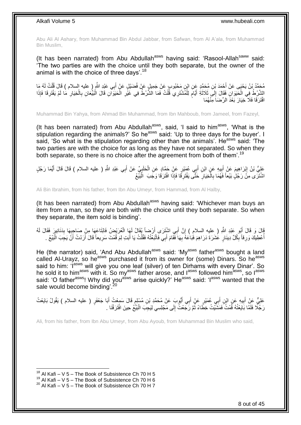Abu Ali Al Ashary, from Muhammad Bin Abdul Jabbar, from Safwan, from Al A'ala, from Muhammad Bin Muslim,

(It has been narrated) from Abu Abdullah<sup>asws</sup> having said: 'Rasool-Allah<sup>saww</sup> said: 'The two parties are with the choice until they both separate, but the owner of the animal is with the choice of three days'.<sup>18</sup>

مُحَمَّدُ بْنُ يَحْيَى عَنْ أَحْمَدَ بْنِ مُحَمَّدٍ عَنِ بِمَحْبُوبٍ عَنْ جَمِيلٍ عَنْ فُضَيْلٍ عَنْ أَبِي عَبْدِ اللَّهِ ( عليه السلام ) قَالَ قُلْتُ لَهُ مَا<br>محَّدَ بُنُ يَحْيَى عَنْ أَحْمَدَ بْنِ مُحَمَّدٍ عَنِ ابْنِ مَ َ ْ الشَّرْطُ فِي الْحَيَوَانِ فَقَالَ إِلَى ثَلَاثَةِ أَيَّامَ لِلْمُشْتَرِي قُلْتُ فَمَا الشَّرْطُ فِي غَيْرِ الْحَيَوَانِ قَالَ الْبَيِّعَانِ بِالْخِيَارِ مَا لَمْ يَفْتَرِقَا فَإِذَا ْ **∶** ْ ْ ٍ َ َ ِ ْ ِ ِ ْ **∶** ْ افْتَرَقَا فَلَا خِيَارَ بَعْدَ الرِّضَاَ مِنْهُمَا

Muhammad Bin Yahya, from Ahmad Bin Muhammad, from Ibn Mahboub, from Jameel, from Fazeyl,

(It has been narrated) from Abu Abdullah $a$ sws, said, 'I said to him $a$ sws, 'What is the stipulation regarding the animals?' So he<sup>asws</sup> said: 'Up to three days for the buyer'. I said, 'So what is the stipulation regarding other than the animals'. He<sup>asws</sup> said: 'The two parties are with the choice for as long as they have not separated. So when they both separate, so there is no choice after the agreement from both of them'.<sup>19</sup>

عَلِيُّ بْنُ إِبْرَاهِيمَ عَنْ أَبِيهِ عَنٍ أَبِي عُمَيْرٍ عَنِْ حَمَّادٍ عَنِ الْحَلَبِيِّ عَنْ أَبِي عَبْدِ اللَّهِ ( عليه السلام ) قَالَ قَالَ أَيُّمَا رَجُلٍ َ ِ<br>پہ ْ َ **!** َ َ اشْتَرَى مِنً رَجُلٍ بَيْعاً فَهُمَا بِالْخِيَارِ حَثَّى يَفْتَرِقَا فَإِذَا افْتَرَقَا وَجَبَ ۖ الْبَيْعُ ِ ِ ا<br>ا ِ ْ

Ali Bin Ibrahim, from his father, from Ibn Abu Umeyr, from Hammad, from Al Halby,

(It has been narrated) from Abu Abdullah<sup>asws</sup> having said: 'Whichever man buys an item from a man, so they are both with the choice until they both separate. So when they separate, the item sold is binding'.

قَالَ أَبُو عَبْدِ اللَّهِ ( عليه السلامِ ) إِنَّ أَبِيِ اشْتَزَى أَرْضاً يُقَالُ لَهَا الْعُرَيْضُ فَابْتَاعَهَا مِنْ صَاحِبِهَا بِدَنَانِيرَ فَقَالَ لَهُ<br>وَيَسَامَعُ اللَّهُ الْمَسْتَدَمَّةِ اللَّهِ ( عليه السلامِ ) إِن ْ َ ֧<u>׀</u> َ ِ **∶** أُعْطِيلَّهَ وَرِقاً بِّكُلِّ دِينَارٍ ۚ عُشَرَةَ دَرَاهِمَ فَبَاعَهُ بِّهَا فَّقَامَ أَبِيّ فَاتَّبَعْتُهُ فَقُلْتُ يَا أَبَتِ لِمَ قُمْتَ سَرِيعاً قَالَ أَرَدْتُ أَنَّ يَجِبَ الْبَيْعُ ِ ِ َ َ **∶** َ ْ َ **∶** ْ

He (the narrator) said, 'And Abu Abdullah<sup>asws</sup> said: 'My<sup>asws</sup> father<sup>asws</sup> bought a land called Al-Urayz, so he<sup>asws</sup> purchased it from its owner for (some) Dinars. So he<sup>asws</sup> said to him: 'I<sup>asws</sup> will give you one leaf (silver) of ten Dirhams with every Dinar'. So he sold it to him<sup>asws</sup> with it. So my<sup>asws</sup> father arose, and l<sup>asws</sup> followed him<sup>asws</sup>, so l<sup>asws</sup> said: 'O father<sup>asws</sup>! Why did you<sup>asws</sup> arise quickly?' He<sup>asws</sup> said: 'I<sup>asws</sup> wanted that the sale would become binding'.

عَلِيٌّ عَنْ أَبِيهِ عَنِ ابْنِ أَبِي عُمَيْرٍ عَنْ أَبِي أَيُّوبَ عَنْ مُحَمَّدِ بْنِ مُسْلِمٍ قَالَ سَمِعْتُ أَبَا جَعْفَرٍ ( عليه السلام ) يَقُولُ بَايَعْتُ<br>عَلَيُّ عَيَنِ أَبِيهِ مُسْتَمِنٍ مَنْ أَبِي عُمَيْرٍ عَنْ أَب َ ٍ َ َ ِ َ رَجُلًا فَلَمَّا بَايَعْتُهُ قُمْتُ فَمَشَّيْتُ خِطَّاءً ثُمَّ رَجَعْتُ إِلَى مَجْلِسِي لِيَجِبَ الْبَيَّعُ حِينَ افْتَرَقْنَا . ∣∣<br>∶ ُ ْ

Ali, from his father, from Ibn Abu Umeyr, from Abu Ayoub, from Muhammad Bin Muslim who said,

 $18$  Al Kafi – V 5 – The Book of Subsistence Ch 70 H 5

 $19$  Al Kafi – V 5 – The Book of Subsistence Ch 70 H 6

 $^{20}$  Al Kafi – V 5 – The Book of Subsistence Ch 70 H 7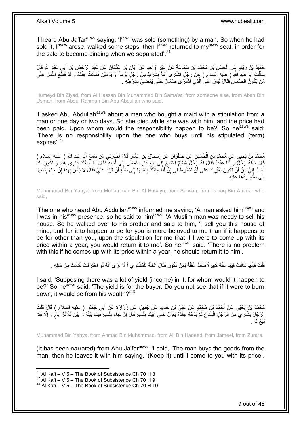'I heard Abu Ja'far<sup>asws</sup> saying: 'I<sup>asws</sup> was sold (something) by a man. So when he had sold it, l<sup>asws</sup> arose, walked some steps, then l<sup>asws</sup> returned to my<sup>asws</sup> seat, in order for the sale to become binding when we separated'.<sup>21</sup>

حُمَّيْدُ بْنُ زِيَادٍ عَنِ الْحَسَنِ بْنِ مُحَمَّدِ بْنِ سَمَاعَةً عَنْ غَيْرٍ وَاحِدٍ عَنْ أَبَانِ بْنِ عُثْمَانَ عَنْ عَبْدِ الرَّحْمَنِ بْنِ أَبِي عَبْدٍ الثَّهِ قَالَ<br>-**ٔ** َ ِ ْ ِ َ مَأَلْتُ أَبَا عَبْدِ اللَّهِ ( ِعليهِ السلامِ ) عَنْ رَجُلٍ اشْتَرَى أَمَةً بِشَرْطٍ مِنْ رَجُلٍ يَوْمَأَ أَوْ يَوْمَيْنِ فَمَاتَتْ عِنْدَهُ وَ قَدْ قَطْعَ النَّمَنَ عَلَى اُ **∣** َ َ ْ َّ مَنْ يَكُونُ الضَّمَانُ فَقَالَ لَيْسَ عَلَى الَّذِي اشْتَرَى ضَمَانٌ حَتَّى يَمْضِيَ بِشَرْطِهِ . َّ ِ

Humeyd Bin Ziyad, from Al Hassan Bin Muhammad Bin Sama'at, from someone else, from Aban Bin Usman, from Abdul Rahman Bin Abu Abdullah who said,

'I asked Abu Abdullah<sup>asws</sup> about a man who bought a maid with a stipulation from a man or one day or two days. So she died while she was with him, and the price had been paid. Upon whom would the responsibility happen to be?' So he<sup>asws</sup> said: 'There is no responsibility upon the one who buys until his stipulated (term) expires'.<sup>22</sup>

مُحَمَّدُ بِنُ يَحْيَى عَنْ مُحَمَّدٍ بْنِ الْحُسَيْنِ عَنْ صَفُوَانَ عَنْ إِسْحَاقَ بْنِ عَمَّارٍ قَالَ أَخْبَرَنِي مَنْ سَمِعَ أَبَا عَيْدِ اللَّهِ ( عليه السلامِ )<br>مَذَّ يَبْنُ يَعْبَى عَنْ مُحَمَّدٍ بْنِ الْحُسَيْنِ ب َ َ ِ ْ ِ قَالَ سَأَلَهُ رَجُلٌ وَ أَنَا عِنْدَهُ فَقَالَ لَهُ رَجُلٌ مُسْلِمٌ احْتَاجَ إِلَى بَيْعِ دَارِهِ فَصَتَّى إِ<br>فَيَسْمَعُ أَنْ يَجْهُدُونَ مَنْ يَوْمَ مَنْ يَوْمَ الْمَرْبِحُلِّ مُسْلِمٌ احْتَاجَ إِلَى بَيْعِ دَارِهِ وَقَ **∶** ِ  $\frac{1}{2}$ َ لَ َ ِ اً َ أَحَبُّ إِلَيَّ مِنْ أَنْ تَكُونَ لِغَيْرِكَ عَلَى أَنْ تَشْتَرِطَـٰلِي إِنْ أَنَا جِئْتُكَّ بِثَمَنِهَا إِلَى سَنَةٍ أَنْ تَرُدَّ عَلَيَّ فَقَالَ لَا بَأْسَ بِهَذَا إِنْ جَاءَ بِثَمَنِهَا َ ِ َ َ ِ **∶** َ ِ اً لَ  $\frac{1}{2}$ َ َ ِ ِ ِ ْ لَ ِ إِلَى سَنَٰةٍ رَدَّهَا عَلَيْهِ

Muhammad Bin Yahya, from Muhammad Bin Al Husayn, from Safwan, from Is'haq Bin Ammar who said,

'The one who heard Abu Abdullah<sup>asws</sup> informed me saying, 'A man asked him<sup>asws</sup> and I was in his<sup>asws</sup> presence, so he said to him<sup>asws</sup>, 'A Muslim man was needy to sell his house. So he walked over to his brother and said to him, 'I sell you this house of mine, and for it to happen to be for you is more beloved to me than if it happens to be for other than you, upon the stipulation for me that if I were to come up with its price within a year, you would return it to me'. So he<sup>asws</sup> said: 'There is no problem with this if he comes up with its price within a year, he should return it to him'.

قُلْتُ فَإِنَّهَا كَانَتْ فِيهَا غَلَّةٌ كَثِيرَةٌ فَأَخَذَ الْغَلَّةَ لِمَنْ تَكُونُ فَقَالَ الْغَلَّةُ لِلْمُشْتَرِي أَ لَا تَرَى أَنَّهُ لَوِ احْتَرَقَتْ لَكَانَتْ مِنْ مَالِهِ . َ ْ َّ ْ ْ َ َّ ِ ْ **∶** َ

I said, 'Supposing there was a lot of yield (income) in it, for whom would it happen to be?' So he<sup>asws</sup> said: 'The yield is for the buyer. Do you not see that if it were to burn down, it would be from his wealth?'<sup>23</sup>

ِ مُحَمَّدُ بْنُ يَحْيَى عَنْ أَحْمَدَ بْنِ مُحَمَّدٍ عَنْ عَلِيِّ بْنِ حَدِيدٍ عَنْ جَمِيلٍ عَنْ زُرَارَةَ عَنْ أَبِي جَعْفَرٍ ( عليه السلامِ ) قَالَ قُلْتُ<br>دَعَنْدُ بِنُ يَحْيَى عَنْ أَحْمَدَ بْنِ مُحَمَّدٍ عَنْ عَلِيِّ ب َ َ ْ َ الرَّجُلُ يَشْتَرِي مِنَ الرَّجُلِ الْمَثَاعِ ثُمَّ يَذَعُهُ عِنْدَهُ يَقُولُ حَتَّى آتِيَكَ بِثَمَنِهِ قَالَ إِنْ جَاءَ بِثَمَنِهِ فِيمَا بَيْنَةً وَُ بَيْنَ ثَلَاثَةِ أَيَّامٍ وَ إِلَّا فَلَا<br>دِي الرَّجُلُ يَشْتَرِي مِنَ  $\frac{1}{2}$ יֲ<br>י َ ِ ُ ْ ِ م<br>وا َ َ بَيْعَ لَهُ .

Muhammad Bin Yahya, from Ahmad Bin Muhammad, from Ali Bin Hadeed, from Jameel, from Zurara,

(It has been narrated) from Abu Ja'far $a_{\text{max}}$ , 'I said, 'The man buys the goods from the man, then he leaves it with him saying, '(Keep it) until I come to you with its price'.

<sup>&</sup>lt;sup>21</sup> Al Kafi – V 5 – The Book of Subsistence Ch 70 H 8

 $^{22}$  Al Kafi – V 5 – The Book of Subsistence Ch 70 H 9

 $23$  Al Kafi – V 5 – The Book of Subsistence Ch 70 H 10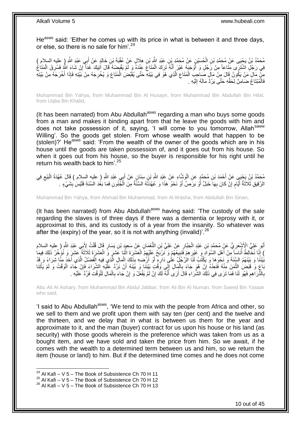He<sup>asws</sup> said: 'Either he comes up with its price in what is between it and three days, or else, so there is no sale for him' <sup>24</sup>

مُحَمَّدُ بْنُ يَحْيَى عَنْ مُحَمَّدِ بْنِ الْحُسَيْنِ عَنْ مُحَمَّدِ بْنِ عَبْدِ اللَّهِ بْنِ هِلَالٍ عَنْ عُقْبَةَ بْنِ خَالِدٍ عَنْ أَبِي عَبْدِ اللَّهِ ( عِليه السلام ) ْ َ فِي رَجُلٍ اشْتَرَى مَثَاعاً مِنْ رَجُلٍ وَ أَوْجَبَهُ غَيْرَ إِنَّهُ تَزَكَ الْمَتَاعَ عِنْدَهُ وَ لَمْ يَقْبِضِهُ قَالَ آتِيكَ غَداً إِنْ شَاءَ اللَّهِ فَسُرِقَ الْمَتَاعُ ْ َ ْ **∶** ِ ا<br>په ِنْ مَالٍ مَنْ يَكُونُ قَالَ مِنْ مَالٍ صَاحِبِ الْمَتَاعِ الَّذِي هُوَ فِي بَيْتِهِ حَتَّى يُقَبِّضَ الْمَتَاعَ وَ يُخْرِجَهُ مِنْ بَيْتِهِ فَإِذَا أَخْرَجَهُ مِنْ بَيْتِهِ ِ ْ َّ ِ ْ َ فَالْمُبْتَاعُ ضَـَامِنٌ لِحَقِّهِ حَتَّى يَرُدَّ مَالَهُ إِلَيْهِ . لَ יִי<br>י .<br>ا

Muhammad Bin Yahya, from Muhammad Bin Al Husayn, from Muhammad Bin Abdullah Bin Hilal, from Ugba Bin Khalid.

(It has been narrated) from Abu Abdullah $a<sup>asws</sup>$  regarding a man who buys some goods from a man and makes it binding apart from that he leave the goods with him and does not take possession of it, saying, 'I will come to you tomorrow, Allah<sup>saww</sup> Willing'. So the goods get stolen. From whose wealth would that happen to be (stolen)?' He<sup>asws</sup> said: 'From the wealth of the owner of the goods which are in his house until the goods are taken possession of, and it goes out from his house. So when it goes out from his house, so the buyer is responsible for his right until he return his wealth back to him'.<sup>25</sup>

مُحَمَّدُ بْنُ يَجْبَي عَنْ أَحْمَدَ بْنِ مُحَمَّدٍ عَنِ الْوَشَّاءِ عَنْ عَبْدِ اللَّهِ بْنِ سِنَانٍ عَنْ أَبِي عَبْدِ اللَّهِ ( عليه السلام ) قَالَ عُهْدَةُ الْبَيْعِ فِي<br>مَعَلَّدُ بْنُ يَجْبَي عَنْ أَحْمَدَ بْنِ مُحَمَّ َ ْ ِ ْ الرَّقِيقِ ثَلَاثَةُ أَيَّامٍ إِنْ كَانَ بِهَا َخَبَلٌ أَوْ بَرَصٌ أَوْ نَحْوُ هَذَا وَ عُهْدَتُهُ السَّنَّةُ مِنَ الْجُنُونِ فَمَا بَغُدَ السَّنَةِ فَلَيْسَ بِشَيْءٍ . َ ِ ِ م َ  $\ddot{\phantom{0}}$ ِ ْ َ

Muhammad Bin Yahya, from Ahmad Bin Muhammad, from Al Washa, from Abdullah Bin Sinan,

(It has been narrated) from Abu Abdullah<sup>asws</sup> having said: 'The custody of the sale regarding the slaves is of three days if there was a dementia or leprosy with it, or approximat to this, and its custody is of a year from the insanity. So whatever was after the (expiry) of the year, so it is not with anything (invalid)<sup>'.26</sup>

أَبُو عَلِيٍّ الْأَشْعَرِيُّ عَنْ مُحَمَّدٍ بْنِ عَبْدِ الْجَبَّارِ عَنْ عَلِيِّ بْنِ النُّعْمَانِ عَنْ سَعِيدٍ بْنِ يَسَارٍ قَالَ قُلْتُ لِأَبِي عَبْدِ اللَّهِ ( عليه السلام<br>وَالَّذِينَ الْأَشْعَرِيُّ عَنْ مُحَمَّدٍ بْنِ ِ ْ ِ ْ ) إِنَّا نُخَّالِطُ أُنَاسِاً مِنْ أَهْلِ السَّوَادِ وَ غَيْرِهِمْ فَنَبِيعُهُمْ وَ نَرْبَحُ عَلَيْهِمُ الْعَشَرَةَ اثْنَا عَشَرَ وَ الْعَشَرَةَ ثَلَاثَةَ عَشَرَ وَ نُؤُخِّرُ ذَلِكَ فِيمَا  $\frac{1}{2}$ ِ َ ا<br>ا ِ ْ **ٔ** ْ َّ بْيْنَنَا وَ بَيْنَهُمْ السِّنَةَ وَ نَحْوَهَا وَ يَكْتُبُ لَنَا الرَّجُلُ عَلَى دَارِهِ أَوْ أَرْضِيهِ بِذَلِكَ الْمَالِ الَّذِي فِيهِ الْفَصْلُ الَّذِي أَخَذَ مِنَّا شِرَاءً وَ قَدْ ْ َ َ **∶** َّ ْ َ بَاعَ وَ قَبَضِ الثَّمَنَ مِنْهُ فَنَعِدُهُ إِنْ هُوَ جَاءَ بِالْمِالِ إِلَى وَقْتٍ بَيْنَنَا وَ بَيْنَهُ أَنْ نَرُدَّ عَلْيْهِ الشِّرَاءَ فَإِنْ جَاءَ الْوَقْتُ وَ لَمْ يَأْتِنَا َ  $\frac{1}{2}$ ْ **∶**  $\frac{1}{2}$ َّ ة<br>أا ْ ِ بِالذِّرَاهِمِ فَهُوَ لَنَا فَمَا تَرَى فِي ذَلِكَ الشُّرَاءِ قَالَ أَرَى أَنَّهُ لَكَ إِنْ لَمْ يَفْعَلْ وَ إِنْ جَاءَ بِالْمَالِ لِلْوَقْتِ فَرُدَّ عَلَيْهِ . ِ ِ ْ ْ ِ ِ ِ َ َ

Abu Ali Al Ashary, from Muhammad Bin Abdul Jabbar, from Ali Bin Al Numan, from Saeed Bin Yasaar who said,

'I said to Abu Abdullah<sup>asws</sup>, 'We tend to mix with the people from Africa and other, so we sell to them and we profit upon them with say ten (per cent) and the twelve and the thirteen, and we delay that in what is between us them for the year and approximate to it, and the man (buyer) contract for us upon his house or his land (as security) with those goods wherein is the preference which was taken from us as a bought item, and we have sold and taken the price from him. So we await, if he comes with the wealth to a determined term between us and him, so we return the item (house or land) to him. But if the determined time comes and he does not come

<sup>&</sup>lt;sup>24</sup> Al Kafi – V 5 – The Book of Subsistence Ch 70 H 11

 $^{25}$  Al Kafi – V 5 – The Book of Subsistence Ch 70 H 12

 $26$  Al Kafi – V 5 – The Book of Subsistence Ch 70 H 13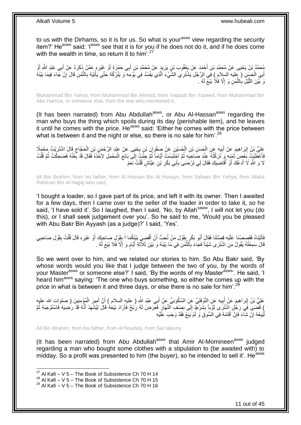to us with the Dirhams, so it is for us. So what is your<sup>asws</sup> view regarding the security item?' He<sup>asws</sup> said: 'l<sup>asws</sup> see that it is for you if he does not do it, and if he does come with the wealth in time, so return it to him'. $27$ 

ِ ِّمْحَمَّدُ بْنُ يَحْيَى عَنْ مُحَمَّدِ بْنِ أَحْمَدَ عَنْ يَعْقُوبَ بْنِ يَزِيدَ عَنْ مُحَمَّدِ بْنِ أَبِي حَمْزَةَ أَوْ غَيْرِهٍ عَمَّنْ ذَكَرَهُ عَنْ أَبِي عَبْدِ اللَّهِ أَوْ أَوْ َ َ ِ َ َ َ أَبِي الْحَسَنِ ( عِليه السِلامِ ) فِي الرَّجُلِ يَشْتَرِي الشَّيْءَ الَّذِي يَفْسُدُ فِي يَوْمِهِ وَ يَتْرُكُهُ حَتَّى يَأْتِيَهُ بِالثَّمَنِ قَالَ إِنْ جَاءَ فِيمَا بَيْنَهُ<br>وسيقَتِبِ ْ َ ِ َّ ِ ْ وَ َبَيْنَ اللَّيْلَِ بِالثَّمَنِ وَ إِلَّا فَلَا بَيْعَ لَهُ . ِ َّ **∶** َّ

Muhammad Bin Yahya, from Muhammad Bin Ahmad, from Yaqoub Bin Yazeed, from Muhammad Bin Abu Hamza, or someone else, from the one who mentioned it,

(It has been narrated) from Abu Abdullah<sup>asws</sup>, or Abu Al-Hassan<sup>asws</sup> regarding the man who buys the thing which spoils during its day (perishable item), and he leaves it until he comes with the price. He<sup>asws</sup> said: 'Either he comes with the price between what is between it and the night or else, so there is no sale for him'.<sup>28</sup>

عَلِيُّ بْنُ إِبْرَاهِيمَ عَنْ أَبِيهِ عَنِ الْحَسَنِ بْنِ الْحُسَيْنِ عَنْ صَفْوَانَ بْنِ يَحْيَى عَنْ عَبْدِ الرَّحْمَنِ بْنِ الْحَجَّاجِ قَالَ اشْتَرَيْتُ مَحْمِلًا<br>يَمْتُ بِنُّ بِنَّ إِبْرَاهِيمَ عَنْ أَبِيهِ مِنْ الْ ْ ْ **!** َ <u>֖֓</u>  $\zeta$ ْ فَأَعْطَّنْتٍۢ بَعْضٍ ثَمَنٍهِ وَ تَرَكْتُهُ عِنْدَ صَاحِبِهِ ثُمَّ اجْتَبَسْتُ أَيَّاماً ثُمَّ حِئْنُ إِلَي بَائِعِ الْمَحْمِلِ لِأَخْذَهُ فَقَالَ قَدْ بِّعْتُهُ فَضَحِكْتُ ثُمَّ قُلْتُ َ ُ ِ َ ْ ا<br>:<br>: ِ ْ ِ ِ ُ لَا وَ اللَّهِ لَا أَدَعُكَ أَوْ أَقَاضِبَكَ فَقَالَ لِي تَرْضَىٰ بِأَبِي بَكْرِ بْنِ عَيَّاشٍ قُلْتُ نَعَمْ ْ **∶** َ **∶** ُ َ َ

Ali Bin Ibrahim, from his father, from Al Hassan Bin Al Husayn, from Safwan Bin Yahya, from Abdul Rahman Bin Al Hajjaj who said,

'I bought a loader, so I gave part of its price, and left it with its owner. Then I awaited for a few days, then I came over to the seller of the loader in order to take it, so he said, 'I have sold it'. So I laughed, then I said, 'No, by Allah<sup>saww</sup>, I will not let you (do this), or I shall seek judgement over you'. So he said to me, 'Would you be pleased with Abu Bakr Bin Ayyash (as a judge)?' I said, 'Yes'.

فَأَتَيْنَاهُ فَقَصَصْنَا عَلَيْهِ قِصَّتَنَا فَقَالَ أَبُو بَكْرٍ بِقَوْلِ مَنْ تُحِبُّ أَنْ أَقْضِيَ بَيْنَكُمَا أَ يِقَوْلِ صَاحِبِكَ أَوْ غَيْرِهِ قَالَ قُلْتُ بِقَوْلِ صَاحِبِي ِ َ َ ِ ِ ْ ِ َ ِ قَالَ سَمِعْتُهُ يَقُولُ مَنِ اشْنَرَى شَيْئاً فَجَاءَ بِٱلثَّمَنِ فِي مَا بَيْنَهُ وَ بَيْنَ ثَلَاثَةِ أَيَّامٍ وَ إِلَّا فَلَا بَيْعَ لََهُ . َّ **∶** ِ ֧֖֖֖֧֧֖֧֧֧֧֧ׅ֧֧֧֧֧֚֚֚֚֓֝֝֝֝֟֓֟֓֝֬֝֓֝֓֝֬֟֓֟֓֟֓֟֓֝֬֝֬֝֓֝֬֜֓֝֬֝֓֝֬֝֬֝ َ  $\ddot{\phantom{0}}$ 

So we went over to him, and we related our stories to him. So Abu Bakr said, 'By whose words would you like that I judge between the two of you, by the words of your Master<sup>asws</sup> or someone else?' I said, 'By the words of my Master<sup>asws</sup>'. He said, 'I heard him<sup>asws</sup> saying: 'The one who buys something, so either he comes up with the price in what is between it and three days, or else there is no sale for him'.<sup>29</sup>

عَلِيُّ بْنُ إِبْرَاهِيمَ عَنْ أَبِيهِ عَنِ النَّوْفَلِيِّ عَنِ السَّكُونِيِّ عَنْ أَبِي عَبْدِ اللَّهِ ( عليه السلام ) أَنَّ أَمِيرَ الْمُؤْمِنِينَ ( صلوات الله عليه<br>. ِ ْ َ َ َ **!** ِ ) قَضَمَى فَي رَجُلٍ إِسْْتَرَى ثَوْباً بِشَرْتٍ إِلَى نِصْفِ النَّهَارِ فَعَّرَضَ لَهُ رِبْحٌ فَأَرَادَ بَيْعَهُ قَالَ لِيُشْهِدْ أَنَّهُ قَدْ رَضِيَهُ فَاسْتَوْجَبَهُ ثُمَّ َ **ٍ** ِ ِ **∣** َ ُ َ لْيَبِعْهُ إِنْ شَاءَ فَإِنْ أَقَامَهُ فِي السُّوقِ وَ لَمْ يَبِعْ فَقَدْ وَجَبَ عَلَيْهِ ِ ِ יֲ<br>י **∶** ا<br>ا

Ali Bin Ibrahim, from his father, from Al Nowfaly, from Sal sakuny,

(It has been narrated) from Abu Abdullah<sup>asws</sup> that Amir Al-Momineen<sup>asws</sup> judged regarding a man who bought some clothes with a stipulation to (be awaited with) to midday. So a profit was presented to him (the buyer), so he intended to sell it'. He<sup>asws</sup>

<sup>&</sup>lt;sup>27</sup> Al Kafi – V 5 – The Book of Subsistence Ch 70 H 14

<sup>28</sup> Al Kafi – V  $5 -$  The Book of Subsistence Ch 70 H 15

 $29$  Al Kafi – V 5 – The Book of Subsistence Ch 70 H 16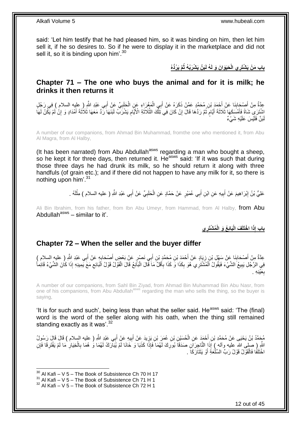said: 'Let him testify that he had pleased him, so it was binding on him, then let him sell it, if he so desires to. So if he were to display it in the marketplace and did not sell it, so it is binding upon him'. $30$ 

بِابِ مَنْ يَشْتَرِي الْحَيَوَانَ وَ لَهُ لَبَنٌ يَشْرَبُهُ ثُمَّ يَرُدُّهُ

### <span id="page-11-0"></span>**Chapter 71 – The one who buys the animal and for it is milk; he drinks it then returns it**

عِدَّةٌ مِنْ أَصْحَابِنَا عَنْ أَجْمَدَ بْنِ مُحَمَّدٍ عَمَّنْ ذَكَرَهُ عَنْ أَبِي الْمَغْرَاءِ عَنِ الْحَلَبِيِّ عَنْ أَبِي عَبْدِ اللَّهِ ( عِليه السلام ) فِي رَجُلٍ<br>وَيَسْتَمَسَعُ الْجَمَانِ عَنْ أَجْمَدَ بْنِ مُحَمَّدٍ ْ َ َ ِ َ ِ ْ اشْتَرَى شَاةً فَأَمْسَكَهَا ثَلاثَةَ أَيَّامَ ثُمَّ رَدَّهَا قَالَ إِنْ كَانَ فِي نَلْكَ الثَّلَاثَةِ الْأَيَّامِ يَشْرَبُّ لَنَدَا بَآنَى الْأَيْجَارِ وَ إِنْ لَمْ يَكُنَّ لَهَا ِ َ َّ ْ ِ ان<br>المقامات ٍ َ َ ِ َ لَبَنٌ فَلَيْسَ عَلَيْهِ شَيْءٌ

A number of our companions, from Ahmad Bin Muhammad, fromthe one who mentioned it, from Abu Al Magra, from Al Halby,

(It has been narrated) from Abu Abdullah<sup>asws</sup> regarding a man who bought a sheep, so he kept it for three days, then returned it. He<sup>asws</sup> said: 'If it was such that during those three days he had drunk its milk, so he should return it along with three handfuls (of grain etc.); and if there did not happen to have any milk for it, so there is nothing upon him'.<sup>31</sup>

> عَلِيُّ بْنُ إِبْرَاهِيمَ عَنْ أَبِيهِ عَنِ ابْنِ أَبِي عُمَيْرٍ عَنْ حَمَّادٍ عَنِ الْحَلَبِيِّ عَنْ أَبِي عَبْدِ اللَّهِ ( عليه السلام ) مِثْلَهُ . َ ِ ْ َ **!** َ ِ لَ ْ

Ali Bin Ibrahim, from his father, from Ibn Abu Umeyr, from Hammad, from Al Halby, from Abu Abdullah<sup>asws</sup> – similar to it'.

**ِي ُم ْشَتر َبائِ ُع َو الْ َف الْ ا ا ْخَتلَ ِذَ باب إ**

### <span id="page-11-1"></span>**Chapter 72 – When the seller and the buyer differ**

عِدَّةٌ مِنْ أَصْحَابِنَا عَنْ سَهْلِ بْنِ زِيَادٍ عَنْ أَحْمَدَ بْنِ مُحَمَّدٍ بْنِ أَبِي نَصْرٍ عَنْ بَعْضٍ أَصْحَابِهٍ عَنْ أَبِي عَبْدِ اللَّهِ ( عليه السلام )<br>عِدَّةٌ مِنْ أَصَابِ: عَمَّلُ بِيَّةٍ فَيَ مَنْ أَحْمَدَ ب ِ َ َ َ ِ **∣** َ َ فِي الرَّجُلِ يَبِيعُ الشَّيْءَ فَيَقُولُ اَلْمُشْتَرِي هُوَ بِكَذَا وَ كَذَا بِأَقَلِّ مَاَ قَالَ الْبَائِعُ قَالَ الْقَوْلُ قَوْلُ الْبَائِعِ مَعَ يَمِينِهِ إِذَا كَانَ الشَّيْءُ قَائِماً **!** ِ ْ ْ ْ َ **∶** ِ ْ مَيْنِهِ . **∶** ب

A number of our companions, from Sahl Bin Ziyad, from Ahmad Bin Muhammad Bin Abu Nasr, from one of his companions, from Abu Abdullah<sup>asws</sup> regarding the man who sells the thing, so the buyer is saying,

'It is for such and such', being less than what the seller said. He<sup>asws</sup> said: 'The (final) word is the word of the seller along with his oath, when the thing still remained standing exactly as it was'.<sup>32</sup>

يُجِمَّدُ بْنُ يَحْيَى عَنْ مُحَمَّدِ بْنِ أَحْمَدَ عَنِ الْحُسَيْنِ بْنِ عُمَرَ بْنِ يَزِيدَ عَنْ أَبِيهِ عَنْ أَبِي عَبْدِ اللَّهِ ( عليه السلام ) قَالَ قَالَ رَسُولُ َ ِ َ ِ ْ َ اللَّهِ إِصْلَى الله عليه وآله ) إِذَا التَّاجِرَاَنِ صَدَقَاً بُورِكَ لَهُمَا فَإِذَا كَذَبَا وَ خَانَا لَمْ يُبَارَكْ لَهُمَا وَ هُمَا بِالْخِيَارِ مَا لَمْ يَفْتَرِقَا فَإِنِ<br>اللَّهِ إِحْمَانِ مَنْ زَوْنَ اللَّهُ عَلَيْ ِ ِ ِ ْ **∶** اخْتَلَفَا فَالْقَوْلُ قَوْلُ رَبِّ السِّلْعَةِ أَوْ يَتَتَارَكَا ۖ ـ َ ا<br>ا ْ

<sup>1</sup>  $30$  Al Kafi – V 5 – The Book of Subsistence Ch 70 H 17

 $31$  Al Kafi – V  $5$  – The Book of Subsistence Ch 71 H 1

 $32$  Al Kafi – V 5 – The Book of Subsistence Ch 72 H 1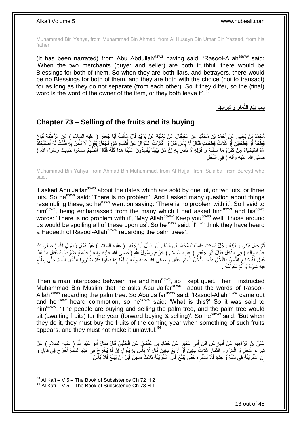Muhammad Bin Yahya, from Muhammad Bin Ahmad, from Al Husayn Bin Umar Bin Yazeed, from his father,

(It has been narrated) from Abu Abdullah<sup>asws</sup> having said: 'Rasool-Allah<sup>saww</sup> said: 'When the two merchants (buyer and seller) are both truthful, there would be Blessings for both of them. So when they are both liars, and betrayers, there would be no Blessings for both of them, and they are both with the choice (not to transact) for as long as they do not separate (from each other). So if they differ, so the (final) word is the word of the owner of the item, or they both leave it'.<sup>33</sup>

> **َو ِشَرائِ َها َمار الثِّ باب َبْيع ِ ِ**

### <span id="page-12-0"></span>**Chapter 73 – Selling of the fruits and its buying**

مُحَمَّدُ بِنُ يَجْيَى عَنْ أَحْمَدَ بْنِ مُحَمَّدٍ عَنِ الْجَجَّالِ عَنْ ثَعْلَبَةَ عَنْ بُرَيْدٍ قَالَ سَأَلْتُ أَبَا جَعْفَرٍ ( عليه السلام ) عَنِ الرَّطْبَةِ تُبَاعُ َ ْ ĺ َ ْ قِطْعَةً أَوْ قِطْعَتَيْنِ إِنَّ ثَلَاثَ قِطَّعَاتٍ فَقَالَ لَا يَأْسَ قَالَ وَ أَكْثَرْتُ الْسُؤَالَ عَنْ أَشْبَاهِ هَذِهٍ فَجَعَلَ يُقُولُ لَا بَأْسَ لِهِ فَقُلْتُ لَهُ أَصْلَحِكَ َ َ َ ،<br>ا َ َ ْ ِ ْ ِ اللَّهُ اسْتِخْيَاءً مِنْ كَثْرَةِ مَا سَأَلْتُهُ وَ قَوْلِهِ لَا بَأْسَ بِهِ إِنَّ مَنْ يَلْينَا يُفْسِلُونَ عَلَيْنَا هَذَا كُلَّهُ فَقَالَ أَظُنُّهُمْ سَمِعُوا حَدِيثَ رَسُولِ اللَّهِ ( ْ ْ َ ْ َّ ِ صلَّى الله عليه و آله ) فِي النَّخْل

Muhammad Bin Yahya, from Ahmad Bin Muhammad, from Al Hajjal, from Sa'alba, from Bureyd who said,

'I asked Abu Ja'far<sup>asws</sup> about the dates which are sold by one lot, or two lots, or three lots. So he<sup>asws</sup> said: 'There is no problem'. And I asked many question about things resembling these, so he<sup>asws</sup> went on saying: 'There is no problem with it'. So I said to himasws, being embarrassed from the many which I had asked himasws and hisasws words: 'There is no problem with it', 'May Allah<sup>saww</sup> Keep you<sup>asws</sup> well! Those around us would be spoiling all of these upon us'. So he<sup>asws</sup> said: 'I<sup>asws</sup> think they have heard a Hadeeth of Rasool-Allah<sup>saww</sup> regarding the palm trees'.

نُّمَّ حَالَ بَيْنِي وَ بَيْنَهُ رَجُلٌ فَسَكَتَ فَأَمَرْتُ مُحَمَّدَ بْنَ مُسْلِمٍ أَنْ يَسْأَلَ أَبَا جَعْفَرٍ ( عليه السلام ) عَنْ قَوْلِ رَسُولِ اللَّهِ ( صلى الله َ َ َ ֧֖֚֚֚֓֝֝֬֝ َ عْليه وآله ) فِي النَّخْلِ فَقَالَ أَبُو جَعْفَرٍ ( عليه السِلام ) خَّرَجَ رَسُولُ اللَّهِ ( صَلِّي الله عليه وأله ) فَسَمِعَ ضَوْضَهَاءً فَقَالٍ مَا هَذَا َ فَقِيلَ لَمْهُ تَبَايَعَ ٱلنَّـاسُ بِالنَّخْلِ فَقَعَدَ النَّخْلُ الْعَامَ ۚ فَقَالَ (صلى الله عليه وآلمُ ) أَمَّا إِذَا فَعَلُوا فَلا يَشْتَرُوا النَّخْلَ الْعَامَ حَتَّى يَطْلُعَ َ ْ **∶**  $\overline{\phantom{a}}$ ْ فِيهِ شَيْءٌ وَ لَمْ يُحَرِّمْهُ .

Then a man interposed between me and him<sup>asws</sup>, so I kept quiet. Then I instructed Muhammad Bin Muslim that he asks Abu Ja'far<sup>asws</sup> about the words of Rasool-Allah<sup>saww</sup> regarding the palm tree. So Abu Ja'far<sup>asws</sup> said: 'Rasool-Allah<sup>saww</sup> came out and he<sup>saww</sup> heard commotion, so he<sup>saww</sup> said: 'What is this?' So it was said to him<sup>saww</sup>, 'The people are buying and selling the palm tree, and the palm tree would sit (awaiting fruits) for the year (forward buying  $\&$  selling)'. So he<sup>saww</sup> said: 'But when they do it, they must buy the fruits of the coming year when something of such fruits appears, and they must not make it unlawful.<sup>34</sup>

عَلِيُّ بْنُ إِبْرَاهِيمَ عَنْ أَبِيهٍ عَنِ اِبْنِ أَبِي عُمَيْرٍ عَنْ حَمَّادِ بْنِ عُثْمَانَ عَنِ الْحَلَبِيِّ قَالَ سُئِلَ أَبُو عَبْدِ اللَّهِ (ِ عِلْيه السلام ) عَنْ ِ ْ **ٔ** َ **!** َ ِ َ ثَبِرَ اَءٍ النَّخْلِ وَ النَّكْرِمِ وَ الثُّمَارِ ۚ ثَلاَثَ سِنِينَ أَوْ ۗ أَرْبَعَ سِنِينَ قَالَ لَا بَأْسَ بِهِ يَقُولُۢ إِنْ لَمْ يُخْرِجْ فِي هَذِهِ السَّنَةِ أَخْرَجَ فِي قَابِلٍ وَ اُ اُ ِ  $\ddot{\phantom{a}}$ ; ْ ِ َ ِ ِ ِ ا<br>أ إِنِ اشْتَرَيْتَهُ فِي سَنَةٍ َوَاحِدَةٍ فَلَا تَشْتَرِهِ حَتَّى يَبْلُغَ فَإِنِّ اشْتَرَيْتَهُ ثَلَاثَ سِنِينَ قَبْلَ أَنْ يَبْلُغَ فَلَا بَأْسَ َ ُ **∶ ٔ** ُ

 $33$  Al Kafi – V 5 – The Book of Subsistence Ch 72 H 2

 $34$  Al Kafi – V 5 – The Book of Subsistence Ch 73 H 1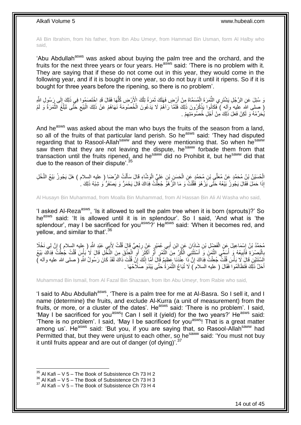Ali Bin Ibrahim, from his father, from Ibn Abu Umeyr, from Hammad Bin Usman, form Al Halby who said,

'Abu Abdullah<sup>asws</sup> was asked about buying the palm tree and the orchard, and the fruits for the next three years or four years. Heasws said: 'There is no problem with it. They are saying that if these do not come out in this year, they would come in the following year, and if it is bought in one year, so do not buy it until it ripens. So if it is bought for three years before the ripening, so there is no problem'.

وَ سُئِلَ عَنِ الرَّجُلِ يَشْتَرِي الثَّمَرَةَ الْمُسَمَّاةَ مِنْ أَرْضٍ فَهَلَكَ ثَمَرَةُ تِلْكَ الْأَرْضِ كُلُّهَا فَقَالَ قَدِ اخْتَصَمُوا فِي ذَلِكَ إِلَى رَسُولِ الثَّهِ ُّ ْ َ اُ ْ َّ │<br>; ( صلى الله عليه وآله ) فَكَانُوا يَذْكُرُونَ ذَلِكَ فَلَمَّا رَآهُمْ لَا يَدَعُونَ الْخُصُومَةَ نَهَاهُمْ عَنْ ذَلِكَ الْبَيْعِ خَتَّى تَبْلُغَ الثَّمَرَةُ وَ لَمْ **ٔ** َّ ُ ِ ْ يُحَرِّمْهُ وَ لَكِنْ فَعَلَ ذَلِكَ مِنْ أَجْلِ خُصُومَتِهِمْ . ِ َ

And he<sup>asws</sup> was asked about the man who buys the fruits of the season from a land, so all of the fruits of that particular land perish. So he<sup>asws</sup> said: 'They had disputed regarding that to Rasool-Allah<sup>saww</sup> and they were mentioning that. So when he<sup>saww</sup> saw them that they are not leaving the dispute, he<sup>saww</sup> forbade them from that transaction until the fruits ripened, and he<sup>saww</sup> did no Prohibit it, but he<sup>saww</sup> did that due to the reason of their dispute<sup>'.35</sup>

الْحُسَيْنُ بْنُ مُحَمَّدٍ عَنْ مُعَلَّي بْنِ مُحَمَّدٍ عَنِ الْحَسَنِ بْنِ عَلِيٍّ الْوَشَّاءِ قَالَ سَأَلْتُ الرِّضَا ( عليه السلام ) هَلْ يَجُونُ بَيْعُ النَّخْلِ ْ اً<br>أ ْ ْ ْ إِذَا حَمَلَ فَقَالَ يَجُونُ بَيْعُهُ حَتَّى يَزْ هُوَ فَقُلْتُ وَ مَا الْزَّهْوُ جُعِلْتُ فِدَاكَ قَالَ يَحْمَرُّ وَ يَصْفَرُّ وَ شِبْهُ ذَلِكَ لَ ْ ْ

Al Husayn Bin Muhammad, from Moalla Bin Muhammad, from Al Hassan Bin Ali Al Washa who said,

'I asked AI-Reza<sup>asws</sup>. 'Is it allowed to sell the palm tree when it is born (sprouts)?' So he<sup>asws</sup> said: 'It is allowed until it is in splendour'. So I said, 'And what is 'the splendour', may I be sacrificed for you<sup>asws</sup>?' He<sup>asws</sup> said: 'When it becomes red, and yellow, and similar to that'.<sup>36</sup>

ِي ب ِن أ ا َن َع ِن اْب ِن َشاذَ َف ْض ِل ْب ْس َما ِعي َل َع ِن ال َّن لِي َن ْخًال ُم َح َّمُد ْب ُن إ ِي َعْبِد ََّّللاِ ) عليه السالم ( <sup>إ</sup> ب ُت ِْلَ ل ْب ِع ٍّي َقا َل قُ ٍر َع ْن ر ُع َمْي َ ْ ِ ِ ْ ِ بِالْبَصْرَةِ فَأَبِيعُهُ وَ أُسَمَّي الثَّمَنِ وَ أَسْتَثْنِي الْكُلِّ مِنَ التَّمْرِ أَوِ اَكْثِرَ أَوِ الْجِنْقَ مِنَ النَّخْلِ قَالَ لَا بَأْسَ قُلْتُ جُعِلْتُ فِدَاكَ بَيْعُ **ٔ** ْ ; اً َ َ َ ِ **ٔ** َ َّ ؚ<br>ا **!** َ ا<br>ا ¦ ْ ْ ْ اَلسَّنَتَيْنِ قَالَ َلا بَأْسَ قُلْتُ جُعِلْتُ فِذَاكَ إِنَّ ذَا عِنْدَنَا عَظِيمٌ قَالَ أَمَّا إِنَّكَ إِنَّ قُلْتَ ذَاكَ لَقَدْ كَانَ رَسُولُ اللَّهِ ( صلى الله عليه وآله )<br>السَّنَتَيْنِ قَالَ لَا بَأْسَ قُلْتُ جُعِلْتُ ْ ِ ِ َ ِ ْ ْ .<br>ا أَحَلَّ ذَلِكَ فَتَظَالَمُوا فَقَالَ ( عليه السلام َ) لَا تُبَاعُ الثَّمَرَ ةُ حَتَّى يَبْدُوَ صَلَاحُهَا . َ َّ

Muhammad Bin Ismail, from Al Fazal Bin Shazaan, from Ibn Abu Umeyr, from Rabie who said,

'I said to Abu Abdullah<sup>asws</sup>, 'There is a palm tree for me at Al-Basra. So I sell it, and I name (determine) the fruits, and exclude Al-Kurra (a unit of measurement) from the fruits, or more, or a cluster of the dates'. He<sup>asws</sup> said: 'There is no problem'. I said, 'May I be sacrificed for you<sup>asws</sup>! Can I sell it (yield) for the two years?' He<sup>asws</sup> said: 'There is no problem'. I said, 'May I be sacrificed for you<sup>asws</sup>! That is a great matter among us'. He<sup>asws</sup> said: 'But you, if you are saying that, so Rasool-Allah<sup>saww</sup> had Permitted that, but they were unjust to each other, so he<sup>saww</sup> said: 'You must not buy it until fruits appear and are out of danger (of dying)'.<sup>37</sup>

 $35$  Al Kafi – V 5 – The Book of Subsistence Ch 73 H 2

 $36$  Al Kafi – V 5 – The Book of Subsistence Ch 73 H 3

 $37$  Al Kafi – V 5 – The Book of Subsistence Ch 73 H 4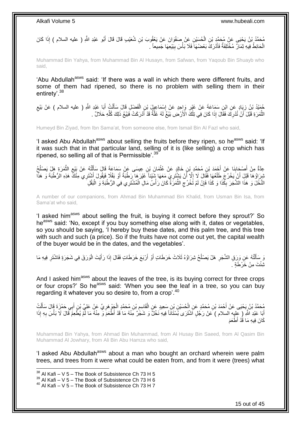مُحَمَّدُ بْنُ يَحْيَى عَنْ مُحَمَّدٍ بْنِ الْحُسَيْنِ عَنْ مِمَفْوَانَ عَنْ يَعْقُوبَ بْنِ شُعَيْبِ قَالَ قَالَ أَبُو عَبْدِ اللَّهِ ( عليه السلام ) إِذَا كَانَ َ ْ الْحَائِطُ فِيهِ ثِمَالٌ مُخْتَلِفَةٌ فَأَدْرَكَ بَعْضُهَا ۖ فَلَا بَأْسَ بِبَيْعِهَا جَمِيعاً ۖ ـِ اُ ْ  $\frac{1}{2}$ **ٔ** 

Muhammad Bin Yahya, from Muhammad Bin Al Husayn, from Safwan, from Yaqoub Bin Shuayb who said,

'Abu Abdullah<sup>asws</sup> said: 'If there was a wall in which there were different fruits, and some of them had ripened, so there is no problem with selling them in their entirety'.<sup>38</sup>

جُمَيْدُ بْنُ زِيَادٍ عَنِ ابْنِ سَمَاعَةَ عَنْ غَيْرِ وَاحِدٍ عَنْ إِسْمَاعِيلَ بْنِ الْفَضْلِ قَالَ سَأَلْتُ أَبَا عَبْدِ اللَّهِ ( عليه السلام ) عَنْ بَيْعِ<br>جَمَيْدُ بْنُ زِيَادٍ مُوسِّدِ الْبَعْدِ وَالْمَوْسَفِينَ وَا َ ْ َ ْ ِ ِ **∶** ِ الثَّمَرَ ةِ قَبْلَ ۖ أَنْ نُدْرِ كَ فَقَالَ إِذَا كَانَ فِي تِلْكَ الْأَرْضِ بَيْعٌ لَهُ غَلَّةٌ قَدْ أَدْرَكَتْ فَبَيْعُ ذَلِكَ كُلِّهِ حَلَالٌ ۚ ـ ِ َّ ِّ َ َّ ْ

Humeyd Bin Ziyad, from Ibn Sama'at, from someone else, from Ismail Bin Al Fazl who said,

'I asked Abu Abdullah<sup>asws</sup> about selling the fruits before they ripen, so he<sup>asws</sup> said: 'If it was such that in that particular land, selling of it is (like selling) a crop which has ripened, so selling all of that is Permissible<sup>'.39</sup>

عِدَّةٌ مِنْ أَصْحَابِذَا عَنْ أَجْمَدَ بْنِ مُحَمَّدِ بْنِ خَالِدٍ عَنْ عُثْمَانَ بْنِ عِيسَى عَنْ سَمَاعَةَ قَالَ سَأَلْتُهُ عَنْ بَيْعِ الثَّمَرَةِ هَلْ يَصْلُحُ ْ َ **∣** َ ُ َّ ِ ْ اً<br>أ يْبِرَاؤُهَا قَبْلَ أَنْ يَخْرُجَ طَلْعُهَا فَقَالَ لَا إِلَّا أَنْ يَشْتَرِيَ مَعَهَا شَيْئاً غَيْرَهَا رَطْبَةً أَوْ بَقْلًا فَيَقُولَ أَشْتَرِي مِثْلَ<sup>ق</sup>َ هَذِهِ الرُّطْبَةَ وَ هَذَا<br>نَّهُ وَيَقُولُ أَنْ يَجْبُ عَلَيْه َ ِ َ ِ ْ َ َ النَّخْلَ وَ هَذَا الشَّجَرَ بِكَّذَا وَ كَذَا فَإِنْ لَمْ تَّخْرُجِ الْثَّمَرَةُ كَانَ رَأْسُ مَالِ الْمُشْتَرِي فِي الرُّطْبَةِ وَ الْبَقْلِ ْ ْ **ٔ** َّ  $\zeta$ ِ ِ

A number of our companions, from Ahmad Bin Muhammad Bin Khalid, from Usman Bin Isa, from Sama'at who said,

'I asked him<sup>asws</sup> about selling the fruit, is buying it correct before they sprout?' So he<sup>asws</sup> said: 'No, except if you buy something else along with it, dates or vegetables, so you should be saying, 'I hereby buy these dates, and this palm tree, and this tree with such and such (a price). So if the fruits have not come out yet, the capital wealth of the buyer would be in the dates, and the vegetables'.

وَ سَأَلْتُهُ عَنِ وَرَقِ الشَّجَرِ هَلْ يَصْلُحُ شِرَاؤُهُ ثَلَاثَ خَرَطَاتٍ أَوْ أَرْبَعَ خَرَطَاتٍ فَقَالَ إِذَا رَأَيْتَ الْوَرَقَ فِي شَجَرَةٍ فَاشْتَرِ فِيهِ مَا َ اً ُ ِ ֦֧֦֧֧֦֧֦֧֦֧֦֧֦֧֦֧֧֦֧֦֪֧֪֦֪֦֧֧֧֧֧֧֧֟֟֟֓֕֟֓֕֝֓֟֓֡֟֓֡֟֓֡֟֓֡֟֓֡֟֟֓֡֟֓֡֟֟֩֓֞֟֓֞֟֓֡֟֓֞֟֓֟֓֝֬֝֓֟֝֓֟֝֬֝֬֝֬֝֬֝֬֝֬֝֬<br>֧֪֪֧֪֧֪֪֪֪֦֧֪֧֪֪֪֪֪֦֧֝֝֝֬֝֝֬֝ َ ِ ْ ثِشُّتَ مِنْ خَرْطَةٍ <u>َ</u>

And I asked him<sup>asws</sup> about the leaves of the tree, is its buying correct for three crops or four crops?' So he<sup>asws</sup> said: 'When you see the leaf in a tree, so you can buy regarding it whatever you so desire to, from a crop'.<sup>40</sup>

ِ مُحَمَّدُ بْنُ يَحْيَى عَنْ أَحْمَدَ بْنِ مُحَمَّدٍ عَنِ الْحُسَيْنِ بْنِ سَعِيدٍ عَنِ الْقَاسِمِ بْنِ مُحَمَّدٍ الْجَوْ هَرِيٍّ عَنْ عَلِيٍّ بْنِ أَبِي حَمْزَةَ قَالَ سَأَلْتُ ْ ْ َ ْ َ َ ِ ْ اَبَا عَبْدِ اللَّهِ (ِ عِلْيِه السلام ) عَنْ رَجُلٍ أَشْتَرَى بُسْتَانًا فِيهِ نَخْلٌ وَ شَجَّرٌ مِّنْهُ مَا أَقْدْ أَطْعَمَ وَ مِنْهُ مَا أَمْ يُطْعِمْ قَالَ لَا بَأْسَ بِهِ إِذَا َ ِ ْ كَانَ فِيهِ مَا قُدْ أَطْعَمَ

Muhammad Bin Yahya, from Ahmad Bin Muhammad, from Al Husay Bin Saeed, from Al Qasim Bin Muhammad Al Jowhary, from Ali Bin Abu Hamza who said,

'I asked Abu Abdullah<sup>asws</sup> about a man who bought an orchard wherein were palm trees, and trees from it were what could be eaten from, and from it were (trees) what

 $^{38}$  Al Kafi – V 5 – The Book of Subsistence Ch 73 H 5

 $39$  Al Kafi – V  $5$  – The Book of Subsistence Ch 73 H 6

 $40$  Al Kafi – V 5 – The Book of Subsistence Ch 73 H 7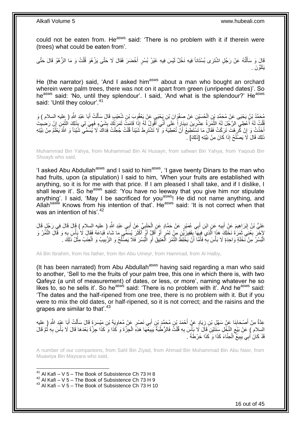could not be eaten from. He<sup>asws</sup> said: 'There is no problem with it if therein were (trees) what could be eaten from'.

فَالَ وَ سَأَلْتُهُ عَنْ رَجُلٍ اشْتَرَى بُسْتَاناً فِيهِ نَخْلٌ لَيْسَ فِيهِ غَيْرُ بُسْرٍ أَخْضَرَ فَقَالَ لَا حَتَّى يَزْهُوَ قُلْتُ وَ مَا الزَّهْوُ قَالَ حَتَّى ْ ْ َ يَتَلَوَّنَ .

He (the narrator) said, 'And I asked him<sup>asws</sup> about a man who bought an orchard wherein were palm trees, there was not on it apart from green (unripened dates)'. So he<sup>asws</sup> said: 'No, until they splendour'. I said, 'And what is the splendour?' He<sup>asws</sup> said: 'Until they colour'.<sup>41</sup>

مُحَمَّدُ بْنُ يَحْيَى عَنْ مُحَمَّدِ بْنِ الْحُسَبْنِ عَنْ صَفْوَانَ بْنِ يَحْيَى عَنْ يَعْقُوبَ بْنِ شُعَيْبِ قَالَ سَأَلْتُ أَبَا عَبْدِ اللَّهِ ( عِليه السلام ) وَ<br>لئف فَي فَي ذَي مَّن حَقَّدٍ بِنِ الْحُسَبْنِ عَنْ صَ ْ َ ْ ĺ َاثُ لَهُ أَعْطِي الرَّجُلَ لَهُ الثَّمَرَةُ عِشْرِينَ دِينَاراً عَلَى أَنِّي أَقُولُ لَهُ إِذَا قَامَتٌ ثَمَرَتُكَ بِشَيْءٍ فَهِيَ لِي بِذَلِكَ الثَّمِنِ إِنْ رَضِيتَ ِ َ َ َ ِ َّ ا<br>ا ْ ِ َّ  $\frac{1}{2}$ أَخَذْتُ وَ إِنْ غَّرِهْتَ تَرَكْتُ فَقَالَ مَا تَسْتَطِيعُ أَنْ تُعْطِيَهُ وَ لَا تَشْتَرِطَ شَيْئاً قُلْتُ جُعِلْتُ فَذاكَ لَا يُسَمِّي شَيْئاً وَ اللَّهُ يَعْلَمُ مِنْ نِيَّتِهِ ِ ِ **ٔ** َ ْ ْ ِ اُ ذَلِكَ قَالَ لَا يَصْلُحُ إِذَا كَانَ مِنْ نِيَّتِهِ [ذَلِكَ] -ا<br>ـا

Muhammad Bin Yahya, from Muhammad Bin Al Husayn, from safwan Bin Yahya, from Yaqoub Bin Shuayb who said,

'I asked Abu Abdullah<sup>asws</sup> and I said to him<sup>asws</sup>, 'I gave twenty Dinars to the man who had fruits, upon (a stipulation) I said to him, 'When your fruits are established with anything, so it is for me with that price. If I am pleased I shall take, and if I dislike, I shall leave it'. So he<sup>asws</sup> said: 'You have no leeway that you give him nor stipulate anything'. I said, 'May I be sacrificed for you<sup>asws</sup>! He did not name anything, and Allah<sup>saww</sup> Knows from his intention of that'. He<sup>asws</sup> said: 'It is not correct when that was an intention of his'.<sup>42</sup>

عَلِيُّ بْنُ إِبْرَاهِيمَ عَنْ أَبِيهِ عَنِ ابْنِ أَبِي عُمَيْرٍ عَنْ حَمَّادٍ عَنِ الْحَلِّيِّ عَنْ أَبِي عَبْدِ اللَّهِ ( عليه السلام ) قَالَ فَالَ فِي رَجُلٍ قَالَ َ ِ ْ َ **!** َ لْأَخَلَ بِعْنِي ثَمَرَةَ نَخْلِكَ هَذَا الَّذِي فِيهَآ بِقَفِيزَيّْنِ مِنْ تَمْرٍ أَوْ أَقَلِّ أَوْ أَكْثَرَ يُسَمِّي مَا شَاءَ فَبَاعَهُ فَقَالَ لَا بِأَس بِهِ وَ قَالَ التَّمُّرُ وَ َ َ َ َ َ **∫** َّ َ **∶** ْ الْبُسْرُ مِنْ نَخْلَةٍ وَاحِدَةٍ لَا بَأْسَ بِهِ فَأَمَّا أَنْ يَخْلِطَ النَّمْرَ الْعَنِيقَ أَوِ الْبُسْرَ فَلَا يَصْلُحُ وَ الزَّبِيبُ وَ الْعِنَبُ مِثْلُ ذَلِكَ . َ ِ **ٔ** :<br>ا ْ ْ ِ ا<br>ـ ْ ِ َ ْ َ

Ali Bin Ibrahim, from his father, from Ibn Abu Umeyr, from Hammad, from Al Halby,

(It has been narrated) from Abu Abdullah<sup>asws</sup> having said regarding a man who said to another, 'Sell to me the fruits of your palm tree, this one in which there is, with two Qafeyz (a unit of measurement) of dates, or less, or more', naming whatever he so likes to, so he sells it'. So he<sup>asws</sup> said: 'There is no problem with it'. And he<sup>asws</sup> said: 'The dates and the half-ripened from one tree, there is no problem with it. But if you were to mix the old dates, or half-ripened, so it is not correct; and the raisins and the grapes are similar to that'.<sup>43</sup>

ِن َمْي َس َي َة ْب ِي َن ْص ٍر َع ْن ُمَعاو ب ِن أ ِن ُم َح َّمِد ْب ْح َمَد ْب َياٍد َع ْن أ ِن ز َنا َع ْن َس ْه ِل ْب ْص َحاب ِ ) عليه ِم ْن أ َبا َعْبِد ََّّللا ِعَّدةٌ ُت أ ل َرَة َقا َل َسأ ِ َ ِ **∣** َ َ ْ َ السلام ) عَنْ بَيْعِ النَّخْلِ سِنَتَيْنِ ۗ قَالَ لَا بَأْسَ بِهِ قُلْثٌ فَالرُّطْبَةُ يَبِيَعُهَا هَذِهِۗ الْجِزَّةَ وَ كَذَا وَ كَذَا جَزَّةً بَعْدَهَا قَالَ لَا بَأْسَ بِهِ ثُمَّ قَالَ ْ ِ **ٔ**  $\zeta$ ا<br>ا ِ ْ ْ ِ قَدْ كَانَ أَبِي يَبِيعُ ۖ الْحِنَّاءَ كَذَا وَ كَذَا خَرْطَةً ۚ ـِ ْ **!** َ

A number of our companions, from Sahl Bin Ziyad, from Ahmad Bin Muhammad Bin Abu Nasr, from Muawiya Bin Maysara who said,

 $41$  Al Kafi – V 5 – The Book of Subsistence Ch 73 H 8

<sup>&</sup>lt;sup>42</sup> Al Kafi – V 5 – The Book of Subsistence Ch 73 H 9

 $43$  Al Kafi – V 5 – The Book of Subsistence Ch 73 H 10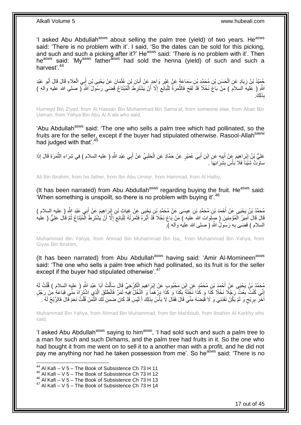'I asked Abu Abdullah<sup>asws</sup> about selling the palm tree (yield) of two years. He<sup>asws</sup> said: 'There is no problem with it'. I said, 'So the dates can be sold for this picking, and such and such a picking after it?' He<sup>asws</sup> said: 'There is no problem with it'. Then he<sup>asws</sup> said: 'My<sup>asws</sup> father<sup>asws</sup> had sold the henna (yield) of such and such a harvest<sup>'</sup> 44

حُمَيْدُ بْنُ زِيَادٍ عَنِ الْحَسَنِ بْنِ مُحَمَّدِ بْنِ سَمَاعَةٍ عَنْ غَيْرِ وَاحِدٍ عَنْ أَبَانِ بْنِ عُثْمَانَ عَنْ يَحْيَى بْنِ أَبِي الْعَلَاءِ قَالَ قَالَ أَبُو عَبْدِ **ٔ** َ ِ ْ **∶** َ ْ َ ِ اللَّهِ ( عليهَ السلامَ ) مَنْ بَاعَ نَخْلًا قَدْ لَقِحَ فَالثَّمَرَةُ لِلْبَانَعِ إِلَّا أَنْ يَشْتَرِطَ الْمُبْتَاعُ قَضَى رَسُولُ اللَّهِ ( صلى الله عليه وأله ) ْ َّ ْ ِ َ ِ <u>لِكَ</u> ِذَ ب

Humeyd Bin Ziyad, from Al Hassan Bin Muhammad Bin Sama'at, from someone else, from Aban Bin Usman, from Yahya Bin Abu Al A'ala who said,

'Abu Abdullah<sup>asws</sup> said: 'The one who sells a palm tree which had pollinated, so the fruits are for the seller, except if the buyer had stipulated otherwise. Rasool-Allahsaww had judged with that'.<sup>45</sup>

عَلِيُّ بْنُ إِنْرٍ اهِيمَ عَنْ أَبِيهِ عَنِ ابْنِ أَبِي عُمَيْرٍ عَنْ حَمَّادٍ عَنِ الْحَلَبِيِّ عَنْ أَبِي عَبْدِ اللَّهِ ( عليه السلام ) فِي شِرَاءِ الثَّمَرَةِ قَالَ إِذَا َ ِ َ ֦֦֧֦֧֦֦֧֦֦֦֧֦֧֦֧֦֧֦֧֦֧֦֧֦֧֦֧֦֧֦֚֚֚֝֟֝֝֝֝֝ َّ َ ِ ْ سَاوَتْ شَيَّئاً فَلَا بَأْسَ بِشِّرَائِهَا ۚ . **∣** 

Ali Bin Ibrahim, from his father, from Ibn Abu Umeyr, from Hammad, from Al Halby,

(It has been narrated) from Abu Abdullah<sup>asws</sup> regarding buying the fruit. He<sup>asws</sup> said: 'When something is unspoilt, so there is no problem with buying it'.<sup>46</sup>

مُحَمَّدُ بْنُ يَحْيَى عَنْ أَحْمَدَ بْنِ مُحَمَّدِ بْنِ عِيسَى عَنْ مُحَمَّدٍ بْنِ يَجْيَى عَنْ غِيَاثٍ بْنِ إِبْرَاهِيمَ عَنْ أَبِي عَبْدِ اللَّهِ ( عليه السلام )<br>يُرْمَحَنُ بِنُ يَحْيَى عَنْ أَحْمَدَ بْنِ مُحَمَّدِ بْنِ ।।<br>द َ ِ َ قَالَ قَالَ أَمِيرُ الْمُؤْمِنِينَ ( صِلَوات الله عليه ) مَنْ بَاعَ نَخْلًا قَدْ أَبَّرَهُ فَثَمَرَتُهُ لِلْبَائِعِ إِلَّا أَنْ يَشْتَرِطَ الْمُبْتَاعُ ثُمَّ قَالَ عَلِيٍّ ( عليه َ ا<br>ا ِ :<br>ا َ َ ْ َ ُ ْ ِ السلام ) قَضَمَى بِهِ رَسُولُ اللَّهِ ( صلى الله عليه وأله ). **∶** 

Muhammad Bin Yahya, from Ahmad Bin Muhammad Bin Isa,, from Muhammad Bin Yahya, from Giyas Bin Ibrahim,

(It has been narrated) from Abu Abdullah<sup>asws</sup> having said: 'Amir Al-Momineen<sup>asws</sup> said: 'The one who sells a palm tree which had pollinated, so its fruit is for the seller except if the buyer had stipulated otherwise<sup>'.47</sup>

مُحَمَّدُ بْنُ يَحْيَى عَنْ أَحْمَدَ بْنِ مُحَمَّدٍ عَنِ إِبْنِ مَحْبُوبِ عَنْ إِبْرَاهِيمَ الْكَرْخِيِّ قَالَ سَأَلْتُ أَبَا عَبْدِ اللَّهِ ( عليه السلام ) قُلْتُ لَهُ َ ْ َ ْ ِ ْ إِنِّي كُنْتُ بِعْثُ رَجُلًا نَخْلًا كَذَا وَ كَذَا نَخْلَةً بِكَذَا وَ كَذَا دِرْهَماً وَ النَّخْلُ فِيهِ ثَمَرٌ فَانْطَلَقَ الَّذِي اشْتَرَاهُ مِنِّي فَبَاعَهُ مِنْ رَجُلٍ ِ َّ َ ِ أَخَرَ بِرِبْحٍ وَ لَمْ يَكُنْ نَقَدَنِي وَ لَا قَبَضَهُ مِنِّي قَالَ فَقَالَ لَا بَأْسَ بِذَلِكَ أَ لَيْسَ قَدْ كَانَ ضَمِنَ لَكَ الثَّمَنَ قُلْتُ نَعَمْ قَالَ فَالرِّبْحُ لَهُ . ٍ ِ ْ َّ لَ َ

Muhammad Bin Yahya, from Ahmad Bin Muhammad, from Ibn Mahboub, from Ibrahim Al Karkhy who said,

'I asked Abu Abdullah<sup>asws</sup> saying to him<sup>asws</sup>, 'I had sold such and such a palm tree to a man for such and such Dirhams, and the palm tree had fruits in it. So the one who had bought it from me went on to sell it to a another man with a profit, and he did not pay me anything nor had he taken possession from me'. So he<sup>asws</sup> said: 'There is no

 $44$  Al Kafi – V 5 – The Book of Subsistence Ch 73 H 11

 $45$  Al Kafi – V 5 – The Book of Subsistence Ch 73 H 12

<sup>46</sup> Al Kafi – V 5 – The Book of Subsistence Ch 73 H 13

 $47$  Al Kafi – V 5 – The Book of Subsistence Ch 73 H 14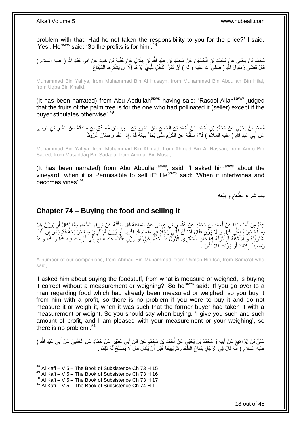problem with that. Had he not taken the responsibility to you for the price?' I said, 'Yes'. He<sup>asws</sup> said: 'So the profits is for him'.<sup>48</sup>

مُحَمَّدُ بْنُ يَحْيَى عَنْ مُحَمَّدِ بْنِ الْحُسَيْنِ عَنْ مُجَمَّدِ بْنِ عَيْدٍ اللَّهِ بْنِ هِلَالٍ عَنْ عُقْبَةَ بْنِ خَالِدٍ عَنْ أَبِي عَبْدِ اللَّهِ ( عليه السلام ) ْ َ َ قَالَ قَضَى رَسُولُ اللَّهِ ( صلىَ الله عليهَ وآله ) أَنَّ ثَمَرَ النَّخْلِ لِلَّذِيَ أَبَّرَ هَا إِلَّا أَنْ يَشْتَرِطَ الْمُبْتَاعُ . َّ  $\ddot{\phantom{0}}$ اُ ْ ِ َ ا<br>ا

Muhammad Bin Yahya, from Muhammad Bin Al Husayn, from Muhammad Bin Abdullah Bin Hilal, from Uqba Bin Khalid,

(It has been narrated) from Abu Abdullah<sup>asws</sup> having said: 'Rasool-Allah<sup>saww</sup> judged that the fruits of the palm tree is for the one who had pollinated it (seller) except if the buyer stipulates otherwise'.<sup>49</sup>

مُحَدَّدُ بْنُ يَحْيَيِ عَنْ مُحَمَّدِ بْنِ أَحْمَدَ عَنْ أَحْمَدَ بْنِ الْحَسَنِ عَنْ عَمْرٍ و بْنِ سَعِيدِ عَنْ مُصَدِّقٍ بْنِ صَدَقَةَ عَنْ عَمَّارِ بْنِ مُوسَى<br>مَشَقَّدُ بَنْ مَسَلَةٍ مَنْ مُحَمَّدِ بْنِ أَحْمَدَ مَثَ ْ َ َ ِ عَنْ أَبِي عَبْدِ اللَّهِ ( عليه السلاَم ) قَالَ سَأَلْتُهُ عَنِ الْكَرْمِ مَتَى يَحِلُّ بَيْغَهُ قَالَ إِذَا عَقَدَ وَ صَارَ عُرُوَقاً . ِ ْ ֺ֧֦֦֧֦֦֖֦֦֦֖֦֧֦֪֦֧֦֪֪֦֧֦֪֦֪֦֪֦֧֦֪֦֧֦֪֦֧֦֧֦֪֪֦֧֦֪֪֦֧֦֧֦֧֪֝֟֟֟֟֟֟֟֟֟֟֟֟֟֟֟֟֟֟֟֟֟֬֟֟֓֟֟֟֓֞֟֟֟֓֞֟֟֟֟֩֓֞֟֟֓֞֟֟֟֟֟֟֟֟֝ َ َ

Muhammad Bin Yahya, from Muhammad Bin Ahmad, from Ahmad Bin Al Hassan, from Amro Bin Saeed, from Musaddaq Bin Sadaqa, from Ammar Bin Musa,

(It has been narrated) from Abu Abdullah $a<sup>asws</sup>$ , said, 'I asked him $a<sup>asws</sup>$  about the vinevard, when it is Permissible to sell it? He $^{asws}$  said: 'When it intertwines and becomes vines'.<sup>50</sup>

> **َو َبْيِع ِه َّطَعام باب ِشَرا ِء ال ِ**

### <span id="page-17-0"></span>**Chapter 74 – Buying the food and selling it**

عِدَّةٌ مِنْ أَصْحَابِنَا عَنْ أَحْمَدَ بْنِ مُحَمَّدٍ عَنْ عُثْمَانَ بْنِ عِيِسَى عَنِْ سَمَاعَةَ قَالَ سَأَلْتُهُ عَنْ شِرَاءِ الطَّعَامِ مِمَّا يُكَالُ أَوْ يُوزَنُ هَلْ<br>مِنْ رَبِّي الْمَحَابِذَا عَنْ أَحْمَدَ بْنِ مُحَ ْ ĺ **ٔ** نِ مُحَمَّدٍ عَنْ عُثْ<br>ع **∣** َ َ ہ<br>'' َبَصِلْحُ شِرَاهُ بِغَيْرٍ كَيْلٍ وَ لَا وَزَّنِ فَقَالَ أَمَّا أَنْ تَأْتِيَ رَجُلًا فِي طَعَامٍ قَدِ اكْتِيلَ أَوْ وُزِنَ فَيَشْتَرِيَ مِنْهُ مُرَابَحَةً فَلَا بَأْسَ إِنْ أَنْتَ ∫ ِ ُ َ ِ د<br>أ ِ **ٍ** َ ٍ ْ َ ْ اَشْتَرَيْتَهُ وَ لَمْ تَكِلَّهُ أَوْ تَزَنْهُ إِذَا كَانَ الْمُشْتَرِي الْأَوَّلُ قَدْ أَخَذَهُ بِكَيْلٍ أَوْ وَرْنٍ فَقُلْتَ عِنْدَ الْبَيْعِ إِنِّي أُرْبِحُكَ فِيهِ كَذَا وَ كَذَا وَ قَدْ ْ َ ِ َ ْ ِ ْ **∶** ِ ِ ْ رَضِيتُ بِكَيْلِكَ أَوْ وَرْنِكَ فَلَا بَأْسَ . **ٔ** َ ِ

A number of our companions, from Ahmad Bin Muhammad, from Usman Bin Isa, from Sama'at who said,

'I asked him about buying the foodstuff, from what is measure or weighed, is buying it correct without a measurement or weighing?' So he<sup>asws</sup> said: 'If you go over to a man regarding food which had already been measured or weighed, so you buy it from him with a profit, so there is no problem if you were to buy it and do not measure it or weigh it, when it was such that the former buyer had taken it with a measurement or weight. So you should say when buying, 'I give you such and such amount of profit, and I am pleased with your measurement or your weighing', so there is no problem'.<sup>51</sup>

عَلِيُّ بْنُ إِبْرَاهِيمَ عَنْ أَبِيهِ وَ مُحَمَّدُ بْنُ يَحْيَي عَنْ أَحْمَدَ بْنِ مُحَمَّدٍ عَنِ ابْنِ أَبِي عُمَيْرِ عَنْ حَمَّادٍ عَنِ الْحَلَبِيِّ عَنْ أَبِي عَبْدِ اللَّهِ ( َ َ **!** َ ِ َ ِ ْ عليه السلَام ) أَنَّهُ قَالَ فِي الرَّجُلِ يَبْنَاعُ الطَّعَامَ ثُمَّ يَبِيعُهُ قَبَلَ أَنْ يُكَالَ قَالَ لَا يَصْنُحُ لَهُ ذَلِكَ . َ ان<br>ا َ ِ

 $^{48}$  Al Kafi – V 5 – The Book of Subsistence Ch 73 H 15

 $49$  Al Kafi – V 5 – The Book of Subsistence Ch 73 H 16

 $50$  Al Kafi – V  $5$  – The Book of Subsistence Ch 73 H 17

 $51$  Al Kafi – V 5 – The Book of Subsistence Ch 74 H 1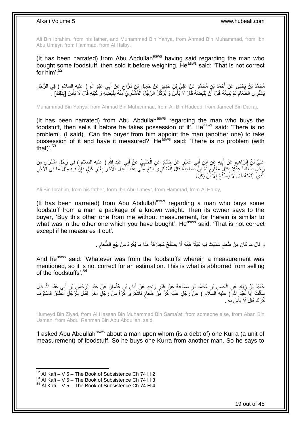Ali Bin Ibrahim, from his father, and Muhammad Bin Yahya, from Ahmad Bin Muhammad, from Ibn Abu Umeyr, from Hammad, from Al Halby,

(It has been narrated) from Abu Abdullah<sup>asws</sup> having said regarding the man who bought some foodstuff, then sold it before weighing. Heasws said: 'That is not correct for him' $^{52}$ 

مُحَمَّدُ بْنُ يَحْيَى عَنْ أَحْمَدَ بْنِ مُحَمَّدٍ عَنْ عَلِيٍّ بْنِ حَدِيدٍ عَنْ جَمِيلٍ بْنِ دَرَّاجٍ عَنْ أَبِي عَبْدِ اللَّهِ ( عليه السلام ) فِي الرَّجُلِ َ ٍ َ َبَشْتَرِي الطَّعَامَ ثُمَّ يَبِيعُهُ قَبْلَ أَنْ يَقْبِضُهُ قَالَ لَا بَأْسَ وَ يُوَكِّلُ الرَّجُلُ الْمُشْتَرِيَ مِّنْهُ بِقَبْضِبُهِ وَ كَيْلِهِ قَالَ لَا بَأْسَ [بِذُلِكَ] . ِ ِ ْ **ٔ** ِ اً **!** ُ ْ

Muhammad Bin Yahya, from Ahmad Bin Muhammad, from Ali Bin Hadeed, from Jameel Bin Darraj,

(It has been narrated) from Abu Abdullah<sup>asws</sup> regarding the man who buys the foodstuff, then sells it before he takes possession of it'. He<sup>asws</sup> said: 'There is no problem'. (I said), 'Can the buyer from him appoint the man (another one) to take precision of it and have it measured?' He<sup>asws</sup> said: 'There is no problem (with that) $153$ 

عَلِيُّ بْنُِ إِبْرَاهِيمَ عَنْ أَبِيهِ عَنِ إِبْنِ أَبِي عُمَيْرٍ عَنْ حَمَّادٍ عَنِ الْحَلَبِيِّ عَنْ أَبِي عَبْدِ اللَّهِ ( عليه السلام ) فِي رَجُلٍ اشْتَرَى مِنْ َ ِ ْ **!** َ ِ َجِلِّ طَعَاماً عِدْلًا بِكَيْلٍ مَعْلُومٍ ثُمَّ َإِنَّ صَاحِبَهُ قَالَ لِلْمُشْتُرِيَ ابْتَعْ مِنِّي هَذَا الْعِدْلَ الْآخَرَ بِغَيْرِ كَيْلٍ فَإِنَّ فِيهِ مِثْلَ مَا فِي الْآخَرِ<br>وَيَجْمَعُ وَكَذِي بِعَدْ الْمَسْتَمِعِ ْ יֲ<br>י .<br>• • • • ֧׆ֺ֧ ِ ِ **ٔ** ∣ٍ إ ِ ِ ْ الَّذِيِّ ابْتَعْتَهُ قَالَ لَا يَصْلُحُ إِلَّا أَنْ يَكِيلَ ز<br>ا ِ ُ َّ

Ali Bin Ibrahim, from his father, form Ibn Abu Umeyr, from Hammad, from Al Halby,

(It has been narrated) from Abu Abdullah<sup>asws</sup> regarding a man who buys some foodstuff from a man a package of a known weight. Then its owner says to the buyer, 'Buy this other one from me without measurement, for therein is similar to what was in the other one which you have bought'. He<sup>asws</sup> said: 'That is not correct except if he measures it out'.

> وَ قَالَ مَا كَانَ مِنْ طَعَام سَمَّيْتَ فِيهِ كَيْلًا فَإِنَّهُ لَا يَصْلُحُ مُجَازَفَةً هَذَا مَا يُكْرَهُ مِنْ بَيْعِ الطَّعَامِ . ِ ا<br>ـا ׀ו<br>ְי م ِ

And he<sup>asws</sup> said: 'Whatever was from the foodstuffs wherein a measurement was mentioned, so it is not correct for an estimation. This is what is abhorred from selling of the foodstuffs'.<sup>54</sup>

حُمَيْدُ بْنُ زِيَادٍ عَنِ الْحَسَنِ بْنِ مُحَمَّدِ بْنِ سَمَاعَةً عَنْ غَيْرِ وَاحِدٍ عَنْ أَبَانِ بْنِ عُثْمَانَ عَنْ عَيْدِ الرَّحْمَنِ بْنِ أَبِي عَيْدِ الثَّهِ قَالَ ْ َ **∶** ْ ِ َ سَأَلْتُ أَبَا عَبْدٍ اللَّهِ ( عليه السلام ) عَنْ رَجُلٍ عَلَيْهِ كُرٌّ مِنْ طَعَامِ فَاشْتَرَى كُرّاً مِنْ رَجُلٍ آخَرَ فَقَالَ لِلَرَّجُلِ اَنْظَلِقْ فَاسْتَوْفِ َ ْ َ ٍ كُرَّكَ قَالَ لَا بَأْسَ بِهِ . **∶ ٔ** 

Humeyd Bin Ziyad, from Al Hassan Bin Muhammad Bin Sama'at, from someone else, from Aban Bin Usman, from Abdul Rahman Bin Abu Abdullah, said,

'I asked Abu Abdullah<sup>asws</sup> about a man upon whom (is a debt of) one Kurra (a unit of measurement) of foodstuff. So he buys one Kurra from another man. So he says to

 $52$  Al Kafi – V 5 – The Book of Subsistence Ch 74 H 2

 $^{53}$  Al Kafi – V  $\overline{5}$  – The Book of Subsistence Ch 74 H 3

 $54$  Al Kafi – V 5 – The Book of Subsistence Ch 74 H 4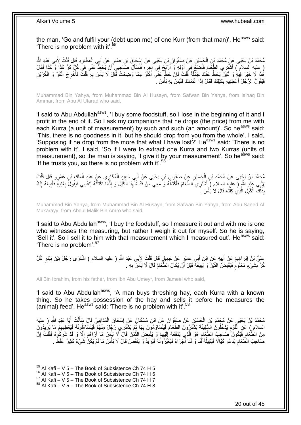the man, 'Go and fulfil your (debt upon me) of one Kurr (from that man)'. He<sup>asws</sup> said: 'There is no problem with it'.<sup>55</sup>

ْ مُحَمَّدُ بْنُ يَحْيَى عَنْ مُحَمَّدِ بْنِ الْحُسَيْنِ عَنْ صَفْوَانَ بْنِ يَحْيَى عَنْ إِسْحَاقَ بْنِ عَمَّارٍ عَنْ أَبِي الْعُطَارِدِ قَالَ قُلْتُ لِأَبِي عَبْدِ اللَّهِ َ ∣∣<br>; ْ ْ ِ ( عليه السلام ) أَشْتَرِي الطَّعَّامَ فَأَضَعُ فِي أَوَّلِهِ وَ أَرْبَعُ فِي آخِرِهِ فَأَسْأَلُ صَاحِبِي أَنْ يَحُطُّ عَنِّي فِي كُلِّ كُلِّ كَذَا وَكَذَا فَقَالَ<br>( عَلَيْهِ بَعْدِ الْمَسْئِرِي الطَّعَامَ فَيَسِمَّعُ فَي ِ َ َ َ َ َ َ هُذَا لَا خَيْرَ فِيهِ وَ لَكِنْ يَحُطُّ عَنْكَ جُمْلَةً قُلْتُ فَإِنْ حَطٍّ عَنِّي أَكْثَرَ مِمَّا وَضِعْتُ قَالَ لَا بَأْسَ بِهِ قُلْتٌ فَأُخْرِجُ الْكُرَّ وَ الْكُرَّيْنِ<br>مَا الْجَمْلِينَ فَلِيمِ وَلَكِنَّ يَنصُلُ عَنْ ْ َ َ ∣lٍ ْ ِ ُ ْ ِ فَيَقُولُ الرَّجُلُ أَعْطِنِيهِ بِكَيْلِكَ فَقَالَ إِذَا ائْتَمَنَكَ فَلَيْسَ بِهِ بَأْسٌ . ۖ ْ **∶** ِ َ

Muhammad Bin Yahya, from Muhammad Bin Al Husayn, from Safwan Bin Yahya, from Is'haq Bin Ammar, from Abu Al Utarad who said,

'I said to Abu Abdullah<sup>asws</sup>, 'I buy some foodstuff, so I lose in the beginning of it and I profit in the end of it. So I ask my companions that he drops (the price) from me with each Kurra (a unit of measurement) by such and such (an amount)'. So he<sup>asws</sup> said: 'This, there is no goodness in it, but he should drop from you from the whole'. I said, 'Supposing if he drop from the more that what I have lost?' He<sup>asws</sup> said: 'There is no problem with it'. I said, 'So if I were to extract one Kurra and two Kurras (units of measurement), so the man is saying, 'I give it by your measurement'. So he<sup>asws</sup> said: 'If he trusts you, so there is no problem with it'.<sup>56</sup>

مُحَمَّدُ بْنُ يَجْبَى عَنْ مُحَمَّدِ بْنِ الْحُسَيْنِ عَنْ صَفْوَانَ بْنِ يَحْيَى عَنْ أَبِي سَعِيدِ الْمُكَارِي عَنْ عَبْدِ الْمَلِكِ بْنِ عَمْرٍ وِ قَالَ قُلْتُ<br>مُحَمَّدُ بْنُ يَجْبَى عَنْ مُحَمَّدِ بْنِ الْحُسَيْنِ عَن ْ َ ْ ْ لأَبِي عَبْدِ اللَّهِ ( عليه السلام ) أَشْتَرِي الطَّعَامَ فَأَكْثَالُهُ وَ مَعِي مَنْ قَدْ شَهِدَ الْكَيْلَ وَ إِنَّمَا اكْتَلْتُهُ لِنَفْسِي فَيَقُولُ بِعْنِيهِ ۖ فَأَبِيعُهُ إِيَّاهُ<br>يَبْدَى أَيَسَ أَيَاهُ إِنَّ إِنَّ ِ ْ ِ ُ َ َ ِ ِ َ ِ ْ بِذَلِّكَ الْكَيْلِ الَّذِي كِلْتُهُ قَالَ لَا بَأْسَ  $\,$ **ٔ** ֦֧֦֧֦֦֧֦֦֦֦֦֦֦֦֦֦֦֦֦֦֦֦֦֦֦֧֦֧֦֧֦֦֧֦֪֪֦֦֧֦֦֦֧֦֪֪֪֦֟֟֟֟֟֟֟֟֟֟֟֟֟֟֓֕֟֟֓֕֟֓֟֓֞֟֝֟֓֟֓֟֓֞֟֓֞֟֟֓֞֟֓֞֟֓֞֟ َّ ْ

Muhammad Bin Yahya, from Muhammad Bin Al Husayn, from Safwan Bin Yahya, from Abu Saeed Al Mukarayy, from Abdul Malik Bin Amro who said,

'I said to Abu Abdullah<sup>asws</sup>, 'I buy the foodstuff, so I measure it out and with me is one who witnesses the measuring, but rather I weigh it out for myself. So he is saying, 'Sell it'. So I sell it to him with that measurement which I measured out'. He<sup>asws</sup> said: 'There is no problem'.<sup>57</sup>

عَلِيُّ بْنُ إِبْرَاهِيمَ عَنْ أَبِيهِ عَنِ ابْنِ أَبِي عُمَيْرٍ عَنْ جَمِيلٍ قَالَ قُلْتُ لِإَبِي عَبْدِ اللَّهِ ( عليه السلام ) اشْتَرَى رَجُلٌ تِيْنَ بَيْدَرٍ كُلَّ ْ َ ِ َ كُرٍّ تَبِثْنَيْءٍ مَعْلُومْ فَيَقْبِضَ النَّبْنَ وَ يَبِيعُهُۖ قَبْلَ أَنْ يُكَالَ الطَّعَامُ قَالَ لَا بَأْسَ بِهِ . **ِ** َ **!** ֧֧֧֧֧֧֧֧֧֓֝֓֝֓֝֓֝֬֟֓֓֝֓֓֝֬֓֝֓<del>֛</del> ِ ْ

Ali Bin Ibrahim, from his father, from Ibn Abu Umeyr, from Jameel who said,

'I said to Abu Abdullah<sup>asws</sup>, 'A man buys threshing hay, each Kurra with a known thing. So he takes possession of the hay and sells it before he measures the  $\frac{1}{2}$  (animal) feed'. He<sup>asws</sup> said: 'There is no problem with it'.<sup>58</sup>

مُحَمَّدُ بْنُ يَحْيَى عَنْ مُحَمَّدِ بْنِ الْحُسَيْنِ عَنْ صَفْوَانَ عَنِ ابْنِ مُسْكَانَ عَنْ إِسْحَاقَ الْمَدَائِنِيِّ قَالَ سَأَلْتُ أَبَا عَبْدِ اللَّهِ ( عليه ْ ∣l<br>∶ ْ َ ْ ĺ السلام ) عَنِ الْقَوْمِ يَدْخُلُونَ السَّفِينَةَ يَشْتَرُونَ الطَّعَامَ فَيَتَسَاوَمُونَ بِهَا ثُمَّ يَشْتَرِي رَجُلٌ مِنْهُمْ فَيَتَسَاءَلُونَهُ فَيُعْطِيهِمْ مَا يُرِيدُونَ ِ ْ ا<br>ا ال<br>الفات ِ ِ ِ مِنَ الطَّعَامِ فََيَكُونَ ۖ صَاحِبٌ الطَّعَامِ هُوَ الَّذِي يَدْفَعُهُ إِلَيْهِمْ وَ يَقْدِمَنُ النَّمَٰنَ قَالَ لَا بَأْسَ مَا أُرَاهُمْ إِلَّا وَ قَدْ شَرِكُوهُ فَقُلْتُ إِنَّ َّ ِ ِ لَ ٳٳ َّ ِ **ُ** ِ ْ ِ  $\frac{1}{2}$ اً ْ صَاحِبَ الطَّعَامِ يَدَّعُو كَيَّالًا فَيَكِيلُهُ لَٰٓنَا وَ لَنَا أُجَرَاءُ فَيُعَيِّرُونَٰهُ فَيَزِيَدُ وَ يَنْقُصُ قَالَ لَا بَأْسَ مَا لَمْ يَكُنْ شَيْءٌ كَثِيرٌ غَلَطٌ . ِ ا<br>ا ان<br>المنابع ِ ْ

 $55$  Al Kafi – V 5 – The Book of Subsistence Ch 74 H 5

 $56$  Al Kafi – V 5 – The Book of Subsistence Ch 74 H 6

 $57$  Al Kafi – V  $5 -$  The Book of Subsistence Ch 74 H 7

<sup>58</sup> Al Kafi – V 5 – The Book of Subsistence Ch 74 H 8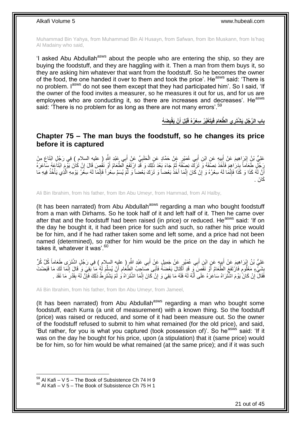Muhammad Bin Yahya, from Muhammad Bin Al Husayn, from Safwan, from Ibn Muskann, from Is'haq Al Madainy who said,

'I asked Abu Abdullah<sup>asws</sup> about the people who are entering the ship, so they are buying the foodstuff, and they are haggling with it. Then a man from them buys it, so they are asking him whatever that want from the foodstuff. So he becomes the owner of the food, the one handed it over to them and took the price'. He<sup>asws</sup> said: 'There is no problem. I<sup>asws</sup> do not see them except that they had participated him'. So I said, 'If the owner of the food invites a measurer, so he measures it out for us, and for us are employees who are conducting it, so there are increases and decreases'. He<sup>asws</sup> said: 'There is no problem for as long as there are not many errors'.<sup>59</sup>

> باب الرَّجُل يَشْتَرِ ي الطَّعَامَ فَيَتَغَيَّرُ سِعْرُهُ قَبْلَ أَنْ يَقْبِضَهُ **ِ َ**

### <span id="page-20-0"></span>**Chapter 75 – The man buys the foodstuff, so he changes its price before it is captured**

عَلِيُّ بْنُِ إِبْرَاهِيمَ عَنْ أَبِيهِ عَنِ ابْنِ أَبِي عُمَيْرٍ عَنْ حَمَّادٍ عَنِ الْحَلَبِيِّ عَنْ أَبِي عَبْدِ اللَّهِ (ِ عليهِ السلام ِ ) فِي رَجُلٍ ابْتَاعَ مِنْ ِ ْ ¦; َ رَجُلِّ طَعَاماً بِدَرَاهِمَ فَأَخَذَ نِصْفَهُ وَ تَرَكَّ نِصِفْهُ ثُمَّ جَاءَ بَعْدَ ذَلِكَ وَ قَدِّ إِرْتَفَعَ الْطَعَامُ أَوْ نَقُصٍ قَالَ إِنْ كَانَ يَوْمَ ابْتَاعَهُ سَاعَرَهُ َ ان<br>المقامات َ **∣** ֝׀֛<br>֧֪֪֢֝֓ أَنَّ لَمُّ كَذَا وَ كَذَا فَإِنَّمَا لَهُ سِعْرُهُ وَ إِنْ كَانَ إِنَّمَا أَخَذُ بَعْضاً وَ تَرَكَ بَعْضاً وَ لَّمْ يُسَمِّ سِعْراً فَإِنَّمَا لَهُ سِعْرَ يَوْمِهِ الَّذِي يَأْخُذُ فِيهِ مَا ر<br>ا ∣اٍ َ ِ ِ ∣اٍ<br>∶ :<br>نا ْ َّ كَانَ .

Ali Bin Ibrahim, from his father, from Ibn Abu Umeyr, from Hammad, from Al Halby,

(It has been narrated) from Abu Abdullah<sup>asws</sup> regarding a man who bought foodstuff from a man with Dirhams. So he took half of it and left half of it. Then he came over after that and the foodstuff had been raised (in price) or reduced. He<sup>asws</sup> said: 'If on the day he bought it, it had been price for such and such, so rather his price would be for him, and if he had rather taken some and left some, and a price had not been named (determined), so rather for him would be the price on the day in which he takes it, whatever it was'.<sup>60</sup>

عَلِيُّ بْنُ إِبْرَاهِيمَ عَنْ أَبِيهٍ عَنِ ابْنِ أَبِي عُمَيْرٍ عَنْ جَمِيلٍ عَنْ أَبِي عَبْدِ اللَّهِ ( عليه السلام ) فِي رَجُلٍ اشْتَرَى طَعَاماً كُلَّ كُلِّ أَرْ َ َ ِ َ ِ بِشَيْءٍ مَعْلُومٍ فَارْتَفَعَ الطَّعَامُ أَوْ نَقَصَ ۖ وَ قَدِ أَكْثَالَ بَعْضَهُ فَأَبَى صَّاحِبُ الطَّعَامِ أَنْ يُسَلِّمَ لَٰهُ مَا آَبَقِيَ وَ قَالَ إِنَّمَا لَكَ مَا قَبَضْتَ **∣** َ ٍ ِ ِّ َ  $\ddot{\phantom{a}}$ َ فَقَالَ ۖ إِنْ كَانَّ يَوْمَ اشْتَرَاهُ سَاعَرَهُ عَلَى أَنَّهُ لَهُ فَلَهُ مَا بَقِيَ وَ إِنْ كَانَ إِنَّمَا اشْتَرَاهُ وَ لَّمْ يَشْتَرِطْ ذَلِكَ فَإِنَّ لَهُ بِقَدْرِ مَا نَقَدَ . ِ ِ َ ِ ِ ِ  $\frac{1}{2}$ ∣ٍ

Ali Bin Ibrahim, from his father, from Ibn Abu Umeyr, from Jameel,

(It has been narrated) from Abu Abdullah<sup>asws</sup> regarding a man who bought some foodstuff, each Kurra (a unit of measurement) with a known thing. So the foodstuff (price) was raised or reduced, and some of it had been measure out. So the owner of the foodstuff refused to submit to him what remained (for the old price), and said, 'But rather, for you is what you captured (took possession of)'. So he<sup>asws</sup> said: 'If it was on the day he bought for his price, upon (a stipulation) that it (same price) would be for him, so for him would be what remained (at the same price); and if it was such

 $59$  Al Kafi – V 5 – The Book of Subsistence Ch 74 H 9

 $60$  Al Kafi – V 5 – The Book of Subsistence Ch 75 H 1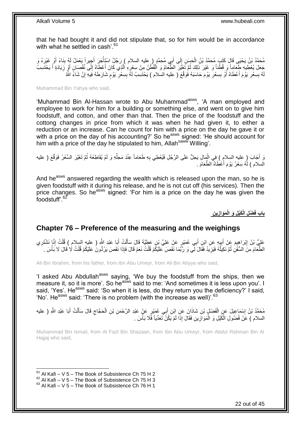that he had bought it and did not stipulate that, so for him would be in accordance with what he settled in cash<sup>'.61</sup>

مُحَدٌّدُ بْنُ يَحْيَى قَالَ كَتَبٍ مُحَدَّدُ بْنُ الْحَسَنِ إِلَى أَبِي مُحَمَّدٍ ( عليه السلام ) رَجُلٌ اسْتَأْجَرَ أَجِيراً يَعْمَلُ لَهُ بِنَاءً أَوْ غَيْرَهُ وَ َ ْ َ ِ ْ َ ِ ِجَعَلَ يُعْطِيهِ طَعَاماً وَ قُطْناً وَ غَيْرَ ذَلِكَ ثُمَّ ثَغَيَّرَ الطَّعَامُ وَ الْقُطْنُ مِنْ سِعْرِهِ الَّذِي كَانَ أَعْطَاهُ إِلَى نُقْصَانٍ أَوْ زَيَادَةِ أَ يَخْتَسِبُ َ ِ َ ِ َ َّ ֦֧֦֧ ْ ُ لَهُ بِسِعْرِ يَوْمَ أَعْطَاهُ أَوْ بِسِعْرِ يَوْمَ حَاسَبَهُ فَوَقَّعَ ( عليه السلام ) يَحْتَسِبُ لَهُ بِسِعْرِ يَوْمٍ شَارَطَهُ فَِيهِ إِنْ شَاءً الثَّهُ ِ **!** ز<br>ا َ ِ **!** ֧֖֧֖֖֖֖֖֧֖֖֧֧֧֧ׅ֧֧֧֧֧֧֧֧֧֧֧֧֚֚֚֚֚֚֚֚֝֝֟֓֝֓֝֓֝֬֟֓֟֓֝֬֝֬֝֓֝֬֜֓֝֬֜֓֝֬֝֓֝֬֝֓֝֬֝֬֓֝֬֝֬֝ ِ **∣** ِ

Muhammad Bin Yahya who said,

'Muhammad Bin Al-Hassan wrote to Abu Muhammad<sup>asws</sup>, 'A man employed and employee to work for him for a building or something else, and went on to give him foodstuff, and cotton, and other than that. Then the price of the foodstuff and the cottong changes in price from which it was when he had given it, to either a reduction or an increase. Can he count for him with a price on the day he gave it or with a price on the day of his accounting?' So he<sup>asws</sup> signed: 'He should account for him with a price of the day he stipulated to him, Allah<sup>saww</sup> Willing'.

نَ أَجَابَ (ِ عليه السلامِ ) فِي الْمِبَالِ يَحِلُّ عَلَى الرَّجُلِ فَيُعْطِي بِهِ طَعَاماً عِنْدَ مَحِلِّهِ وَ لَمْ يُقَاطِعْهُ ثُمَّ تَغَيَّرَ السِّعْرُ فَوَقَّعَ ( عليه ِّ ِ ْ ُ السلام ) لَهُ سِعْرُ يَوْمَ أَعْطَاهُ الطَّعَامَ . ا<br>ا

And he<sup>asws</sup> answered regarding the wealth which is released upon the man, so he is given foodstuff with it during his release, and he is not cut off (his services). Then the price changes. So he<sup>asws</sup> signed: 'For him is a price on the day he was given the foodstuff'.<sup>62</sup>

> **ْض ِل الْ َكْي ِل َو الْ ِن باب فَ ي َمَواز ِ**

### <span id="page-21-0"></span>**Chapter 76 – Preference of the measuring and the weighings**

عَلِيُّ بْنُ إِبْرَاهِيمَ عَنْ أَبِيهِ عَنِ ابْنِ أَبِي عُمَيْرٍ عَنْ عَلِيِّ بْنِ عَطِيَّةَ قَالَ سَأَلْتُ أَبَا عَبْدِ اللَّهِ ( عليه السلام ) قُلْتُ إِنَّا نَشْتَرِي<br>خَلَّي بَنْ إِبْرَاهِيمَ فَيْ أَبِيهِ عَنِ ابْنِ أَبِ َ ْ َ َ **!** َ ِ ِ ِ ْ الطَّعَامَ مِنَ السُّفُنِٰ ثُمَّ نَكِيلُهُ فَيَزِيَدُ فَقَالَ لِّي وَ رُبَّمَا نَقَصَ ۖ عَلَيْكُمْ قُلْتُ نَعَمْ قَالَ فَإِذَا نَقَصَ يَرُدُّونَ عَلَيْكُمْ قُلْتُ لَا فَالَ لَا بَأْسَ . ْ ِ ُ ُ ْ ْ لَ

Ali Bin Ibrahim, from his father, from Ibn Abu Umeyr, from Ali Bin Atiyya who said,

'I asked Abu Abdullah<sup>asws</sup> saying, 'We buy the foodstuff from the ships, then we measure it, so it is more'. So he<sup>asws</sup> said to me: 'And sometimes it is less upon you'. I said, 'Yes'. He<sup>asws</sup> said: 'So when it is less, do they return you the deficiency?' I said, 'No'. He<sup>asws</sup> said: 'There is no problem (with the increase as well)'.  $63$ 

مُحَمَّدُ بْنُ إِسْمَاعِيلَ عَنِ الْفَضْلِ بْنِ شَاذَانَ عَنِ إِبْنِ أَبِي عُمَيْرٍ عَنْ عَبْدِ الرَّحْمَنِ بْنِ الْحَجَّاجِ قَالَ سَأَلْتُ أَبَا عَبْدِ الثَّهِ ( عليه  $\zeta$ ْ َ ْ ِ َ ْ ĺ السلام ) عَنْ فُضُولِ الْكَيْلِ وَ الْمَوَازِينِ فَقَالَ إِذَا لَمْ يَكُنَّ تَعَدِّياً فَلَا بَأْسَ . **∶** ْ ْ ْ

Muhammad Bin Ismail, from Al Fazl Bin Shazaan, from Ibn Abu Umeyr, from Abdul Rahman Bin Al Hajjaj who said,

 $61$  Al Kafi – V 5 – The Book of Subsistence Ch 75 H 2

 $^{62}$  Al Kafi – V 5 – The Book of Subsistence Ch 75 H 3

 $63$  Al Kafi – V 5 – The Book of Subsistence Ch 76 H 1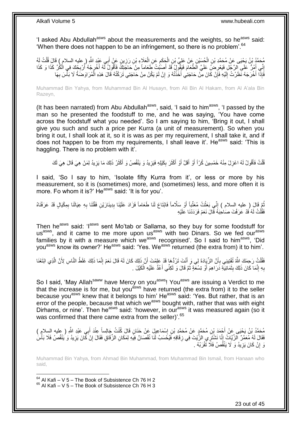'I asked Abu Abdullah<sup>asws</sup> about the measurements and the weights, so he<sup>asws</sup> said: 'When there does not happen to be an infringement, so there is no problem'.  $64$ 

مُحَمَّدُ بْنُ يَحْيَى عَنْ مُحَمَّدِ بْنِ الْجُسَيْنِ عَنْ عَلِيٍّ بْنِ الْجَكَمِ عَنِ الْعَلَاءِ بْنِ رَزِينٍ عَنْ أَبِي عَنْدٍ اللَّهِ ( عليه السلام ) قَالَ قُلْتُ لَهُ َ ِ ْ ِ ْ ْ ْ إِنِّي أَمُرُّ عَلَى الرَّجْلِ فَيَعْرِ ضَلِّ عَلَيَّ الطَّعَامَ فَيَقُولُ قَدْ أَصَنُتْ طَعَاماً مِنْ حَاجَتِكَ فَأَقُولُ لَّهُ أَخْرِجْهُ أُرْبِجْكَ فِي الْكُرِّ كَذَا وَ كَذَا ِ َ ِ ِ ُ ِ َ َ َ فَإِذَا أَخْرَجَهُ نَظَرْتُ إِلَيْهِ فَإِنْ كَانَ مِنْ حَاجَتِي أَخَذْتُهُ وَ إِنْ لَمْ يَكُنْ مِنْ حَاجَتِي تَرَكْتُهُ قَالَ هَذِهِ الْمُرَاوَضَةُ لَا بَأْسَ بِهَا ِ **ٔ** َ ِ لَ יִי<br>י ْ ِ **ٔ** 

Muhammad Bin Yahya, from Muhammad Bin Al Husayn, from Ali Bin Al Hakam, from Al A'ala Bin Razeyn,

(It has been narrated) from Abu Abdullah<sup>asws</sup>, said, 'I said to him<sup>asws</sup>, 'I passed by the man so he presented the foodstuff to me, and he was saying, 'You have come across the foodstuff what you needed'. So I am saying to him, 'Bring it out, I shall give you such and such a price per Kurra (a unit of measurement). So when you bring it out, I shall look at it, so it is was as per my requirement, I shall take it, and if does not happen to be from my requirements, I shall leave it'. He<sup>asws</sup> said: 'This is haggling. There is no problem with it'.

قُلْتُ فَأَقُولُ لَهُ اعْزِلْ مِنْهُ خَمْسِينَ كُرّاً أَوْ أَقَلَّ أَوْ أَكْثَرَ بِكَيْلِهِ فَيَزِيدُ وَ يَنْقُصُ وَ أَكْثَرُ ذَلِكَ مَا يَزِيدُ لِمَنْ هِيَ قَالَ هِيَ لَكَ  $\ddot{\phantom{0}}$ َ **∶** ِ ة<br>أ َ اُ **∶** َ ْ ِ

I said, 'So I say to him, 'Isolate fifty Kurra from it', or less or more by his measurement, so it is (sometimes) more, and (sometimes) less, and more often it is more. Fo whom it is?' He<sup>asws</sup> said: 'It is for you'.

ِّمَّ قَالَ ( عليه السِلام ) إِنِّي بَعَثْتُ مُعَتِّباً أَوْ سَلَّاماً فَابْتَاعَ لَنَا طَعَاماً فَزَادَ عَلَيْنَا بِدِينَارَيْنِ فَقُتْنَا بِهِ عِيَالَنَا بِمِكْيَالٍ قَدْ عَرَفْنَاهُ<br>مُنْ وَيَنَا بِنَ عَيَالَنَا بِمِكْي ِ َ **ٔ** ֦֦֦֚֚֝֝֝֝֝֝֬֝֝֬֝֝ ُ ِ ِ فَقُلْتُ لَهُ قَدْ عَرَفْتَ صَاحِبَهُ قَالَ نَعَمْ فَرَدَدْنَا عَلَيْهِ ْ

Then he<sup>asws</sup> said: 'I<sup>asws</sup> sent Mo'tab or Sallama, so they buy for some foodstuff for us<sup>asws</sup>, and it came to me more upon us<sup>asws</sup> with two Dinars. So we fed our<sup>asws</sup> families by it with a measure which we<sup>asws</sup> recognised'. So I said to him<sup>asws</sup>, 'Did you<sup>asws</sup> know its owner?' He<sup>asws</sup> said: 'Yes. We<sup>asws</sup> returned (the extra from) it to him'.

فَقُلْتُ رَحِمَكَ اللَّهُ تُفْتِينِي بِأَنَّ الزِّيَادَةَ لِي وَ أَنْتَ تَرُدُّهَا قَدْ عَلِمْتَ أَنَّ ذَلِكَ كَانَ لَهُ قَالَ نَعَمْ إِنَّمَا ذَلِكَ غَلَطُ النَّاسِ لِأَنَّ الَّذِي ابْتَعْنَا َ **∶** ْ ِ َ َ َّ بِهِ إِنَّمَا كَانَ ذَلِكَ بِثَمَانِيَةِ دَرَاهِمَ أَوْ تِسْعَةٍ ثُمَّ قَالَ وَ لَكِنِّي أَعُدُّ عَلَيْهِ الْكَيْلَ . َ ان<br>المقامات َ َ **∣** ِ ِ ْ

So I said, 'May Allah<sup>saww</sup> have Mercy on you<sup>asws</sup>! You<sup>asws</sup> are issuing a Verdict to me that the increase is for me, but you<sup>asws</sup> have returned (the extra from) it to the seller because you<sup>asws</sup> knew that it belongs to him' He<sup>asws</sup> said: 'Yes. But rather, that is an error of the people, because that which we<sup>asws</sup> bought with, rather that was with eight Dirhams, or nine'. Then he<sup>asws</sup> said: 'however, in our<sup>asws</sup> it was measured again (so it was confirmed that there came extra from the seller)<sup>'.65</sup>

مُحَمَّدُ بْنُ يَحْيَى عَنْ أَجْمَدَ بْنِ مُحَمَّدٍ مَنْ مُحَمَّدِ بْنِ إِسْمَاعِيلَ عَنْ حَنَانٍ قَالَ كُنْتُ جَالِساً عِنْدَ أَبِي عَبْدِ اللَّهِ ( عِليه السلام )<br>يَهْدَمَنُ بْنُ يَحْيَى عَنْ أَجْمَدَ بْنِ مُحَمَّدٍ عَن ِ َ  $\frac{1}{2}$ َ فَقَالَ لَهُ مُعَمَّرٌ الزَّيَّاتُ إِنَّا نَشْتَرِي الزَّيْتَ فِي زِقَاقِهِ فَيُحْسَبُ لَنَا نُقْصَانٌ فِيَهِ لِمَكَانِ الزِّقَاقِ فَقَالَ إِنْ كَانَ يَزِيدُ وَ يَنْقُصُ فَلَا بَأْسَ **∶** ֺ֢֦֦֢֦֧ׅ֦֦֦֚֝֟֘֝֟֜֝֜֟֓֓֕֓֕֜֟֓֡֟֓֡֟֓֟֓֡֟֟֓֡֟֓֡֟ ْ ِ ِ وَ إِنْ كَانَ يَزِيدُ وَ لَا يَنْقُصُ فَلَا تَقْرَبْهُ . ِ ِ

Muhammad Bin Yahya, from Ahmad Bin Muhammad, from Muhammad Bin Ismail, from Hanaan who said,

1  $64$  Al Kafi – V 5 – The Book of Subsistence Ch 76 H 2  $65$  Al Kafi – V 5 – The Book of Subsistence Ch 76 H 3

23 out of 45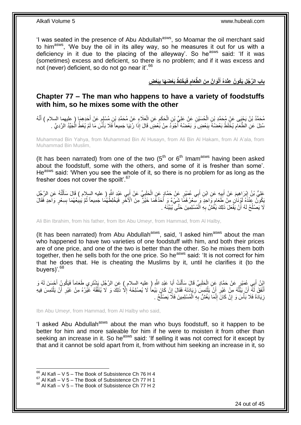'I was seated in the presence of Abu Abdullah<sup>asws</sup>, so Moamar the oil merchant said to him<sup>asws</sup>, 'We buy the oil in its alley way, so he measures it out for us with a deficiency in it due to the placing of the alleyway'. So he<sup>asws</sup> said: 'If it was (sometimes) excess and deficient, so there is no problem; and if it was excess and not (never) deficient, so do not go near it<sup>'66</sup>

> باب الرَّجُل يَكُونُ عِنْدَهُ أَلْوَانٌ مِنَ الطَّعَامِ فَيَخْلِطُ بَعْضَهَا بِبَعْضٍ **ِ ِ َ**

### <span id="page-23-0"></span>**Chapter 77 – The man who happens to have a variety of foodstuffs with him, so he mixes some with the other**

مُحَمَّدُ بْنُ يَحْيَى عَنْ مُحَمَّدِ بْنِ الْحُسَيْنِ عَنْ عَلِيِّ بْنِ الْحَكَمِ عَنِ الْعَلَاءِ عَنْ مُحَمَّدِ بْنِ مُسْلِمٍ عَنْ أَحَدِهِمَا ( عليهما السلام ) أَنَّهُ<br>مُحَمَّدُ بْنُ يَجِّيَ مُنْ أَجْمُدَتْ بِنِ الْحُس ْ َ َ ֧֖֧֦֧֦֧֦֧֚֚֝֝֝֝֬֝֓֝֓֝֓**֓** ْ ِ ْ سُئِلَ عَنِ الطَّعَامِ يُخْلَطُ بَعْضُهُ بِبَعْضٍ وَ بَعْضُهُ أَجْوَدُ مِنْ بَعْضٍ قَالَ إِذَا رُئِيَا جَمِيعاً فَلَا بَأْسٌ مَا لَمْ يُغَطِّ الْجَيِّدُ الرَّدِيَّ . **ٔ ∣** ِ ْ

Muhammad Bin Yahya, from Muhammad Bin Al Husayn, from Ali Bin Al Hakam, from Al A'ala, from Muhammad Bin Muslim,

(It has been narrated) from one of the two  $(5<sup>th</sup>$  or  $6<sup>th</sup>$  Imam<sup>asws</sup> having been asked about the foodstuff, some with the others, and some of it is fresher than some'. He<sup>asws</sup> said: 'When you see the whole of it, so there is no problem for as long as the fresher does not cover the spoilt<sup>'.67</sup>

**∶** عَلِيُّ بْنُ إِبْرَاهِيمَ عَنْ أَبِيهِ عَنِ ابْنِ أَبِي عُمَيْرٍ عَنْ حَمَّادٍ عَنِ الْحَلَبِيِّ عَنْ أَبِي عَيْدِ الثَّهِرِ طيه السلام ) قَالَ سَأَلْتُهُ عَنِ الرَّجُلِ ْ َ **!** َ ِ ْ اً<br>أ َ َبِكُونَۢ عِنْدَهُ لَوْنَانٍ مِنْ طَّعَامٍ وَّاحِدٍ ۖ وَ سَعْرُ هُمَّا شَيْءٌ وَ أَحَدُهُمَا خَيْرٌ مِنَ الْأَخْرِ فَيَخْلِطُهُمَا جَمِيعاً ثُمَّ بَيْبِعُهُمَا بِسِعْرٍ وَاحِدٍ فَقَالَ م<br>م ِ ِ ُ ِ لَا يَصْلُحُ لَهُ أَنْ يَفْعَلَ ذَلِكَ يَغُشَّ بِهِ الْمُسْلِمِينَ حَتَّى يُبَيِّنَهُ . ْ **∶** ا<br>ا ُ

Ali Bin Ibrahim, from his father, from Ibn Abu Umeyr, from Hammad, from Al Halby,

(It has been narrated) from Abu Abdullah<sup>asws</sup>, said, 'I asked him<sup>asws</sup> about the man who happened to have two varieties of one foodstuff with him, and both their prices are of one price, and one of the two is better than the other. So he mixes them both together, then he sells both for the one price. So he<sup>asws</sup> said: 'It is not correct for him that he does that. He is cheating the Muslims by it, until he clarifies it (to the buyers)'.<sup>68</sup>

اثِنُ أَبِي عُمَيْرٍ عَنْ حَمَّادٍ عَنِ الْحَلَبِيِّ قَالَ سَأَلْتُ أَبَا عَيْدِ اللَّهِ ( عليه السلام ) عَنِ الرَّجُلِ يَشْتَرِي طَعَاماً فَيَكُونُ أَحْسَنَ لَهُ وَ<br>وَدَيَ يَهْ مَسْئَةٍ مِنْ حَمَّاءٍ عَنِ الْحَلَبِيِّ فَ َ ْ َ **∶** ْ َ أَنْفَقَ لَمْ أَنْ يَبْلَّهُ مِنْ غَيْرِ أَنْ يَلْتَمِسَ زِيَادَتَهُ فَقَالَ إِنْ كَانَ بَيْعاً لَا يُصْلِحُهُ إِلَّا ذَلِكَ وَ لَا يُنَفِّقُهُ غَيْرُهُ مِنْ غَيْرِ أَنْ يَلْتَمِسَ فِيهِ ِ ِ ْ **∶** َّ ْ َ ِ ِ زِيَادَةً فَلَا بَأْسَ وَ إِنْ كَانَ إِنَّمَا يَغُشُّ بِهِ الْمُسْلِمِينَ فَلَا يَصْلُحُ . ا<br>ا ْ ِ ِ **ٔ** ِ

Ibn Abu Umeyr, from Hammad, from Al Halby who said,

'I asked Abu Abdullah<sup>asws</sup> about the man who buys foodstuff, so it happen to be better for him and more saleable for him if he were to moisten it from other than seeking an increase in it. So he<sup>asws</sup> said: 'If selling it was not correct for it except by that and it cannot be sold apart from it, from without him seeking an increase in it, so

 $66$  Al Kafi – V 5 – The Book of Subsistence Ch 76 H 4

 $^{67}$  Al Kafi – V  $\overline{5}$  – The Book of Subsistence Ch 77 H 1

 $68$  Al Kafi – V 5 – The Book of Subsistence Ch 77 H 2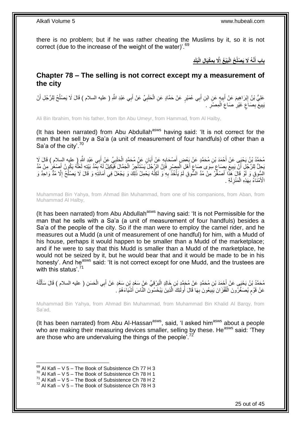there is no problem; but if he was rather cheating the Muslims by it, so it is not correct (due to the increase of the weight of the water)'.<sup>69</sup>

> **ِد َبلَ ِم ْكَيا ِل الْ ََّل ب َبْي ُع إ ُح الْ َّن ُه ََل َي ْصلُ باب أ ِ ِ َ**

### <span id="page-24-0"></span>**Chapter 78 – The selling is not correct except my a measurement of the city**

عَلِيُّ بْنُ إِبْرَاهِيمَ عَنْ أَبِيهٍ عَنِ ابْنِ أَبِي عُمَيْرٍ عَنْ حَمَّادٍ عَنِ الْحَلَبِيِّ عَنْ أَبِي عَبْدِ اللَّهِ ( عليه السلام ) قَالَ لَا يَصْلُحُ لِلرَّجُلِ أَنْ َ ِ ْ َ **!** َ ِ َ ُ يَبِيعَ بِصَاعٍ غَيْرِ صَاعِ الْمِصْرِ . ِ ْ ِ **∶** ٍ ِ **!** 

Ali Bin Ibrahim, from his father, from Ibn Abu Umeyr, from Hammad, from Al Halby,

(It has been narrated) from Abu Abdullah<sup>asws</sup> having said: 'It is not correct for the man that he sell by a Sa'a (a unit of measurement of four handfuls) of other than a Sa'a of the city'.<sup>70</sup>

ِ مُحَمَّدُ بْنُ يَحْيَى عَنْ أَحْمَدَ بْنِ مُحَمَّدٍ عَنْ بَعْضِ أَصْحَابِهِ عَنْ أَبَانٍ عَنْ مُحَمَّدٍ الْحَلَبِيِّ عَنْ أَبِي عَبْدِ اللَّهِ ( عليه السلام ) قَالَ لَا<br>مَحْمَّدُ بَنْ يَحْيَى عَنْ أَحْمَدَ بْنِ مُحَمَّدٍ ع َ ِ ْ َ **∶** َ َ بَحِلُّ لِلرَّجُلِ أَنْ يَبِيعَ بِصَاعِ سِوَى صَاعِ أَهْلِ الْمِصْرِرِ فَإِنَّ الرَّجُلَ يَسْتَأْجِرُ الْجَمَّالَ فَيَكِيلُ لَهُ بِمُدِّ بَيْتِهِ لَعَلِّهُ يَكُونُ أَصْغَرَ مِنْ مُدِّ ْ ْ ِ **ٍ** ْ َ ِ ٍ ِ **!** ز<br>ا َ َّ ِ السُّوقِ وَ لَوْ قَالَ َهَذَا أَصْغَّرُ مِنْ مُدِّ السُّوقِ لَمْ يَأْخُذُ بِهِ وَ لَكِنَّهُ يَحْمِلُ ذَلِّكَ وَ يَجْعَلُ فِي أَمَانَتِهِ وَ قَالَ لَا يَصْلُحُ إِلَّا مُدٌّ وَاحِدٌ وَ َ ِ ُ َ ِ **ٔ** ة<br>أ الْأَمْنَاءُ بِهَذِهِ الْمَنْزِلَةِ . لَ ِ ْ ِ

Muhammad Bin Yahya, from Ahmad Bin Muhammad, from one of his companions, from Aban, from Muhammad Al Halby,

(It has been narrated) from Abu Abdullah<sup>asws</sup> having said: 'It is not Permissible for the man that he sells with a Sa'a (a unit of measurement of four handfuls) besides a Sa'a of the people of the city. So if the man were to employ the camel rider, and he measures out a Mudd (a unit of measurement of one handful) for him, with a Mudd of his house, perhaps it would happen to be smaller than a Mudd of the marketplace; and if he were to say that this Mudd is smaller than a Mudd of the marketplace, he would not be seized by it, but he would bear that and it would be made to be in his honesty'. And he<sup>asws</sup> said: 'It is not correct except for one Mudd, and the trustees are with this status'.<sup>71</sup>

مُحَمَّدُ بْنُ يَحْيَى عَنْ أَحْمَدَ بْنِ مُحَمَّدٍ عَنْ مُحَمَّدٍ بْنِ خَالِدٍ الْبَرْقِيِّ عَنٍْ سَعْدٍ بْنِ سَعْدٍ عَنْ أَبِي الْحَسَنِ ( عليه السلام ) قَالَ سَأَلْتُهُ ْ ĺ ْ َ ْ عَنْ قَوْم يُصَغِّرُونَ الْقُفْزَانَ يَبِيعُونَ بِهَا قَالَ أُولَئِكَ الَّذِينَ يَبْخَسُونَ النَّاسَ أَشْيَاءَهُمْ <sub>ـ</sub> َ َّ ان<br>ا ِ **!** ْ م

Muhammad Bin Yahya, from Ahmad Bin Muhammad, from Muhammad Bin Khalid Al Barqy, from Sa'ad,

(It has been narrated) from Abu Al-Hassan<sup>asws</sup>, said, 'I asked him<sup>asws</sup> about a people who are making their measuring devices smaller, selling by these. He<sup>asws</sup> said: 'Thev are those who are undervaluing the things of the people<sup>772</sup>

<sup>1</sup>  $69$  Al Kafi – V 5 – The Book of Subsistence Ch 77 H 3

 $70$  Al Kafi – V 5 – The Book of Subsistence Ch 78 H 1

 $^{71}$  Al Kafi – V 5 – The Book of Subsistence Ch 78 H 2

 $72$  Al Kafi – V 5 – The Book of Subsistence Ch 78 H 3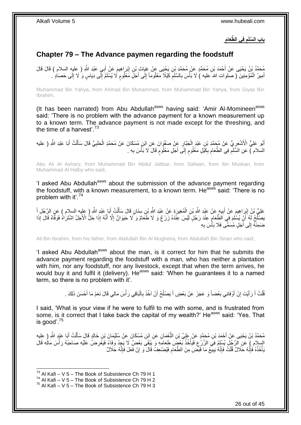**ِ َّطَعام فِي ال باب ال َّسلَم ِ**

## <span id="page-25-0"></span>**Chapter 79 – The Advance paymen regarding the foodstuff**

مُحَمَّدُ بْنُ يَحْيَى عَنْ أَحْمَدَ بْنِ مُحَمَّدٍ عَنْ مُحَمَّدٍ بْنِ يَحْيَى عَنْ غِيَاثٍ بْنِ إِبْرَ إِهِيمَ عَنْ أَبِي عَبْدِ اللَّهِ ( عِلْيِهِ السلام ) قَالَ قَالَ<br>يُحْمَدُ بْنُ يَحْيَى عَنْ أَحْمَدَ بْنِ مُحَمَّدٍ َ ِ أَمِيرُ الْمُؤْمِنِينَ ( صلوات الله عليه ) لَا بَأْسَ بِالسَّلَمَ كَيْلًا مَعْلُوماً إِلَى أَجَلٍّ مَعْلُومٍ لَا يُسْلَمُ إِلَى دِيَاسٍ وَ لَا إِلَى حَصَادٍ . َ لَ ِ ٍ َ ِ ِ ِ ْ لَ ِ

Muhammad Bin Yahya, from Ahmad Bin Muhammad, from Muhammad Bin Yahya, from Giyas Bin Ibrahim,

(It has been narrated) from Abu Abdullah<sup>asws</sup> having said: 'Amir Al-Momineen<sup>asws</sup> said: 'There is no problem with the advance payment for a known measurement up to a known term. The advance payment is not made except for the threshing, and the time of a harvest'. $^{73}$ 

َ أَبُو عَلِيٍّ الْأَشْعَرِيُّ عَنْ مُجَمَّدِ بْنِ عَبْدِ الْجَبَّارِ عَنْ صَفْوَانَ عَنِ ابْنٍ مُسْكَانَ عَنْ مُحَمَّدٍ الْحَلَبِيِّ قَالَ سَأَلْتُ أَبَا عَبْدِ اللَّهِ ( عليه ِ ْ ِ ْ ِ َ ْ َ السلام ) عَنِ السَّلَمِ فِي الطَّعَامِ بِكَيْلٍ مَعْلُومٍ إِلَى أَجَلٍ مَعْلُومٍ قَالَ لَا بَأْسَ بِهِ . ٍ َ ِ م ِ ِ ِ ِ ْ

Abu Ali Al Ashary, from Muhammad Bin Abdul Jabbar, from Safwan, from Ibn Muskan, from Muhammad Al Halby who said,

'I asked Abu Abdullah<sup>asws</sup> about the submission of the advance payment regarding the foodstuff, with a known measurement, to a known term. He<sup>asws</sup> said: 'There is no problem with it'.<sup>74</sup>

عَلِيُّ بْنُ إِبْرَاهِيمَ عَنْ أَبِيهٍ عَنْ عَبْدِ اللَّهِ بْنِ الْمُغِيرَةِ عَنْ عَبْدِ اللَّهِ بْنِ سِنَانٍ قَالَ سَأَلْتُ أَبَا عَبْدِ اللَّهِ ( عِلْبِه السلام ) عَنِ الرَّجُلِ أَ ْ ĺ ْ **!** َ ِ َ َ يَصْلُّحُ لَّهِ ۖ أَنْ يُسْلِمَ فِي الطَّعَامِ عِنْدَ رَجُلٍ لَيْسَ عِنْدَهُ زَرْعٌ وَ لَا طَّعَامٌ وَ ۗلَا حَيَوَانٌ إِلَّا أَنَّهُ إِذَا حَلُّ الْأَجَلُ اشْتَرَاهُ فَوَفَّاهُ قَالَ إِذَا َ ِ ِ اُ ضَمِنَـٰهُ إِلَى أَجَلٍ مُسَمَّـى فَلَا بَأْسَ بِهِ ِ ا<br>ا َ  $\frac{1}{2}$ 

Ali Bin Ibrahim, from his father, from Abdullah Bin Al Mugheira, from Abdullah Bin Sinan who said,

'I asked Abu Abdullah<sup>asws</sup> about the man, is it correct for him that he submits the advance payment regarding the foodstuff with a man, who has neither a plantation with him, nor any foodstuff, nor any livestock, except that when the term arrives, he would buy it and fulfil it (delivery). He<sup>asws</sup> said: 'When he guarantees it to a named term, so there is no problem with it'.

> قُلْتُ أَ رَأَيْتَ إِنْ أَوْفَانِي بَعْضاً وَ عَجَزَ عَنْ بَعْضٍ أَ يَصْلُحُ أَنْ آخُذَ بِالْبَاقِي رَأْسَ مَالِي قَالَ نَعَمْ مَا أَحْسَنَ ذَلِكَ . **ٔ** ْ **∶** اُ ا<br>ا َ َ ِ َ َ ْ َ

I said, 'What is your view if he were to fulfil to me with some, and is frustrated from some, is it correct that I take back the capital of my wealth?' He<sup>asws</sup> said: 'Yes. That is good'. $75$ 

مُحَمَّدُ بْنُ يَحْيَى عَنْ أَحْمَدَ بْنِ مُحَمَّدٍ عَنْ عَلِيِّ بْنِ النُّعْمَانِ عَنِ ابْنِ مُسْكَانَ عَنْ سُلَيْمَانِ بْنِ خَالِدٍ قَالَ سَأَلْتُ أَبَا عَيْدٍ اللَّهِ ( عليه<br>. َ ْ َ السلام ) عَنِ الرَّجُلِ يُسْلِمُ فِيَ الزَّرْعِ فَيَأْخُذُ بَعْضٍَ طَعَامِهِ وَ يَنْقَى بَعْضٌ لَا يَجِدُ وَفَاءً فَيَغْرِضُ عَلَيْهِ صَاحِبُهُ رَأْسَ مَالِهِ قَالَ<br>إِمْمُ إِنَّ الرَّجُلِ يُسْلِمُ فِيَ الزَّرْعِ فَيَأْخُذُ ِ ا<br>المسلمان<br>المسلمان ِ **ٔ** لَ يَأْخُذُهُ فَإِنَّهُ حَلَالٌ قُلْتُ فَإِنَّهُ يَبِيعُ مَا قَبَحْنَ مِنَ الطَّعَامِ فَيُصْعِفُ قَالَ وَ إِنْ فَعَلَ فَإِنَّهُ حَلَالٌ ِ ِ **!** ِ ْ ׀ו<br>ِי ِ

 $^{73}$  Al Kafi – V 5 – The Book of Subsistence Ch 79 H 1

 $74$  Al Kafi – V 5 – The Book of Subsistence Ch 79 H 2

 $^{75}$  Al Kafi – V 5 – The Book of Subsistence Ch 79 H 3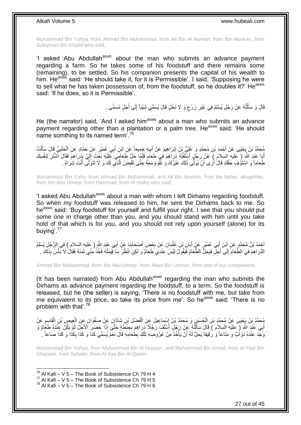Muhammad Bin Yahya, from Ahmad Bin Muhammad, from Ali Bin Al Numan, from Ibn Muskan, from Suleyman Bin Khalid who said,

'I asked Abu Abdullah<sup>asws</sup> about the man who submits an advance payment regarding a farm. So he takes some of his foodstuff and there remains some (remaining), to be settled. So his companion presents the capital of his wealth to him. He<sup>asws</sup> said: 'He should take it, for it is Permissible'. I said, 'Supposing he were to sell what he has taken possession of, from the foodstuff, so he doubles it?' He<sup>asws</sup> said: 'If he does, so it is Permissible'.

> قَالَ وَ سَأَلْتُهُ عَنْ رَجُلٍ يُسْلِمُ فِي غَيْرِ زَرْعٍ وَ لَا نَخْلٍ قَالَ يُسَمِّي شَيْئاً إِلَى أَجَلٍ مُسَمًّى . َ ِ ; **∶** ֦֖֖֦֖֦֪֦֧֦֦֦֖֦֦֖֦֧֦֪֦֦֧֦֪֦֪֦֪֦֧֦֪֦֧֦֪֦֧֦֧֦֪֦֧֦֧֦֪֦֧֦֧֪֦֧֦֧֦֧֦֟֟֟֟֟֟֟֟֟֟֟֟֟֟֟֟֟֟֟֟֟֟֟֟֟֟֟֟֟֟֟֟֟֟֟֟֟֟֟֩֕֟֟֟֟֟֟֟֟֟ َ

He (the narrator) said, 'And I asked him<sup>asws</sup> about a man who submits an advance payment regarding other than a plantation or a palm tree. He<sup>asws</sup> said: 'He should name somthing to its named term'.<sup>76</sup>

مُحَمَّدُ بْنُ يَحْيَى عَنْ أَحْمَدَ بْنِ مُحَمَّدٍ وَ عَلِيُّ بْنُ إِبْرَاهِيمَ عَنْ أَبِيهِ جَمِيعاً عَنِ ابْنِ أَبِي عُمَيْرٍ عَنْ حَمَّادٍ عَنِ الْحَلَبِيِّ قَالَ سَأَلْتُ<br>يَجِمَّدُ بْنُ يَحْيَى عَنْ أَحْمَدَ بْنِ مُحَ َ ِ َ ِ َ ْ َ ِ ْ أَبَا عَبْدِ اللَّهِ ( عليه السلام ) عَنْ رَجُلٍ أَسْلَفْتُهُ دَرَاهِمَ فِي طَعَامٍ فَلَمَّا حَلَّ طَعَامٍيَ عَلَيْهِ بَغَثَ إِلَيَّ بِذَرَاهِمَ فَقَالَ آشْتَرِ لِنَفْسِكَ َ ِ لَ ِ ٍ ِ طَعَاماً وَ اسْتَوْفِ حَقَّكَ قَالَ أَرَى أَنْ يُوَلِّي ذَلِكَ غَيْرُكَ وَ تَقُومَ مَعَّهُ حَتَّى تَقْبِضَ الَّذِي لَكَ وَ لَا تَتَوَلَّى أَنْتَ شِرَاهُ . ِ َ َ َ َّ

Muhammad Bin Yahy, from Ahmad Bin Muhammad, and Ali Bin Ibrahim, from his father, altogether, from Ibn Abu Umeyr, from Hammad, from Al Halby who said,

'I asked Abu Abdullah<sup>asws</sup> about a man with whom I left Dirhams regarding foodstuff. So when my foodstuff was released to him, he sent the Dirhams back to me. So he<sup>asws</sup> said: 'Buy foodstuff for yourself and fulfill your right. I see that you should put some one in charge other than you, and you should stand with him until you take hold of that which is for you, and you should not rely upon yourself (alone) for its buying'.<sup>77</sup>

أَحْمَدُ بْنُ مُحَمَّدٍ عَنِ ابْنِ أَبِي عُمَيْرٍ عَنْ أَبَانِ بْنِ عُثْمَانَ عَنْ بَعْضٍ أَصْبِحَابِذَا عَنْ أَبِي عَبْدِ اللَّهِ ( عِليهِ السلام ) فِي الرَّجُلِ يُسْلِمُ َ ِ َ **ٔ** َ َ الذَّرَاهِمَ فِي الظَّعَامِ إِلَى أَجَلٍّ فَيَحِلُّ الطَّعَامُ فَيَقُولَ ُلَيْسَ عِنْدِي طَعَامٌ وَ لَكِنِ انْظُرْ مَا قِيمَتُهُ فَخُذْ مِنِّي ثَمَنَهُ فَقَالَ لَا بَأْسَ بِذَلِكَ . َ  $\frac{1}{2}$ ِ ْ َ **ٔ:** 

Ahmad Bin Muhammad, from Ibn Abu Umeyr, from Aban Bin Usman, from one of our companions,

(It has been narrated) from Abu Abdullah<sup>asws</sup> regarding the man who submits the Dirhams as advance payment regarding the foodstuff, to a term. So the foodstuff is released, but he (the seller) is saying, 'There is no foodstuff with me, but take from me equivalent to its price, so take its price from me'. So he<sup>asws</sup> said: 'There is no problem with that'.<sup>78</sup>

مُحَمَّدُ بْنُ يَجْيَى عَنْ مُحَمَّدِ بْنِ الْحُسَيْنِ وَ مُحَمَّدُ بْنُ إِسْمَاعِيلَ عَنِ الْفَضْلِ بْنِ شَاذَانَ عَنْ صَفْوَانَ عَنِ الْعِيصِ بْنِ الْقَاسِعِ عَنْ ْ ِ ْ ِ ْ ْ أَبِي عَبْدٍ اللَّهِ ( عِليه السلام ) قَالَ سَأَأَنَّهُ عَنْ رَجُلٍ أَسْلَفَ رَجُلًا َدَرَاهِمَ بِحِنْطَةٍ حَتَّى إِذَا حَضَرِ الْأَجَلُ لَمْ يَكُنْ عِنْدَهُ طَغَامٌ وَ َ ْ َ ِ وَجَدَ عِنْدَهُ دَوَاٰبٌ وَ مَتَاعاً وَ رَقِيقاً يَحِلُّ لَهُ أَنْ يَأْخُذَ مِنْ عُرُوضِهِ تِلْكَ بِطُعَامِهِ قَالَ نَعَمْ يُسَمِّي كَذَا وَ كَذَا وَ كَذَا صَاعاً ۚ ا ِ ْ د<br>أ اُ ِ

Muhammad Bin Yahya, from Muhammad Bin Al Husayn, and Muhammad Bin Ismail, from Al Fazl Bin Shazaan, from Safwan, from Al Ays Bin Al Qasim,

 $76$  Al Kafi – V 5 – The Book of Subsistence Ch 79 H 4

- $77$  Al Kafi V  $5$  The Book of Subsistence Ch 79 H 5
- $78$  Al Kafi V 5 The Book of Subsistence Ch 79 H 6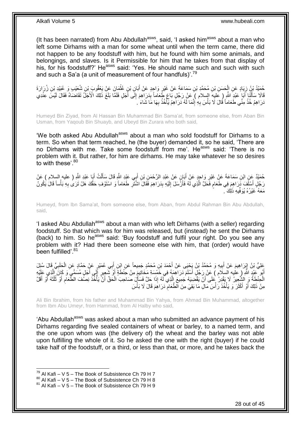(It has been narrated) from Abu Abdullah $a<sup>asws</sup>$ , said, 'I asked him $a<sup>asws</sup>$  about a man who left some Dirhams with a man for some wheat until when the term came, there did not happen to be any foodstuff with him, but he found with him some animals, and belongings, and slaves. Is it Permissible for him that he takes from that display of his, for his foodstuff?' He<sup>asws</sup> said: 'Yes. He should name such and such with such and such a Sa'a (a unit of measurement of four handfuls)'.<sup>79</sup>

حُمَيْدُ بْنُ زِيَادٍ عَنِ الْجَسَنِ بْنِ مُحَمَّدِ بْنِ سَمَاعَةَ عَنْ غَيْرِ وَاحِدٍ عَنْ أَبَانِ بْنِ عُثْمَانَ عَنْ يَعْقُوبَ بْنِ شُعَيْبٍ وَ عُبَيْدِ بْنِ زُرَارَةَ ْ َ ِ ْ ِ قَالَا سَأَلَٰٓنَا أَبَا عَبْدِ اللَّهِ ( عَليه السلام ) عَنْ رَجُلٍ بَاعَ طَعَاماً بِدَرَاهِمَ إِلَى أَجَلٍ فَلَمَّا بَلَغَ ذَلِكَ الْأَجَلَ تَقَاضَاهُ فَقَالَ لَيْسَ عِنْدِي <u>أ</u> ِ ِ َ ْ َ دَرَاهِمُ خُذْ مِنِّي طَعَاماً قُالَ لَا بَأْسَ بِهِ ٰإِنَّمَا لَهُ دَرَاهِمُ يَأْخُذُ بِهَا مَا شَاءَ ٰ ِ ِ ِ **ٔ** ْ ِ ة<br>أ

Humeyd Bin Ziyad, from Al Hassan Bin Muhammad Bin Sama'at, from someone else, from Aban Bin Usman, from Yaqoub Bin Shuayb, and Ubeyd Bin Zurara who both said,

'We both asked Abu Abdullah<sup>asws</sup> about a man who sold foodstuff for Dirhams to a term. So when that term reached, he (the buyer) demanded it, so he said, 'There are no Dirhams with me. Take some foodstuff from me'. He<sup>asws</sup> said: 'There is no problem with it. But rather, for him are dirhams. He may take whatever he so desires to with these'.<sup>80</sup>

ْ حُمَيْدٌ عَنِ ابْنِ سَمَاعَةَ عَنِْ غَيْرِ وَاحِدٍ عَنْ أَبَإِنٍ عَنْ عَبْدِ الرَّحْمَنِ بْنِ أَبِي عَنْدٍ الثَّهِ قَالَ سَأَلْتُ أَبَاٍ عَبْدِ الثَّهِ ( عليه السلام ) عَنْ ĺ َ َ ِ َ رَجُلٍ أَسْلَّفَ دَرَاهِمَ فِي طَعَامٍ فَحَلَّ الَّذِي لَهُ فَأَرْسَلَ إِلَيْهِ بِدَرَاهِمَ فَقَالَ اشْتَرِ طَعَاماً وَ اسْتَوْفِ حَقَّكَ هَلْ تَرَى بِهِ بَأْساً قَالَ يَكُونُ َ َّ م َ ْ ِ **ٍ** ِ لَ  $\frac{1}{2}$ مَعَهُ ۚ غَيْرُهُ يُوَفِّيهِ ذَٰلِكَ ۚ ـ

Humeyd, from Ibn Sama'at, from someone else, from Aban, from Abdul Rahman Bin Abu Abdullah, said,

'I asked Abu Abdullah<sup>asws</sup> about a man with who left Dirhams (with a seller) regarding foodstuff. So that which was for him was released, but (instead) he sent the Dirhams (back) to him. So he<sup>asws</sup> said: 'Buy foodstuff and fulfil your right. Do you see any problem with it? Had there been someone else with him, that (order) would have been fulfilled'.<sup>81</sup>

عَلِيُّ بْنُ إِبْرَاهِيمَ عَنْ أَبِيهِ وَ مُحَمَّدُ بْنُ يَحْيَى عَنْ أَحْمَدَ بْنِ مُحَمَّدٍ جَمِيعاً عَنِ ابْنِ أَبِي عُمَيْرٍ عَنْ حَمَّادٍ عَنِ الْحَلَبِيِّ قَالَ سُئِلَ<br>. َ **!** َ ِ ِ ْ لَ ِ أَبُو تَعْبِدِ اللَّهِ ( عليه السلام ) عَنْ رَجُلٍ أَسْلَمَ دَرَاهِمَهُ فِي خَمْسِيَةِ مَخَاتِيمَ مِنْ خَنْطَةً أَوْ شَعِيرٍ أَإِّي أَجَلٍ مُسَمَّيٍ وَ كَانَ الَّذِي عَلَيْهِ َ َ َّ َ ِ الْخِفْظَةُ وَ الشَّعِينُ لَا يَقْدِنُ عَلَى أَنْ يَقْضِيَهُ جَمِيعَ الَّذِي لَّهُ إِذَا حَلَّ فَسَأَلٍ صَاحِبَ الْحَقِّ أَنَّ يَأْخُذَ نِصنُفَ الظَّعَامِ أَوْ ثُلُثَهُ أَوْ أَقَلَّ َّ َ َ َ ا<br>ا ُ َ ِ ْ اُ ْ َ مِنْ ذَلِكَ أَوْ أَكْثَرَ وَ يَأْخُذَ رَأْسَ مَالِ مَا بَقِيَ مِنَ الْطَّعَامِّ دَرَاهِمَ قَالَ لَا بَأْسَ ِ **ٔ** ة<br>أ ة<br>أ َ َ

Ali Bin Ibrahim, from his father and Muhammad Bin Yahya, from Ahmad Bin Muhammad, altogether from Ibm Abu Umeyr, from Hammad, from Al Halby who said,

'Abu Abdullah<sup>asws</sup> was asked about a man who submitted an advance payment of his Dirhams regarding five sealed containers of wheat or barley, to a named term, and the one upon whom was (the delivery of) the wheat and the barley was not able upon fulfilling the whole of it. So he asked the one with the right (buyer) if he could take half of the foodstuff, or a third, or less than that, or more, and he takes back the

 $79$  Al Kafi – V 5 – The Book of Subsistence Ch 79 H 7

 $80$  Al Kafi – V  $5$  – The Book of Subsistence Ch 79 H 8

 $81$  Al Kafi – V 5 – The Book of Subsistence Ch 79 H 9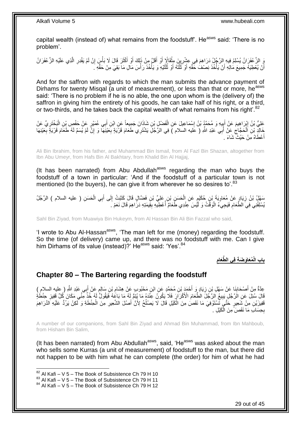capital wealth (instead of) what remains from the foodstuff'. He<sup>asws</sup> said: 'There is no problem'.

وَ الزَّعْفَرَانُ يُسْلِمُ فِيهِ الرَّجُلُ دَرَاهِمَ فِي عِثْنِرِينَ مِثْقَالَاٍ أَوْ أَقَلَّ مِنْ ذَلِكَ أَوْ أَكْثَرَ قَالَ لَا بَأْسَ إِنْ لَمْ يَقْدِرِ الَّذِي عَلَيْهِ الزَّعْفَرَانُ َ َ َ َ ْ **∶** َّ ِ ِ أَنْ يُعْطِيَهُ جَمِيعَ مَالِهِ أَنْ يَأْخُذَ نِصْفُ حَقِّهِ أَوْ ثَلُثَهُ أَوْ ثُلُثَيْهِ وَ يَأْخُذَ رَأْسَ مَالِ مَا بَقِيَ مِنْ حَقِّهِ ـَ **ٔ** ْ َ ا<br>ا ُ اُ  $\ddot{\phantom{0}}$ ا<br>ا ُ َ ْ ر<br>ا

And for the saffron with regards to which the man submits the advance payment of Dirhams for twenty Misqal (a unit of measurement), or less than that or more, he<sup>asws</sup> said: 'There is no problem if he is no able, the one upon whom is the (delivery of) the saffron in giving him the entirety of his goods, he can take half of his right, or a third, or two-thirds, and he takes back the capital wealth of what remains from his right'.<sup>82</sup>

َعْلِيُّ بْنُ إِبْرَاهِيمَ عَنْ أَبِيهِ وَ مُحَمَّدُ بْنُ إِسْمَاعِيلَ عَنِ الْفَضْلِ بْنِ شَاذَانَ جَمِيعاً عَنِ ابْنِ أَبِي عُمَيْرٍ عَنْ حَفْصٍ بْنِ الْبَخْتَرِيِّ عَنْ َ ْ ِ **∣** َ ِ ِ ْ ِ َ الْدِنْ الْحَجَّاجُ عَنْ أَبِي عَبْدِ اللَّهِ ( عَليه السلام ) فِي الزُّجُلِّ يَشْتَرِي طَعَامَ قَرْيَةٍ بِعَيْنِهَا وَ إِنَّ لَمْ يُسَمِّ لَهُ طَعَامَ قَرْيَةٍ بِعَيْنِهَا **∶** َ ِ ْ ِ أَعْطَاهُ مِنْ حَيْثٌ شَاءَ . َ

Ali Bin Ibrahim, from his father, and Muhammad Bin Ismail, from Al Fazl Bin Shazan, altogether from Ibn Abu Umeyr, from Hafs Bin Al Bakhtary, from Khalid Bin Al Hajjaj,

(It has been narrated) from Abu Abdullah $a<sup>asws</sup>$  regarding the man who buys the foodstuff of a town in particular: 'And if the foodstuff of a particular town is not mentioned (to the buyers), he can give it from wherever he so desires to'.<sup>83</sup>

سَهْلُ بْنُ زِيَادٍ عَنْ مُعَاوِيَةَ بْنِ حُكَيْمٍ عَنِ الْحَسَنِ بْنِ عَلِيٍّ بْنِ فَضَّالٍ قَالَ كَتَبْتُ إِلَى أَبِي الْحَسَنِ ( عليه السلام ) الرَّجُلُ<br>مِينُ مِنْ السلام ) الرَّجُلُ ْ َ ِ ْ ٍ ِ **∶** يُسْلِفُنِي فِيَ الطَّعَامِ فَيَجِيَءُ الْوَقْتُ وَ لَيْسَ عِنْدِي طَعَامٌ أُعْطِيهِ بِقِيمَتِهِ دَرَّ اهِمَ قَالَ نَعَمْ َ ِ **∣** ا<br>أ ْ

Sahl Bin Ziyad, from Muawiya Bin Hukeym, from Al Hassan Bin Ali Bin Fazzal who said,

'I wrote to Abu Al-Hassan<sup>asws</sup>, 'The man left for me (money) regarding the foodstuff. So the time (of delivery) came up, and there was no foodstuff with me. Can I give him Dirhams of its value (instead)?' He<sup>asws</sup> said: 'Yes'.<sup>84</sup>

> **ِ َّطَعام ُمَعاَو َض ِة فِي ال باب الْ**

### <span id="page-28-0"></span>**Chapter 80 – The Bartering regarding the foodstuff**

֧֧֚֓֝֝֓֝֬ عِدَّةٌ مِنْ أَصْحَابِنَا عَنْ سَهْلِ بْنِ زِيَادٍ وَ أَحْمَدٍ بْنِ مُحَمَّدٍ عَنِ ابْنِ مَحْبُوبٍ عَنْ هِشَامِ بْنِ سَالِمٍ عَنْ أَبِي عَبْدِ اللَّهِ ( عليه السلام ) ِ ِ **∣** َ ِّقَالَ سُئِلَ عَنِ الْرَّجُلِ يَبِيعُ الرَّجُلَّ الطَّعَامَ الْأَكْرَاَرَ فَلَا يَكُونُ عِنَّذَهُ مَا يُتَبَعُّ لَهُ مَا يَاعُهُ فَيَقُولُ لَهُ خُذْ مِّئِّي مَكَانَ كُلِّ قَفِيزِ حِنْطَةٍ ِ ِ **ٔ:** فَفِيزَيْنِ مِنْ شَعِيرٍ خَتَّىَ تَسْتَوْفِىَ مَا نَقَصُ مِنَ الْكَيْلِ قَالَ لَا يَصْلُحُ لِأَنَّ أَصْلَ الشَّعِيرِ مِنَ الْحِنْطَةِ وَ لَكِنْ يَرُدُّ عَلَيْهِ الدَّرَاهِمَ ْ ِ َ ُ ْ بِحِسَابِ مَا نَقَصَ مِنَ الْكَيْلِ . ْ ِ

A number of our companions, from Sahl Bin Ziyad and Ahmad Bin Muhammad, from Ibn Mahboub, from Hisham Bin Salim,

(It has been narrated) from Abu Abdullah<sup>asws</sup>, said, 'He<sup>asws</sup> was asked about the man who sells some Kurras (a unit of measurement) of foodstuff to the man, but there did not happen to be with him what he can complete (the order) for him of what he had

 $82$  Al Kafi – V 5 – The Book of Subsistence Ch 79 H 10

 $83$  Al Kafi – V 5 – The Book of Subsistence Ch 79 H 11

<sup>84</sup> Al Kafi – V 5 – The Book of Subsistence Ch 79 H 12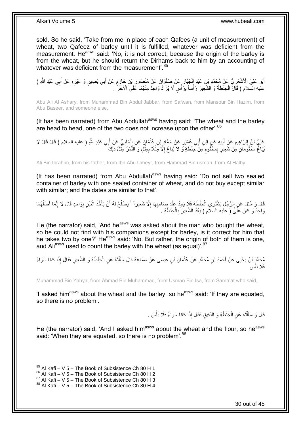sold. So he said, 'Take from me in place of each Qafees (a unit of measurement) of wheat, two Qafeez of barley until it is fulfilled, whatever was deficient from the measurement. He<sup>asws</sup> said: 'No, it is not correct, because the origin of the barley is from the wheat, but he should return the Dirhams back to him by an accounting of whatever was deficient from the measurement'.<sup>85</sup>

أَبُو عَلِيٍّ الْأَشْعَرِيُّ عَنْ مُحَمَّدِ بْنِ عَبْدِ إِلْجَيَّارِ عَنْ صَفْوَانَ عَنْ مَنْصُورِ بْنِ حَازِمٍ عَنْ أَبِي بَصِيرٍ وَ غَيْرِهِ عَنْ أَبِي عَبْدِ اللَّهِ ( َ ٍ ِ ِ ِ ْ ِ َ َ ِ :<br>ا عليه السّلام ) قَالَ الْحِنْطَةُ وَ الشَّعِيرُ رَأْساً بِرَأْسٍ لَا يُزَادُ وَاحِدٌ مِنْهُمَا عَلَى الْاَخَرِّ ْ ِ

Abu Ali Al Ashary, from Muhammad Bin Abdul Jabbar, from Safwan, from Mansour Bin Hazim, from Abu Baseer, and someone else,

(It has been narrated) from Abu Abdullah<sup>asws</sup> having said: 'The wheat and the barley are head to head, one of the two does not increase upon the other'.<sup>86</sup>

عَلِيُّ بْنُ إِبْرَاهِيمَ عَنْ أَبِيهِ عَنٍ ابْنِ أَبِي عُمَيْرٍ عَنْ حَمَّادٍ بْنِ عُثْمَانٍَ عَنِ إِلْحَلَبِيِّ عَنْ أَبِي عَبْدِ اللَّهِ ( عليه السلام ) قَالَ قَالَ لَا َ ِ ْ ْ َ **!** َ ِ يُبَاغٌ مَخْتُوَمَانِ مِنْ شَعِيرٍ بِمَخْتُومٍ مِنْ حِنْطَةٍ وَ لَا يُبَاعُ إِلَّا مِثْلًا بِمِثْلٍ وَ التَّمْرُ مِثْلُ ذَلِكَ **ٔ** ا<br>الأ ِ ِ ֧֧֧֧֧֧֧֧֧֓֝֟֓֝֓֝֬֟֓֝֓֝֓֟֓֟֓֓֟֓<del>֛</del> ِ

Ali Bin Ibrahim, from his father, from Ibn Abu Umeyr, from Hammad Bin usman, from Al Halby,

(It has been narrated) from Abu Abdullah $a<sup>asws</sup>$  having said: 'Do not sell two sealed container of barley with one sealed container of wheat, and do not buy except similar with similar; and the dates are similar to that'.

قَالَ وَ سُئِلَ عَنِ الرَّجُلِ يَشْتَرِي الْحِنْطَةَ فَلَا يَجِدُ عِنْدَ صَاحِبِهَا إِلَّا شَعِيراً أَ يَصْلُحُ لَهُ أَنْ يَأْخُذَ اثْنَيْنِ بِوَاحِدٍ قَالَ لَا إِنَّمَا أَصْلُهُمَا<br>وَيَدَيْنَ مَنْ الْجَمَعِينَ ْ  $\overline{a}$ َ ِ ِ **ٔ** ْ َ ا<br>ا َ ِ ِ وَاحِدٌ وَ كَانَ عَلِيٌّ ( عليه السَلام ) يَعُدُّ الشَّعِيرَ بِالْحِنْطَةِ . ْ ِ

He (the narrator) said, 'And he<sup>asws</sup> was asked about the man who bought the wheat, so he could not find with his companions except for barley, is it correct for him that he takes two by one?' He<sup>asws</sup> said: 'No. But rather, the origin of both of them is one, and Ali<sup>asws</sup> used to count the barley with the wheat (as equal)<sup>'.87</sup>

حُمَّدُ بْنُ يَحْيَى عَنْ أَحْمَدَ بْنِ مُحَمَّدٍ عَنْ عُثْمَانَ بْنِ عِيسَى عَنْ سَمَاعَةَ قَالَ سَأَلْتُهُ عَنِ الْحِنْطَةِ وَ الشَّعِيرِ فَقَالَ إِذَا كَانَا سَوَاءً ْ ْ ĺ ْ ِ فَلَا بَأْسَ ֦֦֧֦֦֦֧֦֧֦֧֦֧֦֧֦֧֝֟֟֓֝֟֓֝֝֝<br>**֓**֧ׅ֓֘֩֡֘

Muhammad Bin Yahya, from Ahmad Bin Muhammad, from Usman Bin Isa, from Sama'at who said,

'I asked him<sup>asws</sup> about the wheat and the barley, so he<sup>asws</sup> said: 'If they are equated, so there is no problem'.

> قَالَ وَ سَأَلْتُهُ عَنِ الْحِنْطَةِ وَ الدَّقِيقِ فَقَالَ إِذَا كَانَا سَوَاءً فَلَا بَأْسَ . **ٔ** ْ ֺ֧֦֦֧֦֦֖֦֦֦֖֦֧֦֪֦֧֦֪֪֦֧֦֪֦֪֦֪֦֧֦֪֦֧֦֪֦֧֦֧֦֪֪֦֧֦֪֪֦֧֦֧֦֧֪֝֟֟֟֟֟֟֟֟֟֟֟֟֟֟֟֟֟֟֟֟֟֬֟֟֓֟֟֟֓֞֟֟֟֓֞֟֟֟֟֩֓֞֟֟֓֞֟֟֟֟֟֟֟֟֝ َ

He (the narrator) said, 'And I asked him<sup>asws</sup> about the wheat and the flour, so he<sup>asws</sup> said: 'When they are equated, so there is no problem'.<sup>88</sup>

<sup>1</sup>  $85$  Al Kafi – V 5 – The Book of Subsistence Ch 80 H 1

<sup>86</sup> Al Kafi – V 5 – The Book of Subsistence Ch 80 H 2

 $87$  Al Kafi – V  $5$  – The Book of Subsistence Ch 80 H 3

 $88$  Al Kafi – V 5 – The Book of Subsistence Ch 80 H 4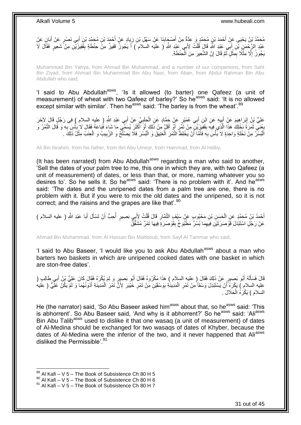### مُحَمَّدُ بْنُ يَحْيَى عَنِّ أَحْمَدَ بْنِ مُحَمَّدٍ وَ عِدَّةٌ مِنْ أَصْبِحَابِذَا عَنْ سَهْلِ بْنِ زِيَادٍ عَنْ أَحْمَدَ بْنِ مُحَمَّدِ بْنِ أَبِي نَصْرٍ عَنْ أَبَانٍ عَنْ َ **∶ ∣** َ َ َ َ عَبْدِ الرَّحْمَنِ بْنِ أَبِي عَبْدِ اللَّهِ قَالٍَ قُلْتُ لِأَبِي عَبْدِ اللَّهِ ( عليه السلام ) أَ يَجُوزُ قَفِيزٌ مِنْ حِنْطَةٍ بِقَفِيزَيْنِ مِنْ شَعِيرٍ فَقَالَ لَا َ ْ َ ِ ْ يَجُوزُ إِلَّا مِثْلًا بِمِثْلٍ نَّمَّ قَالَ إِنَّ الشَّعِيرَ مِنَ اَلْحِنْطَةِ. יֲ<br>י .<br>• • • • ْ ِ ِ

Muhammad Bin Yahya, from Ahmad Bin Muhammad, and a number of our companions, from Sahl Bin Ziyad, from Ahmad Bin Muhammad Bin Abu Nasr, from Aban, from Abdul Rahman Bin Abu Abdullah who said,

'I said to Abu Abdullah<sup>asws</sup>, 'Is it allowed (to barter) one Qafeez (a unit of measurement) of wheat with two Qafeez of barley?' So he<sup>asws</sup> said: 'It is no allowed except similar with similar'. Then he<sup>asws</sup> said: 'The barley is from the wheat'.<sup>89</sup>

عَلِيُّ بْنُ إِبْرَاهِيمَ عَنِْ أَبِيهِ عَنِ ابْنِ أَبِي عُمَيْرٍ عَنْ حَمَّادٍ عَنِ الْحَلِيِّيِّ عَنْ أَبِي عَبْدِ اللَّهِ ( عليه السلام ) فِي رَجُلٍ قَالَ لِأَخَرَ َ ِ َ יִי י َ ِ ْ ِحْنِي ثَمَرَةَ نَخْلِكَ هَذَا الَّذِي فِيهِ بِقَفِيزَيْنِ مِنْ نَمْرٍ أَوْ أَقَلَّ مِنْ ذَلِكَ أَوَّ أَكْثَرَ يُسَمِّي مَا شَاءَ فُبَاعَهُ فَقَالَ لَا بِأَسَ بِهِ وَ قَالَ النَّمْرُ وَ<br>بَعْنَي ثَمَرَةَ نَخْلِكَ هَذَا الَ َ َ َ َ ِ َّ ٔ, ِ ْ ِ اَلْمُسّْرُ مِنْ نَخْلَةٍ وَاحِدَةٍ لَا بَأْسَ بِهِ فَأَمَّا أَنْ يَخْلِطَ النَّمْرَ الْعَتِيقَ وَ الْمُسْرَ فَلا يَصْلُحُ وَ الزَّبِيبُ وَ الْعِنَبُ مِثْلُ ذَلِكَ . ُ ْ ْ َ َ ِ **ٔ** ْ ْ ْ ِ

Ali Bin Ibrahim, from his father, from Ibn Abu Umeyr, from Hammad, from Al Halby,

(It has been narrated) from Abu Abdullah<sup>asws</sup> regarding a man who said to another, 'Sell the dates of your palm tree to me, this one in which they are, with two Qafeez (a unit of measurement) of dates, or less than that, or more, naming whatever you so desires to'. So he sells it. So he<sup>asws</sup> said: 'There is no problem with it'. And he<sup>asws</sup> said: 'The dates and the unripened dates from a palm tree are one, there is no problem with it. But if you were to mix the old dates and the unripened, so it is not correct; and the raisins and the grapes are like that'.<sup>90</sup>

َ أَحْمَدُ بْنُ مُحَمَّدٍ عَنِ الْحَسِنِ بْنِ مَحْبُوبٍ عَنْ سَيْفٍ التَّمَّارِ قَالَ قُلْتُ لِأَبِي بَصِيرٍ أُحِبُّ أَنْ تَسْأَلَ أَبَا عَبْدِ اللَّهِ ( عليه السلام )<br>. َ ْ ِ ْ َ َ عَنْ رَجُلٍ اسْتَبْدَلَ قَوّْصَرَتَيْنِۖ فِيهِمَا بُسْرٌ مَطْبُوخٌ بِقُوْصَرَةٍۖ فِيهَا تَمْرٌ مُشَقَّقٌ ِ ِ

Ahmad Bin Muhammad, from Al Hassan Bin Mahboub, from Sayf Al Tammar who said,

'I said to Abu Baseer, 'I would like you to ask Abu Abdullah<sup>asws</sup> about a man who barters two baskets in which are unripened cooked dates with one basket in which are ston-free dates'.

قَالَ فَسَأَلَهُ أَبُو بَصِيرٍ عَنْ ذَلِكَ فَقَالَ ( عليه السلام ) هَذَا مَكْرُوهٌ فَقَالَ أَبُو بَصِيرٍ وَ لِمَ يُكْرَهُ فَقَالَ كَانَ عَلِيُّ بْنُ أَبِي طَالِبٍ (<br>- يَسْمَأَلَهُ أَبُو بَصِيرٍ عَنْ ذَلِكَ فَقَالَ ( عليه ا َ َ لَ َ َ ْ عليه السلام ) يَكُرَهُ أَنْ يَسْتَبْدِلَ وَسْقاً مِنْ تَمْرِ الْمَدِينَةِ بِوَسْقَيْنِ مِنْ تَمْرِ خَيْبَرَ لِأَنَّ تَمْرَ الْمَدِينَةِ أَدْوَنُهُمَا وَ لَمْ يَكُنْ عَلِّيٌّ ( عَليه **∶** ِ ْ ِ َ َ السلام ) يَكْرَهُ الْحَلَالَ . ْ

He (the narrator) said, 'So Abu Baseer asked him<sup>asws</sup> about that, so he<sup>asws</sup> said: 'This is abhorrent'. So Abu Baseer said, 'And why is it abhorrent?' So he<sup>asws</sup> said: 'Ali<sup>asws</sup> Bin Abu Talib<sup>asws</sup> used to dislike it that one wasaq (a unit of measurement) of dates of Al-Medina should be exchanged for two wasaqs of dates of Khyber, because the dates of Al-Medina were the inferior of the two, and it never happened that Aliasws disliked the Permissible'.<sup>91</sup>

 $89$  Al Kafi – V 5 – The Book of Subsistence Ch 80 H 5

 $^{90}$  Al Kafi – V  $\overline{5}$  – The Book of Subsistence Ch 80 H 6

 $91$  Al Kafi – V 5 – The Book of Subsistence Ch 80 H 7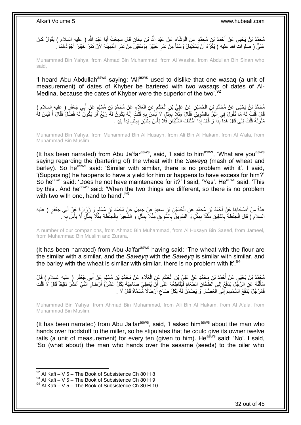مُحَمَّدُ بْنُ يَحْيَى عَنْ أَحْمَدَ بْنِ مُحَمَّدٍ عَنِ الْوَشَّاءِ عَنْ عَبْدِ اللَّهِ بْنِ سِنَانٍ قَالَ سَمِعْتُ أَبَا عَبْدِ اللَّهِ ( عليه السلام ) يَقُولُ كَانَ ْ َ عَلِيُّ ( صَلُوات الله عليه ) يَكْرَهُ أَنْ يَسْتَبْدِلَ وَسْقاً مِنْ تَمْرِ خَيْبَرَ بِوَسْقَيْنِ مِنْ تَمْرِ الْمَدِينَةِ لِأَنَّ تَمْرَ خَنِبَرَ أَجْوَدُهُمَا ۚ. ْ ِ ِ **∶** َ

Muhammad Bin Yahya, from Ahmad Bin Muhammad, from Al Washa, from Abdullah Bin Sinan who said,

'I heard Abu Abdullah<sup>asws</sup> saying: 'Ali<sup>asws</sup> used to dislike that one wasaq (a unit of measurement) of dates of Khyber be bartered with two wasaqs of dates of Al-Medina, because the dates of Khyber were the superior of the two<sup>'92</sup>

مُحَمَّدُ بْنُ يَحْيَى عَنْ مُحَمَّدٍ بْنِ الْحُسَيْنِ عَنْ عَلِيٍّ بْنِ الْحَكَمِ عَنِ الْعَلَاءِ عَنْ مُحَمَّدٍ بْنِ مُسْلِمٍ عَنْ أَبِي جَعْفَرٍ ( عليه السلام )<br>يَبِدُّ فَيُوَجَّدُ مَنْ يَسْيَدُونَ مَنْ يَقْوَلُونَ عَن ْ ِ ْ ْ َ ֧֩֘֝֝֬֝׆֧ َالَ قُلْتُ لَهُ مَا تَقُولُ فِي الْبُرِّ بِالسَّوِيقِ فَقَالَ مِثْلًا بِمِثْلٍ لَا بَأْسَ بِهِ قُلْتُ إِنَّهُ يَكُونُ لَهُ لَّذَيْ لَنَّهُ فَضَّلٌ فَقَالَ أَ لَيْسَ لَهُ **∶** ِ ْ ْ لَ َ َ ِ ْ ֢<u>֓</u> **ٔ ٔ** ِ مَثُونَةٌ قُلْتُ بَلَى قَالَ هَذَا ۖ بِذَا وَ قَالَ إِذَا اَخْتَلَفَ الشَّيْئَانِ فَلَا بَأْسَ مِثْلَيْنِ بِمِثْلٍ يَداً بِيَدٍ . ِ ْ ِ لَ **ٔ** ْ ْ

Muhammad Bin Yahya, from Muhammad Bin Al Husayn, from Ali Bin Al Hakam, from Al A'ala, from Muhammad Bin Muslim,

(It has been narrated) from Abu Ja'far $a$ <sup>asws</sup>, said, 'I said to him $a$ <sup>asws</sup>, 'What are you $a$ <sup>asws</sup> saying regarding the (bartering of) the wheat with the *Saweyq* (mash of wheat and barley). So he<sup>asws</sup> said: 'Similar with similar, there is no problem with it'. I said, '(Supposing) he happens to have a yield for him or happens to have excess for him?' So he<sup>asws</sup> said: 'Does he not have maintenance for it?' I said, 'Yes'. He<sup>asws</sup> said: 'This by this'. And he<sup>asws</sup> said: 'When the two things are different, so there is no problem with two with one, hand to hand'. $93$ 

عِدَّةٌ مِنْ أَصْحَابِنَا عَنْ أَجْمَدَ بْنِ مُحَمَّدٍ عَنِ الْحُسَيْنِ بْنِ سَعِيدٍ عَنْ جَمِيلٍ عَنْ مُحَمَّدٍ بْنِ مُسْلِمٍ وَ زُرِرَارَةَ عَٖنْ أَبِي جَعْفَرٍ ( عليه ْ َ ِ َ َ ֧֚֚֚֚֚֚֚֚֚֚֚֚֚֝֓֡֓֡׆֧ السلام ) قَالَ الْحَنْطَةُ بِالدَّقِيقِ مِثْلًا بِمِثْلٍ وَ السَّوِيقُ بِالسَّوِيقِ مِثْلًا بِمِثْلٍ وَ الشَّعِيرُ بِالْحِنْطَةِ مِثْلًا بِمِثْلٍ لَا بَأْسَ بِهِ ۖ . ْ ِ **ٔ** ِ **∶ ∶** ِ **ٔ** ِ ِ ْ ِ ْ ْ ِ

A number of our companions, from Ahmad Bin Muhammad, from Al Husayn Bin Saeed, from Jameel, from Muhammad Bin Muslim and Zurara,

(It has been narrated) from Abu Ja'far<sup>asws</sup> having said: 'The wheat with the flour are the similar with a similar, and the *Saweyq* with the *Saweyq* is similar with similar, and the barley with the wheat is similar with similar, there is no problem with it'.<sup>94</sup>

֧֧֖֧֖֧֖֧֧֧֧֧֧֧֧֧֧֧֧֚֚֚֓֝֝֝֝֝֟֓֝֓֬֝֓֝֬֟֓֟֓֝֬֟֓֟֓֝֬֝֬֝֓֟֓֝֬֜֝֬֝֓֝֬֝֓ مُحَمَّدُ بْنُ يَحْيَى عَنْ أَحْمَدَ بْنِ مُحَمَّدٍ عَنْ عَلِيِّ بْنِ الْحَكَمِ عَنِ الْعَلَاءِ عَنْ مُحَمَّدٍ بْنِ مُسْلِمٍ عَنْ إِلَي جَعْفَرٍ ( عليه السلام ) قَالَ<br>مُعَمَّدُ بْنُ يَحْيَى عَنْ أَحْمَدَ بْنِ مُحَمَّدٍ عَ ْ ِ ْ َ لَّنُهُ عَنِ الرَّجِّلِ يَدْفَعُ إِلَى الطَّحَانِ الطَّعَامَ فَيُقَاطِّعُهُ عَلَى أَنَّ يُعْطِيَ صَاحِبَهُ لِكُلِّ عَشَرَةً أَرْطَالٍ اثْنَى عَشَرَ ذَقِيقاً قَالَ لَا قُلْتُ  $\frac{1}{2}$ ֺ֖֖֖֖֪֦֪֦֖֦֦֖֦֧֦֪֦֖֧֦֪֦֪֦֧֦֪֦֪֦֪֦֧֦֖֦֪֦֧֦֧֦֪֦֧֦֧֦֪֪֦֧֦֪֪֦֧֦֧֦֧֪֦֧֟֟֟֟֟֟֟֟֟֟֟֟֟֟֟֟֟֟֟֟֟֟֟֟֟֟֟֟֟֟֟֟֟֟֟֟֟֟֟֟֟֟֟֟֟֟֟֟ َ ْ ْ اً فَالرَّجُلُ يَذْفَعُ السِّمْسِمَ إِلَى الْعَصَّارِ ۖ وَ يَضْمَنُٰ لَهُ لِكُلِّ صَاعِ أَرْطَالًا مُسَمَّاةً قَالَ لَا ـ **∶** ْ י<br>י ٍ

Muhammad Bin Yahya, from Ahmad Bin Muhammad, from Ali Bin Al Hakam, from Al A'ala, from Muhammad Bin Muslim,

(It has been narrated) from Abu Ja'far<sup>asws</sup>, said, 'I asked him<sup>asws</sup> about the man who hands over foodstuff to the miller, so he stipulates that he could give its owner twelve ratls (a unit of measurement) for every ten (given to him). He<sup>asws</sup> said: 'No'. I said, 'So (what about) the man who hands over the sesame (seeds) to the oiler who

 $92$  Al Kafi – V 5 – The Book of Subsistence Ch 80 H 8

 $93$  Al Kafi – V 5 – The Book of Subsistence Ch 80 H 9

 $94$  Al Kafi – V 5 – The Book of Subsistence Ch 80 H 10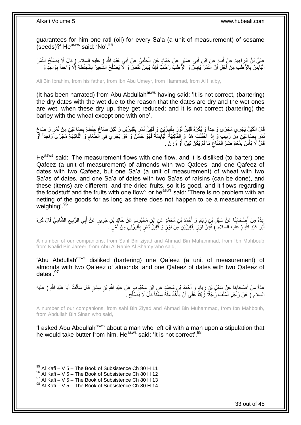guarantees for him one ratl (oil) for every Sa'a (a unit of measurement) of sesame (seeds)?' He<sup>asws</sup> said: 'No'.<sup>95</sup>

عَلِيُّ بْنُ إِبْرَاهِيمَ عَنْ أَبِيهِ عَنِ ابْنِ أَبِي عُمَيْرٍ عَنْ حَمَّادٍ عَنِ الْحَلَبِيِّ عَنْ أَبِي عَبْدِ اللَّهِ ( عليه السلام ) قَالَ لَا يَصْلُحُ التَّمْرُ َ ِ ْ َ  $\frac{1}{2}$ َ ِ ُ الْيَابِّسُ بِالْأَطَبِ مِنْ أَجْلَ أَنَّ الَّتَّمْرَ يَابَسٌّ وَ الْأَطَبَ رَطْبٌ فَإِذَا يَبِسَ نَّفَصَ وَ لَأَ يَصْلُحُ الشَّعِيرُ بِالْحِنْطَةِ إِلَّا وَاحِداً بِوَاحِدٍ وَ ُ **! !** َ **∶** ِ ِ ِ ْ ِ

Ali Bin Ibrahim, from his father, from Ibn Abu Umeyr, from Hammad, from Al Halby,

(It has been narrated) from Abu Abdullah<sup>asws</sup> having said: 'It is not correct, (bartering) the dry dates with the wet due to the reason that the dates are dry and the wet ones are wet, when these dry up, they get reduced; and it is not correct (bartering) the barley with the wheat except one with one'.

َالَ الْكَيْلُ يَجْرِي مَجْرًى وَاحِداً وَ يُكْرَهُ قَفِيزُ لَوْزٍ بِقَفِيزَيْنِ وَ قَفِيزُ تَمْرٍ بِقَفِيزَيْنِ وَ لَكِنْ صَاغِ جِنْطَةٍ بِصَاعَيْنِ مِنْ تَمْرٍ وَ صَاغِ ِ **!** ِ ِّمْرٍ بِصَاعَيْنِ مِنْ زَبِيبٍ وَ إِذَا اخْتَلَفَ هَذَا وَ الْقَاكِهَةُ الْيَابِسَةُ فَهُوَ حَسَنٌ وَ هُوَ يَجْرِي فِي الطَّعَامِ وَ الْفَاكِهَةِ مَجْرًى ًواحِداً أَوْ<br>يَسْمِعُ بِمَاجَيْنِ مِنْ زَبِيبٍ وَ إِذَا اخْتَلَفَ **!** ِ ْ ِ **!** اُ ْ َ قَالََ لَا بَأْسَ بِمُعَاوَضَنَةِ الْمَثَاعَ مَا لَمْ يَكُنْ كِيلَ أَوْ وُزِنَ . ِ َ ِ ْ ِ ٔ<br>:

He<sup>asws</sup> said: 'The measurement flows with one flow, and it is disliked (to barter) one Qafeez (a unit of measurement) of almonds with two Qafees, and one Qafeez of dates with two Qafeez, but one Sa'a (a unit of measurement) of wheat with two Sa'as of dates, and one Sa'a of dates with two Sa'as of raisins (can be done), and these (items) are different, and the dried fruits, so it is good, and it flows regarding the foodstuff and the fruits with one flow'; or he<sup>asws</sup> said: 'There is no problem with an netting of the goods for as long as there does not happen to be a measurement or weighing'.<sup>96</sup>

عِدَّةٌ مِنْ أَصْحَابِنَا عَنْ سَهْلِ بْنِ زِيَادٍ وَ أَحْمَدَ بْنِ مُحَمَّدٍ عَنِ ابْنِ مَحْبُوبٍ عَنْ خَالِدِ بْنِ جَرِيرٍ عَنْ أَبِي الرَّبِيعِ الشَّامِيِّ قَالَ كَرِهَ ِ ِ **∣** َ ِ ِ ِ َ أَبُو عَبْدِ اللَّهِ ( عَليه السلام ) قَفِيزَ لَوْزٍ بِقَفِيزَيْنِ مِنْ لَوْزٍ وَ قَفِيزَ َتَمْرٍ بِقَفِيزَيْنِ مِنْ تَمْرٍ َ َ **∣ ∣** لَ

A number of our companions, from Sahl Bin ziyad and Ahmad Bin Muhammad, from Ibn Mahboub from Khalid Bin Jareer, from Abu Al Rabie Al Shamy who said,

'Abu Abdullah<sup>asws</sup> disliked (bartering) one Qafeez (a unit of measurement) of almonds with two Qafeez of almonds, and one Qafeez of dates with two Qafeez of dates'.<sup>97</sup>

عِدَّةٌ مِنْ أَصْحَابِنَا عَنْ سَهْلِ بْنِ زِيَادٍ وَ أَحْمَدَ بْنِ مُحَمَّدٍ عَنِ ابْنِ مَحْبُوبٍ عَنْ عَبْدِ اللَّهِ بْنِ سِنَانٍ قَالَ سَأَلْتُ أَبَا عَبْدِ اللَّهِ ( عليه **∶ ∣** َ َ ْ َ السلام ) عَنْ رَجُلٍ أَسْلَفَ رَجُلًا زَيْتَاً عَلَى أَنْ يَأْخُذَ مِنْهُ سَمْنَاً قَالَ لَا يَصْلُحُ . ا<br>ـا ا<br>ا َ

A number of our companions, from sahl Bin Ziyad and Ahmad Bin Muhammad, from Ibn Mahboub, from Abdullah Bin Sinan who said,

'I asked Abu Abdullah<sup>asws</sup> about a man who left oil with a man upon a stipulation that he would take butter from him. He<sup>asws</sup> said: 'It is not correct'.<sup>98</sup>

 $95$  Al Kafi – V 5 – The Book of Subsistence Ch 80 H 11

<sup>96</sup> Al Kafi – V 5 – The Book of Subsistence Ch 80 H 12

 $^{97}$  Al Kafi – V 5 – The Book of Subsistence Ch 80 H 13

 $98$  Al Kafi – V 5 – The Book of Subsistence Ch 80 H 14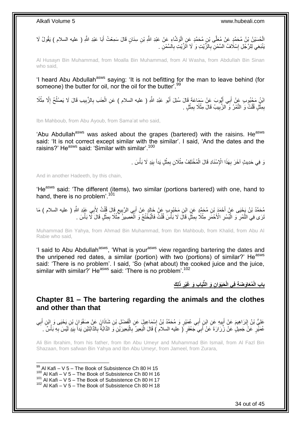الْحُسَيْنُ بِْنُ مُحَمَّدٍ عَنْ مُعَلَّى بْنِ مُحَمَّدٍ عَنِ الْوَشَّاءِ عَنْ عَبْدِ اللَّهِ بْنِ سِنَانٍ قَالَ سَمِعْتُ أَبَا عَبْدِ اللَّهِ ( عليه السلام ) يَقُولُ لَا ْ ْ َ َنْنَبَغِي لِلرَّجُلِ إِسْلَافُ السَّمْنِ بِالزَّيْتِ وَ لَا الَزَّيْتِ بِالسَّمْنِ <sub>.</sub> ِ ِ ׇ**֓** 

Al Husayn Bin Muhammad, from Moalla Bin Muhammad, from Al Washa, from Abdullah Bin Sinan who said,

'I heard Abu Abdullah<sup>asws</sup> saying: 'It is not befitting for the man to leave behind (for someone) the butter for oil, nor the oil for the butter'.<sup>99</sup>

ائِنُ مَجْبُوبِ عَنْ أَبِي أَيُّوبَ عَنْ سَمَاعَةَ قَالَ سُئِلَ أَبُو عَبْدِ اللَّهِ ( عليه السلام ) عَنِ الْعِنَبِ بِالزَّبِيبِ قَالَ لَا يَصْلُحُ إِلَّا مِثْلًا َ َ َ ِ ُ ِ ِ ْ بِمِثْلٍ قُلْتُ وَ النَّمْرُ وَ ۗالزَّبِيبُ قَالَ مِثْلًا بِمِثْلٍ ۚ **ٔ** ِ ِ ْ **ٔ** ِ

Ibn Mahboub, from Abu Ayoub, from Sama'at who said,

'Abu Abdullah<sup>asws</sup> was asked about the grapes (bartered) with the raisins. He<sup>asws</sup> said: 'It is not correct except similar with the similar'. I said, 'And the dates and the raisins?' He<sup>asws</sup> said: 'Similar with similar'.<sup>100</sup>

> نَ فِي حَدِيثٍ آخَرَ بِهَذَا الْإِسْنَادِ قَالَ الْمُخْتَلِفُ مِثْلَانِ بِمِثْلٍ يَداً بِيَدٍ لَا بَأْسَ . **!** ْ ِ ْ ْ **∶** ْ

And in another Hadeeth, by this chain,

'He<sup>asws</sup> said: 'The different (items), two similar (portions bartered) with one, hand to hand, there is no problem<sup>'.101</sup>

يُّحَمَّدُ بْنُ يَجْنِى عَنْ أَحْمَدَ بْنِ مُحَمَّدٍ عَنِ ابْنِ مَحْبُوبٍ عَنْ خَالِدٍ عَنْ أَبِي الرَّبِيعِ قَالَ قُلْتُ لِأَبِي عَبْدِ اللَّهِ ( عليه السلام ) مَا َ ْ ِ ِ َ ْنَرَى فِي التَّمْرِ ۖ وَ الْبُسْرِ الْأَحْمََرِ مِثْلًا بِمِثْلٍ قَالَ لَا بَأْسَ قُلْثٌ فَالْبُخْتُجُ وَ الْمَصِيرَ كَثْلًا بِمِثْلٍ قَالَ لَّا بَأْسَ . ِ ْ ْ ْ ا<br>ا **ٔ** ِ ِ ِ ْ ِ ْ ْ

Muhammad Bin Yahya, from Ahmad Bin Muhammad, from Ibn Mahboub, from Khalid, from Abu Al Rabie who said,

'I said to Abu Abdullah<sup>asws</sup>, 'What is your<sup>asws</sup> view regarding bartering the dates and the unripened red dates, a similar (portion) with two (portions) of similar?' He<sup>asws</sup> said: 'There is no problem'. I said, 'So (what about) the cooked juice and the juice, similar with similar?' He<sup>asws</sup> said: 'There is no problem'.<sup>102</sup>

**لِ َك ِ ذَ َيا ِب َو َغْير ِن َو الثِّ َحَيَوا ُمَعاَو َض ِة فِي الْ باب الْ**

<span id="page-33-0"></span>**Chapter 81 – The bartering regarding the animals and the clothes and other than that**

عَلِيُّ بْنُ إِبْرَاهِيمَ عَنْ أَبِيهِ عَنِ ابْنِ أَبِي عُمَيْرٍ وَ مُحَمَّدُ بْنُ إِسْمَاعِيلٍ عَنِ الْفَضْلِ بْنِ شَاذَانَ عَنْ صَفْوَانَ بْنِ يَحْيَى وَ إِبْنِ أَبِي ْ ِ َ **!** َ ِ ِ َ عُمَيْْرٍ عَنْ جَمِيلٍ عَنْ زُرَارَةَ عَنْ أَبِيَ جَعْفَرٍ ۚ ( عليه السلام ) قَالَ الْبَعِيرُ بِالْبَعِيرَيْنِ وَ الذَّابَةُ بِالذَّابَّنْيْنِ يَداً بِيَدٍ لَيْسَ بِهِ بَأْسٌ َ . َ ْ ِ ِ ِ ْ ِ :<br>ا

Ali Bin Ibrahim, from his father, from Ibn Abu Umeyr and Muhammad Bin Ismail, from Al Fazl Bin Shazaan, from safwan Bin Yahya and Ibn Abu Umeyr, from Jameel, from Zurara,

1  $99$  Al Kafi – V 5 – The Book of Subsistence Ch 80 H 15

- $100$  Al Kafi V 5 The Book of Subsistence Ch 80 H 16
- 101 Al Kafi V 5 The Book of Subsistence Ch 80 H 17

<sup>102</sup> Al Kafi – V 5 – The Book of Subsistence Ch 80 H 18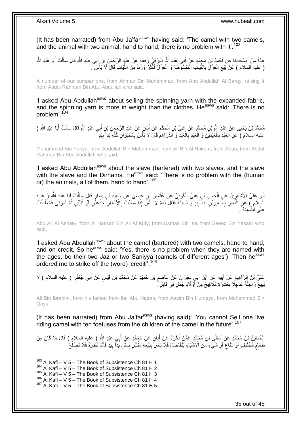(It has been narrated) from Abu Ja'far<sup>asws</sup> having said: 'The camel with two camels, and the animal with two animal, hand to hand, there is no problem with it'.<sup>103</sup>

عِدَّةٌ مِنْ أَصْحَابِنَا عَنْ أَحْمَدَ بْنِ مُحَمَّدٍ عَنْ أَبِي عَبْدِ الْثَّهِ الْبَرْقِيِّ رَفَعَهُ عَنْ عَبْدٍ الرَّحْمَنِ بْنِ أَبِي عَبْدِ اللَّهِ قَالَ سَأَلْتُ أَبَا عَبْدِ الثَّهِ **∣** َ َ ْ ĺ َ ْ ( عليه السلام ) عَنْ بَيْعِ الْغَزْلَِ بِالثَّيَابِ الْمَبْسُوطَةِ وَ الْغَزْلُ أَكْثَرُ وَزْناً مِنَ الثَّيَابِ قَالَ لَا بَأْسَ ِّ َ َ ْ ْ ِّ ِ ْ ِ ْ

A number of our companions, from Ahmad Bin Muhammad, from Abu Abdullah Al Barqy, raising it from Abdul Rahman Bin Abu Abdullah who said,

'I asked Abu Abdullah<sup>asws</sup> about selling the spinning yarn with the expanded fabric, and the spinning yarn is more in weight than the clothes. He<sup>asws</sup> said: 'There is no problem'.<sup>104</sup>

مُحَمَّدُ بْنُ يَحْيَى عَنْ عَبْدِ اللَّهِ بْنِ مُحَمَّدٍ عَنْ عَلِيٍّ بْنِ الْحَكَمِ عَنْ أَبَانٍ عَنْ عَبْدِ الرَّحْمَنِ بْنِ أَبِي عَبْدِ اللَّهِ قَالَ سَأَلْتُ أَبَا عَبْدِ اللَّهِ ( َ ِ ْ َ ْ َ َ عليه السلام ) عَنِ الْعَبْدِ بِالْعَبْدَيْنِ وَ الْعَبْدِ بِالْعَبْدِ وَ اَلذَّرَاهِمِ قَالَ لَا بَأْسَ بِالْحَيَوَانِ كُلُّهِ يَداً بِيَدٍ ۖ. ِّ ْ **∶ ٔ** ِ ْ ِ ْ ْ ِ ْ ِ

Muhammad Bin Yahya, from Abdullah Bin Muhammad, from Ali Bin Al Hakam, from Aban, from Abdul Rahman Bin Abu Abdullah who said,

'I asked Abu Abdullah<sup>asws</sup> about the slave (bartered) with two slaves, and the slave with the slave and the Dirhams. He<sup>asws</sup> said: 'There is no problem with the (human or) the animals, all of them, hand to hand'.<sup>105</sup>

أَبُو عَلِيٍّ الْأَشْعَرِيُّ عَنِ الْحَسَنِ بْنِ عَلِيٍّ الْكُوفِيِّ عَنْ عُثْمَانَ بْنِ عِيسَى عَنْ سَعِيدِ بْنِ يَسَارٍ قَالَ سَأَلْتُ أَبَا عَبْدِ اللَّهِ (عِليهِ ِ َ َ ْ اً ا **ٔ** ْ السِّلام ٍ) عَنِ الْبَعِيرِ بِالْبَعِيرَيْنِ يَداً بِيَدٍ وَّ نَسِيئَةً فَقَالَ نَعَمْ لَا بَأْسَ إِذَا سَمَّيْتَ بِالْأَسْنَانِ جَذَعَيْنِ أَوْ ثَنِيَّيْنِ ثُمَّ أَمَرَنِي فَخَطَطْتُ ِ ة<br>أل **!** ا.<br>ا **∶** ِ ֦֧֝֟֟֟֟֟֟֟֟֟֟֟֟֟֟֟֟֟֟֟֟֕׆<br>֝׆ َ ُ َ َ عَلَى النَّسِيئَةِ ۖ.

Abu Ali Al Ashary, from Al Hassan Bin Ali Al Kufy, from Usman Bin Isa, from Saeed Bin Yasaar who said,

'I asked Abu Abdullah<sup>asws</sup> about the camel (bartered) with two camels, hand to hand, and on credit. So he<sup>asws</sup> said: 'Yes, there is no problem when they are named with the ages, be their two Jaz or two Saniyya (camels of different ages'). Then he<sup>asws</sup> ordered me to strike off the (word) 'credit".<sup>106</sup>

عَلِيُّ بْنُ إِبْرَاهِيمَ عَنْ أَبِيهِ عَنِ ابْنِ أَبِي نَجْرَانَ عَنْ عَاصِمِ بْنِ حُمَيْدٍ عَنْ مُحَمَّدِ بْنِ قَيْسٍ عَنْ أَبِي جَعْفَرٍ ( عليه السلام ) لَا ِ َ **∶** َ **!** َ يَبِيعُ رَاحِلَةً عَاجِلًا بِعَشْرَةِ مَلَاَقِيحَ مِنْ أَوْلَادِ جَمَلٍ فِي قَابِلٍ ۚ ِ ر<br>ا **∶ !** 

Ali Bin Ibrahim, from his father, from Ibn Abu Najran, from Aasim Bin Humeyd, from Muhammad Bin Qays,

(It has been narrated) from Abu Ja'far<sup>asws</sup> (having said): 'You cannot Sell one live riding camel with ten foetuses from the children of the camel in the future'.<sup>107</sup>

الْحُسَيْنُ بْنُ مُحَمَّدٍ عَنْ مُعَلِّي بْنِ مُحَمَّدٍ عَمَّنْ ذَكَرَهُ عَنْ أَبَانٍ عَنْ مُحَمَّدٍ عَنْ أَبِي عَبْدِ اللَّهِ ( عليه السلام ) قَالَ مَا كَانَ مِنْ َ َ طَعَامٍ مُخْتَلِّفٍ أَوْ مَتَاعٍ أَوْ شَيْءٍ مِنَ الْأَشْيَاءِ يَتَفَاضَلُ فَلَا بَأْسَ بِبَيْعِهِ مِثْلَيْنِ بِمِثْلٍ يَداً بِبَدِ فَأَمَّا نَظِرَةً فَلَا تَصْلُحُ َ ٍ َ ڔ **ٔ** ِ لَ ْ ¦ .<br>أ ا<br>ا َ ِ

 $103$  Al Kafi – V 5 – The Book of Subsistence Ch 81 H 1

<sup>104</sup> Al Kafi – V 5 – The Book of Subsistence Ch 81 H 2

 $105$  Al Kafi – V 5 – The Book of Subsistence Ch 81 H 3

 $106$  Al Kafi – V 5 – The Book of Subsistence Ch 81 H 4

 $107$  Al Kafi – V 5 – The Book of Subsistence Ch 81 H 5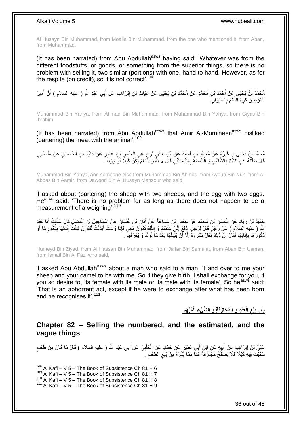Al Husayn Bin Muhammad, from Moalla Bin Muhammad, from the one who mentioned it, from Aban, from Muhammad,

(It has been narrated) from Abu Abdullah<sup>asws</sup> having said: 'Whatever was from the different foodstuffs, or goods, or something from the superior things, so there is no problem with selling it, two similar (portions) with one, hand to hand. However, as for the respite (on credit), so it is not correct'.<sup>108</sup>

مُحَمَّدُ بْنُ يَحْيَى عَنْ أَحْمَدَ بْنِ مُحَمَّدٍ عَنْ مُحَمَّدِ بْنِ يَحْيَى عَنْ غِيَاثٍ بْنِ إِبْرَاهِيمَ عَنْ أَبِي عَبْدِ اللَّهِ ( عليه السلام ) أَنَّ أَمِيرَ<br>، أَ َ َ ِ الْمُؤْمِنِينَ كَرِهَ اللَّحْمَ بِالْحَيَوَانِ ْ ْ ِ َّ ِ

Muhammad Bin Yahya, from Ahmad Bin Muhammad, from Muhammad Bin Yahya, from Giyas Bin Ibrahim,

(It has been narrated) from Abu Abdullah<sup>asws</sup> that Amir Al-Momineen<sup>asws</sup> disliked (bartering) the meat with the animal'.<sup>109</sup>

مُحَمَّدُ بِنُ يَحْيَى وَ غَيْرُهُ عَنْ مُحَمَّدِ بْنِ أَجْمَدَ عَنْ أَيُّوبَ بْنٍ نُوحٍ عَنِ الْعَبَّاسِ بِنِ عَامِرٍ عَنْ دَاوُدَ بْنِ الْحُصَيْنِ عَنْ مَنْصُورٍ ْ ٍ َ َ ْ قَالَ سَأَلْتُهُ عَنِ الشَّاةِ بِالشَّاتَيْنِ وَ الْبَيْضَةَ بِالْبَيْضَتَيْنِ قَالَ لَا بَأْسَ مِّا لَمْ يَكُنْ كَيْلًا أَوْ وَرْناً ً َ ا<br>ا ْ ِ :<br>ا ِ ֦֖֖֦֖֦֪֦֧֦֦֦֖֦֦֖֦֧֦֪֦֦֧֦֪֦֪֦֪֦֧֦֪֦֧֦֪֦֧֦֧֦֪֦֧֦֧֦֪֦֧֦֧֪֦֧֦֧֦֧֦֟֟֟֟֟֟֟֟֟֟֟֟֟֟֟֟֟֟֟֟֟֟֟֟֟֟֟֟֟֟֟֟֟֟֟֟֟֟֟֩֕֟֟֟֟֟֟֟֟֟ َ

Muhammad Bin Yahya, and someone else from Muhammad Bin Ahmad, from Ayoub Bin Nuh, from Al Abbas Bin Aamir, from Dawood Bin Al Husayn Mansour who said,

'I asked about (bartering) the sheep with two sheeps, and the egg with two eggs. He<sup>asws</sup> said: 'There is no problem for as long as there does not happen to be a measurement of a weighing<sup>' 110</sup>

حُمِيْدُ بْنُ زِيَادٍ عَنِ الْحَسَنِ بْنِ مُحَمَّدٍ عَنْ جَعْفَرِ بْنِ سَمَاعَةَ عَنْ أَبَانِ بْنِ عُثْمَانَ عَنْ إِسْمَاعِيلَ بْنِ الْفَضْلِ قَالَ سَأَلْتُ أَبَا عَيْدِ ْ ।।<br>ठ ْ َ **∶** ْ ِ َ ْ َ َمْ إِنَّا عَلَيْهِ ۖ وَالْقَالِ لِيَ أَوْلَى لَمَ يَكْفَلُ إِنَّ إِنَّا إِذْ فَغِي أَلِيٍّ ۖ غَفَطَكَ وَ إِبِلَكَ تَكُونَنُ مَعِي فَإِذَا وَلَدَتُّ أَبْدَلْتُ لَكَ إِنْ شِئْتَ إِنَاتَهَا بِذُكُورِهَا أَوْ لَ **∶** ِ لَ ∣∣<br>ِ َ ِ َ ِ ِ ْ َ ذُكُورُ هَا بِإِنَاثِهَا فَقَالَ إِنَّ ذَلِكَ فَعْلٌ مَكْرُوهٌ إِلَّا أَنْ يُبْدِلَهَا بَعْدَ مَا َنُولَدُ وَ يُعَرِّفَهَا ۖ . اً ِ ِ ِ ِ

Humeyd Bin Ziyad, from Al Hassan Bin Muhammad, from Ja'far Bin Sama'at, from Aban Bin Usman, from Ismail Bin Al Fazl who said,

'I asked Abu Abdullah<sup>asws</sup> about a man who said to a man, 'Hand over to me your sheep and your camel to be with me. So if they give birth, I shall exchange for you, if you so desire to, its female with its male or its male with its female'. So he<sup>asws</sup> said: 'That is an abhorrent act, except if he were to exchange after what has been born and he recognises it'.<sup>111</sup>

> **ِة َو ال َّش ْي ُم َجا َزفَ َعَدِد َو الْ الْ باب َبْيع ُمْب َهم ِء الْ ِ ِ**

<span id="page-35-0"></span>**Chapter 82 – Selling the numbered, and the estimated, and the vague things**

عَلِيُّ بْنُ إِبْرَاهِيمَ عَنْ أَبِيهِ عَنِ ابْنِ أَبِي عُمَيْرٍ عَنْ حَمَّادٍ عَنِ الْحَلَبِيِّ عَنْ أَبِي عَبْدِ اللَّهِ ( عليه السلام ) قَالَ مَا كَانَ مِنْ طَعَامٍ َ ِ ْ َ **!** َ <u>֖֓</u> ֧֩֘׆֧ سَمَّيْتَ فِيهِ كَيْلًا فَلَا يَصَلُّحُ مُجَازَفَةً هَٰذَاۖ مِمَّا يُُكْرَهُ مِنْ بَيْعِ الطَّعَامِ ۚ ِ ِ اً<br>ا

 $108$  Al Kafi – V 5 – The Book of Subsistence Ch 81 H 6

 $109$  Al Kafi – V 5 – The Book of Subsistence Ch 81 H 7

<sup>110</sup> Al Kafi – V  $5$  – The Book of Subsistence Ch 81 H 8

 $111$  Al Kafi – V 5 – The Book of Subsistence Ch 81 H 9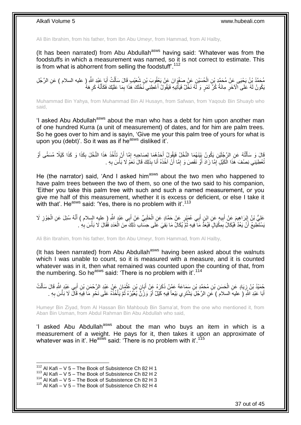Ali Bin Ibrahim, from his father, from Ibn Abu Umeyr, from Hammad, from Al Halby,

(It has been narrated) from Abu Abdullah<sup>asws</sup> having said: 'Whatever was from the foodstuffs in which a measurement was named, so it is not correct to estimate. This is from what is abhorrent from selling the foodstuff'.<sup>112</sup>

مُحَمَّدُ بْنُ يَحْيَى عَنْ مُحَمَّدٍ بْنِ الْحُسَيْنِ عَنْ صَفْوَانَ عَنْ يَعْقُوبَ بْنِ شُعَيْبٍ قَالَ سَأَلْتُ أَبَا عَبْدِ اللَّهِ ( عليه السلام ) عَنِ الرَّجُلِ<br>مُحَمَّدُ بْنُ يَحْيَى حَنِّ مُحَمَّدٍ بُنِ الْحُسَيْنِ َ ْ َ ْ َبَكُونُ لَهُ عَلَى الْآخَرِ مِانَةُ كُرِّ تَمْرٍ وَ لَهُ نَخْلٌ فَيَأْتِيهِ فَيَقُولُ أَعْطِنِي نَخْلَكَ هَذَا بِمَا عَلَيْكَ فَكَأَنَّهُ كَرِهَهُ ِ َ ا<br>ا ِ ِ َ

Muhammad Bin Yahya, from Muhammad Bin Al Husayn, from Safwan, from Yaqoub Bin Shuayb who said,

'I asked Abu Abdullah<sup>asws</sup> about the man who has a debt for him upon another man of one hundred Kurra (a unit of measurement) of dates, and for him are palm trees. So he goes over to him and is sayin, 'Give me your this palm tree of yours for what is upon you (debt)'. So it was as if he<sup>asws</sup> disliked it'.

قَالَ وَ سَأَلْتُهُ عَنِ الرَّجُلَيْنِ يَكُونُ بِيِّنَهُمَا النَّخْلُ فَيَقُولُ أَحَدُهُمَا لِصَاحِبِهِ إِمَّا أَنْ تَأْخُذَ هَذَا النَّخْلَ بِكَذَا وَ كَذَا كَيْلًا مُسَمًّى أَوْ ْ اُ ِ ِ َ ֺ֦֦֪֦֧֦֦֖֦֦֪֦֧֦֪֦֧֦֪֪֦֧֦֪֦֪֪֦֧֦֪֦֧֦֧֦֪֦֧֦֧֦֪֪֦֧֪֦֧֪֦֧֦֧֦֧֝֟֟֟֟֟֟֟֟֟֟֟֟֟֟֟֟֟֟֟֟֟֟֓֕֬֟֓֡֟֓֟֓֞֟֟֓֞֟֟֟֟֟֟֟֩֓֞֟֟֟֟֟֟ َ ِ تُعْطِيَنِي نِصْفَ هَٰذَا الْكَيْلِ إِمَّا زَادَ أَوْ نَقَصَ وَ إِمَّا أَنْ آخُذَهُ أَنَا بِذَلِكَ قَالَ نَعَمْ لَا بَأْسَ بِهِ . ِ ْ َ َ ِ َ ِ ْ

He (the narrator) said, 'And I asked him<sup>asws</sup> about the two men who happened to have palm trees between the two of them, so one of the two said to his companion, 'Either you take this palm tree with such and such a named measurement, or you give me half of this measurement, whether it is excess or deficient, or else I take it with that'. He<sup>asws</sup> said: 'Yes, there is no problem with it'.<sup>113</sup>

عَلِيُّ بْنُ إِبْرَاهِيمَ عَنْ أَبِيهِ عَنِ ابْنِ أَبِي عُمَيْرٍ عَنْ حَمَّادٍ عَنِ الْحَلَبِيِّ عَنْ أَبِي عَبْدٍ اللَّهِ ( عليه السلام ) أَنَّهُ سُئِلَ عَنِ الْجَوْزِ لَا َ **∶** ْ َ **! ∶ ٍ** ْ َ َسْتَطِيعُ أَنْ يَعُدَّ فَيُكَالُ بِمِكْيَالٍ فَيُعَدًّ مَا فِيهِ ثُمَّ يُكَالُ مَا بَقِيَ عَلَى حِسَابِ ذَلِكَ مِنَ الْعَدَدِ فَقَالَ لَا بَأْسَ بِهِ ۚ ـ ُ ِ َ ِ ْ ْ

Ali Bin Ibrahim, from his father, from Ibn Abu Umeyr, from Hammad, from Al Halby,

(It has been narrated) from Abu Abdullah<sup>asws</sup> having been asked about the walnuts which I was unable to count, so it is measured with a measure, and it is counted whatever was in it, then what remained was counted upon the counting of that, from the numbering. So he<sup>asws</sup> said: 'There is no problem with it'.<sup>114</sup>

مُنذُ بْنُ زِيَادٍ عَنِ الْحَسَنِ بْنِ مُحَمَّدٍ بْنِ سَمَاعَةَ عَمَّنْ ذَكَرَهُ عَنْ أَبَانٍ بْنِ عُثْمَانَ عَنْ عَبْدِ الرَّحْمَنِ بْنِ أَبِي عَبْدٍ الثَّهِ قَالَ سَأَلْتُ ْ ِ ْ َ َ ْ َ أَبَا عَبْدِ اللَّهِ ۖ ( عليه السلام ۖ ) عَنِ الرَّجُلِ يَشْتَرِي بَيْعاً فِيهِ كَيْلٌ أَوْ وَرْنٌ يُعَيِّرُهُ ثُمَّ يَأْخُذُهُ عَلَى نَخْوِ مَا فِيهِ قَالٌ لَا بَأْسَ بِهِ . ْ ان<br>المقامات َ َ **∶** ْ ِ

Humeyr Bin Ziyad, from Al Hassan Bin Mahboub Bin Sama'at, from the one who mentioned it, from Aban Bin Usman, from Abdul Rahman Bin Abu Abdullah who said,

'I asked Abu Abdullah<sup>asws</sup> about the man who buys an item in which is a measurement of a weight. He pays for it, then takes it upon an approximate of whatever was in it'. He<sup>asws</sup> said: 'There is no problem with it'.<sup>115</sup>

 $112$  Al Kafi – V 5 – The Book of Subsistence Ch 82 H 1

 $113$  Al Kafi – V 5 – The Book of Subsistence Ch 82 H 2

<sup>114</sup> Al Kafi – V 5 – The Book of Subsistence Ch 82 H 3

 $115$  Al Kafi – V 5 – The Book of Subsistence Ch 82 H 4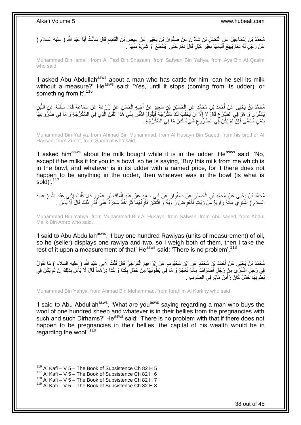مُحَمَّدُ بْنُ إِسْمَاعِيلَ عَنِ الْفَضْلِ بْنِ شَاذَانَ عَنْ صَفْوَانَ بْنِ يَحْيَى عَنْ عِيصِ بْنِ الْقَاسِمِ قَالَ سَأَلْتُ أَبَا عَبْدِ اللَّهِ ( عليه السلام ) ْ ِ َ ْ ĺ ِ ْ عَنْ رَجُلٍ لَهُ نَعَمٌ يَبِيعُ أَلْبَانَهَا بِغَيْرِ كَيْلٍ قَالَ نَعَمْ حَتَّى ۖ يَنْقَطِّعَ أَوْ شَيْءٌ مِنْهَا . َ ِ ِ ا<br>ا َ ِ

Muhammad Bin Ismail, from Al Fazl Bin Shazaan, from Safwan Bin Yahya, from Ays Bin Al Qasim who said,

'I asked Abu Abdullah<sup>asws</sup> about a man who has cattle for him, can he sell its milk without a measure?' He<sup>asws</sup> said: 'Yes, until it stops (coming from its udder), or something from it'.<sup>116</sup>

مُحَمَّدُ بْنُ يَحْيَى عَنْ أَحْمَدَ بْنِ مُحَمَّدٍ عَنِ الْحُسَيْنِ بْنِ سَعِيدٍ عَنْ أَخِيهِ الْحَسَنِ عَنْ زُرْعَةَ عَنْ سَمَاعَةَ قَالَ سَأَلْتُهُ عَنِ اللَّبَنِ<br>مِنْ أَسْرَ الْمَصْلَحَةِ الْحَمَدَ بِّنِ مُحَمَّدٍ عَن َّ ْ َ ْ َ ْ َّ بُشْتَرَى وَ هُوَ فِي الضَّرْعِ قَالَ لَا إِلَّا أَنْ يَحْلُبَ لَكَ سُكُرُّجَةً فَيَقُولَ اشْتَرِ مِنِّي هَذَا اللَّبَنَ الَّذِي فِي السُّكُرُّجَةِ وَ مَا فِي ضُرَوعِهَا اُ ِ ُ اً ِ ِ بِثَمَنٍ مُسَمَّى فَإِنْ لَمْ يَكُنْ فِّي الضُّرُو عِ شَيْءٌ كَانَ مَا فِي السُّكُرُّجَةِ . ِ ِ ٌٔ : ِ

Muhammad Bin Yahya, from Ahmad Bin Muhammad, from Al Husayn Bin Saeed, from his brother Al Hassan, from Zur'at, from Sama'at who said,

'I asked him<sup>asws</sup> about the milk bought while it is in the udder. He<sup>asws</sup> said: 'No, except if he milks it for you in a bowl, so he is saying, 'Buy this milk from me which is in the bowl, and whatever is in its udder with a named price, for it there does not happen to be anything in the udder, then whatever was in the bowl (is what is  $sold$ <sup> $117$ </sup>

مُحَمَّدُ بْنُ يَحْيَى عَنْ مُحَمَّدِ بْنِ الْحُسَيْنِ عَنْ صَفْوَانَ عَنْ أَبِي سَعِيدٍ عَنْ عَبْدِ الْمَلِكِ بْنِ عَمْرٍو قَالَ قُلْتُ لِأَبِي عَبْدِ اللَّهِ ( عليه ْ َ ْ ْ السلام ) أَشْتَرِي مِائَةَ رَاوِيَةٍ مِّنْ زَيْتٍ ۖ فَأَعْرِضُ رَاوِيَةً وَ اثْنَثَيْنِ فَأَزِنُهُمَا ثُمَّ اخُذُ سَائِرَهُ ۚ عَلَى ۖ قَدْرِ ذَلِكَ قَالَ لَا بَأْسَ . ان<br>المقامات **∶** اً ْ ِ **∶** َ **∶** َ ْ ِ

Muhammad Bin Yahya, from Muhammad Bin Al Husayn, from Safwan, from Abu saeed, from Abdul Malik Bin Amro who said,

'I said to Abu Abdullah<sup>asws</sup>, 'I buy one hundred Rawiyas (units of measurement) of oil, so he (seller) displays one rawiya and two, so I weigh both of them, then I take the rest of it upon a measurement of that' He<sup>asws</sup> said: 'There is no problem'.<sup>118</sup>

مُحَمَّدُ بْنُ يَحْيَى عَنْ أَحْمَدَ بْنِ مُحَمَّدٍ عَنِ ابْنِ مَحْبُوبٍ عَنْ إِبْرَاهِيمَ الْكَرْخِيِّ قَالَ قُلْتُ لِأَبِي عَبْدِ اللَّهِ ( عليه السلام ) مَا تَقُولُ ْ ْ ِ فِي رَجُلٍ اشْتَرَى مِنْ رَجُلٍ أَصْوَافَ مِائَةِ نَعْجَةٍ وَ مَا فِي بُطُونِهَا مِنْ حَمْلٍ بِكَذَا وَ كَذَا دِرْهَماً قَالَ لَا بُأْسَ بِذَلِكَ إِنْ لَمْ يَكُنْ فِي َ ِ ْ ِ بُطِّونِهَا حَمْلٌ كَانَ رَأْسُ مَاَلِهِ فِي الصُّوفِ . :<br>ا

Muhammad Bin Yahya, from Ahmad Bin Muhammad, from Ibrahim Al Karkhy who said,

'I said to Abu Abdullah<sup>asws</sup>, 'What are you<sup>asws</sup> saying regarding a man who buys the wool of one hundred sheep and whatever is in their bellies from the pregnancies with such and such Dirhams?' He<sup>asws</sup> said: 'There is no problem with that if there does not happen to be pregnancies in their bellies, the capital of his wealth would be in regarding the wool'.<sup>119</sup>

 $116$  Al Kafi – V 5 – The Book of Subsistence Ch 82 H 5

 $117$  Al Kafi – V 5 – The Book of Subsistence Ch 82 H 6

 $118$  Al Kafi – V  $5$  – The Book of Subsistence Ch 82 H 7

 $119$  Al Kafi – V 5 – The Book of Subsistence Ch 82 H 8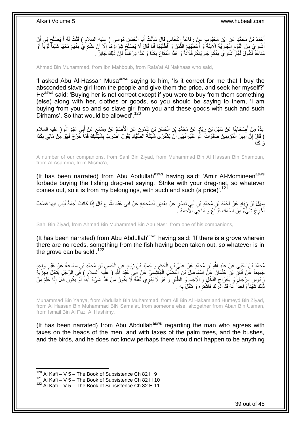أَحْمَدُ بْنُ مُحَمَّدٍ عَنٍ ابْنِ مَجْبُوبِ عَنْ رِفَاعَةَ النَّخَّاسِ قَالَ سَأَلْتُ أَبَا الْحَسَنِ مُوسَى ( عِليهِ السلام ) قُلْتُ لَهُ أَ يَصلُحُ لِي أَنْ<br>يَسْمَدُ بَنُ مُحَمَّدٍ عَنِ ابْنِ مَجْبُوبِ عَنْ رِفَاعَةَ ا ْ َ ْ َ ¦ َ ُ َ ْ ْ أَشْتَرِيَ مِنَ الْقَوْمِ الْجَارِيَةَ الْإِيَّةَ وَ أَعْطَِيَهُمُ الثَّمَنَ وَ أَطْلُبَهَا أَنَا قَالَ لَا يَصْلُحُ شِرَاؤُهَا إِلَّا أَنْ تَشْتَرِي مِنْهُمْ مَعَهَا شَيْئاً نَوْباً أَو **∶** َ َ ِ ُ َ ُ َّ ُ **∣** ِ ْ ِ َ َ ِ مَثَاعَاً فَتَقُولَ لَهُمْ َأَشْتَرِيَ مِنْكُمْ جَارِيَتَكُمْ فُلَانَةً وَ هَذَا الْمَثَاعَ بِكَذَا وَ كَذَا دِرْهَماً فَإِنَّ ذَلِكَ جَائِزٌ . ْ ِ َ ∣ٍ إ ِ

Ahmad Bin Muhammad, from Ibn Mahboub, from Rafa'at Al Nakhaas who said,

'I asked Abu Al-Hassan Musa<sup>asws</sup> saying to him, 'Is it correct for me that I buy the absconded slave girl from the people and give them the price, and seek her myself?' He<sup>asws</sup> said: 'Buying her is not correct except if you were to buy from them something (else) along with her, clothes or goods, so you should be saying to them, 'I am buying from you so and so slave girl from you and these goods with such and such Dirhams'. So that would be allowed'.<sup>120</sup>

ٍ عِدَّةٌ مِنْ أَصِنْحَابِنَا عَنْ سَهْلِ بْنِ زِيَادٍ عَنْ مُحَمَّدِ بْنِ الْحَسَنِ بْنِ شَمُّونٍ عَنِ الْأَصَمِّ عَنْ مِسْمَعٍ عَنْ أَبِي عَبْدِ اللَّهِ ( عليه السلام ْ ِ ِ َ َ ) قَالَ إِنَّ أَمِيرَ الْمُؤْمِنِينَ صَلَوَاتُ اللَّهِ عَلَيْهِ نَهَى أَنْ يُشْتَرَىَ شَبَكَةُ الصَّيَّادِ يَقُولَ اضْرِبْ بِشَبَكَتِكَ فَمَا خَرَجَ فَهُوَ مِنْ مَالِي بِكَذَا َ ِ اُ ْ ِ ا . َو َكذَ

A number of our companions, from Sahl Bin Ziyad, from Muhammad Bin Al Hassan Bin Shamoun, from Al Asamma, from Misma'a,

(It has been narrated) from Abu Abdullah<sup>asws</sup> having said: 'Amir Al-Momineen<sup>asws</sup> forbade buying the fishing drag-net saying, 'Strike with your drag-net, so whatever comes out, so it is from my belongings, with such and such (a price)<sup>'.121</sup>

بَعْلُ بْنُ زِيَادٍ عَنْ أَحْمَدَ بْنِ مُحَمَّدِ بْنِ أَبِي نَصْرٍ عَنْ بَعْضِ أَصْحَابِهِ عَنْ أَبِي عَبْدِ اللَّهِ ع قَالَ إِذَا كَانَتْ أَجَمَةٌ لَيْسَ فِيهَا قَصَبٌ َ **∶** َ َ َ ِ لَ َ أُخْرِ جَ شَيٍّءٌ مِنَ السَّمَكِ فَيُبَاعُ وَ مَا فِي اَلْأَجَمَةِ ۚ **∶** ا<br>ا

Sahl Bin Ziyad, from Ahmad Bin Muhammad Bin Abu Nasr, from one of his companions,

(It has been narrated) from Abu Abdullah<sup>asws</sup> having said: 'If there is a grove wherein there are no reeds, something from the fish having been taken out, so whatever is in the grove can be sold'.<sup>122</sup>

مُحَمَّدُ بْنُ يَحْيَى عَنْ عَبْدِ اللَّهِ بْنِ مُحَمَّدٍ عَنْ عَلِيٍّ بْنِ الْحَكَمِ وَ حُمَيْدُ بْنُ زِيَادٍ عَنِ الْحَسَنِ بْنِ مُحَمَّدِ بْنِ سَمَاعَةَ عَنْ غَيْرِ وَاحِدٍ ْ **ٍ** ِ ْ ِ جَمِيعاً عَنْ أَبَانِ بْنِ عُثْمَانَ عَنْ إِسْمَاعِيلَ بْنِ أَلْفَضْلِ الْهَاشِمِيِّ عَنْ أَبِيَ عَبْدٍ اللَّهِ ( علَيه السلام ) فِي الرَّجُلِ يَتَقَيِّلُ بِجِزْيَةِ ْ ِ ْ َ َ ْ رُءُوسِ الرِّجَالِّ وَ بِّخَرَاجِ النَّخْلِ وَ الْآخَامِ وَ اَلطَّيْرِ وَ هُوَ لَا يَذْرِي لَعَلَّهُ ۚ لَا يَكُونُ هَذَا اللَّهُ أَوْ يَكُونُ قَالَ إِذَا عَلَمَ مِنْ<br>نُزِيدَ جَبَعَ الرَّجَالِ وَ بَحْرَائِجَ النَّحْلِ وَ ا َّ ِ ِ ِ ِ َ ذَلِكَ شَيْئاً وَاحِداً أَنَّهُ قَدْ أَذَّرَكَ فَاشْتَرِهِ وَ تَقَبُّلْ بِهِ . **∶** ِ َ َ

Muhammad Bin Yahya, from Abdullah Bin Muhammad, from Ali Bin Al Hakam and Humeyd Bin Ziyad, from Al Hassan Bin Muhammad BiN Sama'at, from someone else, altogether from Aban Bin Usman, from Ismail Bin Al Fazl Al Hashimy,

(It has been narrated) from Abu Abdullah<sup>asws</sup> regarding the man who agrees with taxes on the heads of the men, and with taxes of the palm trees, and the bushes, and the birds, and he does not know perhaps there would not happen to be anything

 $120$  Al Kafi – V 5 – The Book of Subsistence Ch 82 H 9

 $121$  Al Kafi – V 5 – The Book of Subsistence Ch 82 H 10

 $122$  Al Kafi – V 5 – The Book of Subsistence Ch 82 H 11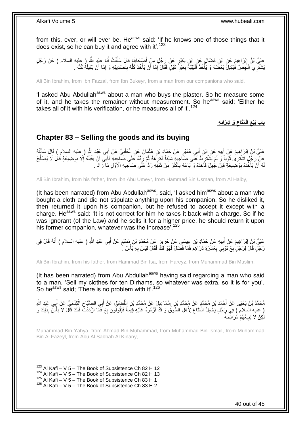from this, ever, or will ever be. He<sup>asws</sup> said: 'If he knows one of those things that it does exist, so he can buy it and agree with it'.<sup>123</sup>

عَلِيُّ بْنُ إِبْرَاهِيمَ عَنِ ابْنِ فَضَّالٍ عَنِ ابْنِ بُكَيْرٍ عَنْ رَجُلٍ مِنْ أَصْحَابِنَا قَالَ سَأَلْتُ أَبَا عَيْدٍ اللَّهِ ( عِليه السلام ) عَنْ رَجُلٍ َ ْ َ ِ َ َبَشْتَرِ ي الْخِصَّ فَيَكِيلُ بَعْضَهُ وَ يَأْخُذُ اَلْبَقِيَّةً بِغَيْرِ ۖ كَيْلٍ فَقَالَ إِمَّا أَنْ يَأْخُذَ كَلَّهُ بِتَصْدِيقِهِ وَ إِمَّا أَنْ يَكِيلَهُ كُلَّهُ .  $\frac{1}{2}$ َّ ْ َ ِ ِ ِ :<br>ا ْ ْ َّ َ ِ

Ali Bin Ibrahim, from Ibn Fazzal, from Ibn Bukeyr, from a man from our companions who said,

'I asked Abu Abdullah<sup>asws</sup> about a man who buys the plaster. So he measure some of it, and he takes the remainer without measurement. So he<sup>asws</sup> said: 'Either he takes all of it with his verification, or he measures all of it'.<sup>124</sup>

> **َو ِشَرائِ ِه َمَتاع الْ باب َبْيع ِ ِ**

### <span id="page-39-0"></span>**Chapter 83 – Selling the goods and its buying**

عَلِيُّ بْنُ إِبْرَاهِيمَ عَنْ أَبِيهِ عَنِ إِبْنِ أَبِي عُمَيْرٍ عَنْ حَمَّادٍ بْنِ عُثْمَانَ عَنِ الْحَلَبِيِّ عَنْ أَبِي عَبْدِ اللَّهِ ( عليه السلام ) قَالَ سَأَلْتُهُ ِ ْ ْ َ **!** َ ِ ْ َ َ عَلْ رَجُلٍۢ النُّنْزَىٰ ثَوْباً وَ لَمْ يَشْتَرِظُ عَلَى صَاحِبِهِ شَيْئاً فَكَرِ َههُ ثُمَّ رَدَّهُ عَلَى صَاحِبِهِ فَأَبَى أَنْ يَقْبَلَهُ إِلَّا بِوَضِيعَةٍ قُالَ لَا يَصْلُحُ َ َ **∶** ا دیکھیے **ٍ** ¦ ِ َ ُ ِ ِ لَهُ أَنْ يَأْخُذَهُ بِوَصْبِعَةٍ فَإِنْ جَٰهِلَ فَأَخَذَهُ وَ بَاعَهُ بِأَكْثَرَ مِنْ ثَمَنِهِ رَدَّ عَلَى صَاحِبِهِ الْأَوَّلِ مَا زَادَ . **∣** ْ َ **∶** َ َ َ ِ َ ِ ِ

Ali Bin Ibrahim, from his father, from Ibn Abu Umeyr, from Hammad Bin Usman, from Al Halby,

(It has been narrated) from Abu Abdullah<sup>asws</sup>, said, 'I asked him<sup>asws</sup> about a man who bought a cloth and did not stipulate anything upon his companion. So he disliked it, then returned it upon his companion, but he refused to accept it except with a charge. He<sup>asws</sup> said: 'It is not correct for him he takes it back with a charge. So if he was ignorant (of the Law) and he sells it for a higher price, he should return it upon his former companion, whatever was the increase<sup>'.125</sup>

عَلِيُّ بْنُ إِبْرَاهِيمَ عَنْ أَبِيهِ عَنْ حَمَّادِ بْنِ عِيسَى عَنْ حَرِيزٍ عَنْ مُحَمَّدِ بْنِ مُسْلِمٍ عَنْ أَبِي عَبْدِ اللَّهِ ( عليه السلام ) أَنَّهُ قَالَ فِي ِ ِ َ ِ َ َ م رَجُلٍ قَالَ لِرَجُلٍ بِعْ ثَوْبِي بِعَشَرَةِ دَرَاهِمَ فَمَا فَضَلَ فَهُوَ لَكً فَقَالَ لَيْسَ بِهِ بَأْسٌ ۚ أ **ٔ** ِ **∶** َ ِ

Ali Bin Ibrahim, from his father, from Hammad Bin Isa, from Hareyz, from Muhammad Bin Muslim,

(It has been narrated) from Abu Abdullah<sup>asws</sup> having said regarding a man who said to a man, 'Sell my clothes for ten Dirhams, so whatever was extra, so it is for you'. So he<sup>asws</sup> said: 'There is no problem with it'.<sup>126</sup>

مُحَمَّدُ بْنُ يَحْيَى عَنْ أَحْمَدَ بْنِ مُحَمَّدٍ عَنْ مُحَمَّدِ بْنِ إِسْمَاعِيلَ عَنْ مُحَمَّدِ بْنِ الْفُضَبْلِ عَنْ أَبِي الصَّبَّاحِ الْكِنَانِيِّ عَنْ أَبِي عَبْدِ الثَّهِ ِ َ ْ ِ َ َ ْ ِ ْ عِلْيِه الْسِلامِ ۖ فِي رَِجُلٍ يَخْمِلُ الْمَتَاعَ لِأَهْلِ السُّوقِ وَ قَدْ قَوَّمُوهُ عَلَيْهِ قِيمَةً فَيَقُولُونَ بِعْ فَمَّا ازْدَدْتَّ فَلَكَ قَالَ لَا بَأْسَ بِذَلِكَ وَ ْ ا<br>أ ِ لَ َكِنْ لَا يَبِيعُهُمْ مُْرَابَحَةً . **∣** لَ

Muhammad Bin Yahya, from Ahmad Bin Muhammad, from Muhammad Bin Ismail, from Muhammad Bin Al Fazeyl, from Abu Al Sabbah Al Kinany,

1  $123$  Al Kafi – V 5 – The Book of Subsistence Ch 82 H 12

 $124$  Al Kafi – V 5 – The Book of Subsistence Ch 82 H 13

 $^{125}$  Al Kafi – V 5 – The Book of Subsistence Ch 83 H 1

 $126$  Al Kafi – V 5 – The Book of Subsistence Ch 83 H 2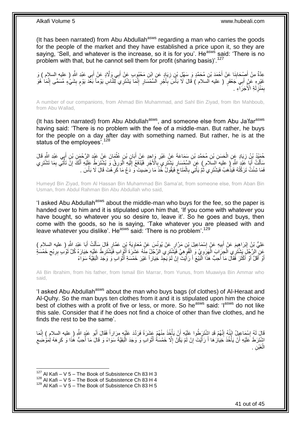(It has been narrated) from Abu Abdullah $a<sup>asws</sup>$  regarding a man who carries the goods for the people of the market and they have established a price upon it, so they are saying, 'Sell, and whatever is the increase, so it is for you'. He<sup>asws</sup> said: 'There is no problem with that, but he cannot sell them for profit (sharing basis)<sup>'.127</sup>

َ عِدَّةٌ مِنْ أُصِْحَابِنَا عَنْ أَحْمَدَ بْنِ مُحَمَّدٍ وَ سَهْلِ بْنٍ زِيَادٍ عَنِ ابْنِ مَحْبُوبٍ عَنْ أَبِي وَلَّادٍ عَنْ أَبِي عَبْدِ اللَّهِ ( عليه السلام ) وَ َ ِ َ **∣** غَيْرِهِ عَنْ أَبِي جَعْفَرٍ ( عليه السلام ) قَالَ لَا بَأْسَ بِأَجْرِ السِّمْسَارِ إِنَّمَا يَشْتَرِيَ لِلنَّاسِ يَوْماً بَغْدَ يَوْمٍ بِشَيْءٍ مُسَمًّى إِنَّمَا هُوَ َ **∶** ِ م ِ ِ **∶** َ ِ :<br>أ ِ بِمَنْزِّلَةِ الْأَجَرَاءِ لَ ِ ِ

A number of our companions, from Ahmad Bin Muhammad, and Sahl Bin Ziyad, from Ibn Mahboub, from Abu Wallad,

(It has been narrated) from Abu Abdullah<sup>asws</sup>, and someone else from Abu Ja'far<sup>asws</sup> having said: 'There is no problem with the fee of a middle-man. But rather, he buys for the people on a day after day with something named. But rather, he is at the status of the employees<sup>'.128</sup>

حُمَّيْدُ بْنُ زِيَادٍ عَنِ الْحَسَنِ بْنِ مُحَمَّدِ بْنِ سَمَاعَةَ عَنْ غَيْرِ وَإِحِدٍ عَنْ أَبَانٍ بْنِ عُثْمَانَ عَنْ عَبْدِ الرَّحْمَنِ بْنِ أَبِي عَبْدِ الثَّهِ قَالَ **ٔ** َ ِ ْ ِ َ مَأَلْتُ أَبَا عَنِّدِ اللَّهِ ( عليه السلام ) عَنِ السِّمْسَارِ يَشْتَرِي بِالْأَجْرِ فَيُذْفَعُ إِلَيْهِ الْوَرِقُ وَ يُشْتَرَكُ عَلَيْهِ أَنَّكَ إِنَّ تَأْتِي بِمَا تَشْتَرِي<br>سَلَّفَ أَبَا عَنْدُ اللَّهِ ( عليه السلام َ ْ ِ **ٔ** ِ َ ِ ْ لَ  $\frac{1}{2}$ ِ ِ **∶** ِ فَمَا شِئْتُ تَرَكْتُهُ فَيَذْهَبُ فَيَشْتَرِي ْثُمَّ يَأْتِي بِالْمَثَاعِ فَيَقُولُ خُذْ مَا رَحَنِيتَ ۖ وَ دَعْ مَا كَرِ هْتَ قَالَ لَا بَأْسَ . **∶ ٔ** ِ ْ **∶** ْ ُ ْ ْ

Humeyd Bin Ziyad, from Al Hassan Bin Muhammad Bin Sama'at, from someone else, from Aban Bin Usman, from Abdul Rahman Bin Abu Abdullah who said,

'I asked Abu Abdullah<sup>asws</sup> about the middle-man who buys for the fee, so the paper is handed over to him and it is stipulated upon him that, 'If you come with whatever you have bought, so whatever you so desire to, leave it'. So he goes and buys, then come with the goods, so he is saying, 'Take whatever you are pleased with and leave whatever you dislike'. He<sup>asws</sup> said: 'There is no problem'.<sup>129</sup>

َ عَلِيُّ بْنُ إِبْرَاهِيمَ عَنْ أَبِيهِ عَنْ إِسْمَاعِيلَ بْنِ مَرَّارٍ عَنْ يُونُسَ عَنْ مُعَاوِيَةَ بْنِ عَقَارٍ قَالَ سَأَلْتُ أَبَا عَبْدِ اللَّهِ ( عليه السلام )<br>- يَبَيْنُ إِبْرَاهِيمَ عَنْ أَبِيهِ عَنْ إِسْمَاعِيلَ ب ِ ِ **!** َ ِ َ ْ عَنِ الرَّجُلَ بَشْتَرِي الْجِرَابَ الْهَرَوِيَّ وَ الْقُوهِيَّ فَيَشْتَرِي الرَّجُلُ مِنْهُ عَشَرَةَ أَثْوَابِ فَيَشْتَرِطُ عَلَيْهِ خِيَارَهُ كُلَّ تَوْبِ بِرِبْحِ خَمْسَةِ ْ ِ َ **∶ ٔ** َ ْ ِ  $\zeta$ أَوْ أَقَلَّ أَوْ أَكْثَرَ فَقَالَ مَا أُحِبُّ هَذَا اَلْنَيْعَ أَ رَأَيْتَ إِنْ لَمْ يَجِدْ خِيَاراً غَيْرَ خَمْسَةِ أَثْوَابٍ وَ وَجَدَ الْبَقِيَّةَ سَوَاءً ِ َ َ :<br>ا ا<br>ا َ َ َ َ ْ <u>ٔ</u> َ

Ali Bin Ibrahim, from his father, from Ismail Bin Marrar, from Yunus, from Muawiya Bin Ammar who said,

'I asked Abu Abdullah<sup>asws</sup> about the man who buys bags (of clothes) of Al-Heraat and Al-Quhy. So the man buys ten clothes from it and it is stipulated upon him the choice best of clothes with a profit of five or less, or more. So he<sup>asws</sup> said: 'I<sup>asws</sup> do not like this sale. Consider that if he does not find a choice of other than five clothes, and he finds the rest to be the same'.

قَالَ لَمُهِ إِسْمَاعِيلُ ابْنُهُ إِنَّهُمْ قَدِ اشْتَرَطُوا عَلَيْهِ أَنْ يَأْخُذَ مِنْهُمْ عَشَرَةً فَرَدَّدَ عَلَيْهِ مِرَاراً فَقَالَ أَبُو عَبْدٍ اللَّهِ ( عليه السلام ) إِنَّمَا ا<br>المسلمان<br>المسلمان َ ِ ِ ِ َ ِ اشْتَرَطَ عَلَيْهِ أَنْ يَأْخُذَ خِيَارَهَا أَ رَأَيْتَ إِنْ لَمْ يَكُنْ إِلَّا خَمْسَةُ أَثْوَابٍ وَ وَجَدَ الْبَقِيَّةَ سَوَاءً وَ قَالَ مَا أُحِبُّ هَٰذَا وَ كَرِهَهُ لِمَوْضَعِ َ َ ا<br>:<br>. ز<br>اړ ِ ِ ْ ْ َ ِ الْغَبْنِ . ْ

 $127$  Al Kafi – V 5 – The Book of Subsistence Ch 83 H 3

 $^{128}$  Al Kafi – V 5 – The Book of Subsistence Ch 83 H 4

 $129$  Al Kafi – V 5 – The Book of Subsistence Ch 83 H 5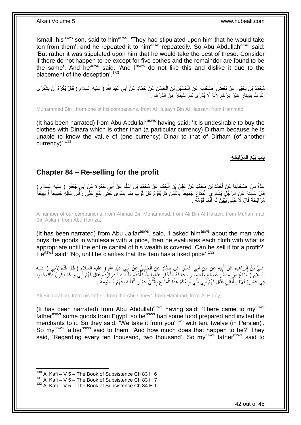Ismail, his<sup>asws</sup> son, said to him<sup>asws</sup>, 'They had stipulated upon him that he would take ten from them', and he repeated it to him<sup>asws</sup> repeatedly. So Abu Abdullah<sup>asws</sup> said: 'But rather it was stipulated upon him that he would take the best of these. Consider if there do not happen to be except for five cothes and the remainder are found to be the same'. And he<sup>asws</sup> said: 'And l<sup>asws</sup> do not like this and dislike it due to the placement of the deception'.<sup>130</sup>

يُحِمَّدُ بْنُ يَحْيَى عَنْ بَعْضِ أَصْبِحَابِهِ عَنِ الْحُسَيْنِ بْنِ الْحَسَنِ عَنْ حَمَّادٍ عَنْ أَبِي عَبْدِ اللَّهِ ( عليه السلام ) قَالَ يُكْرَهُ أَنْ يُشْتَرَى َ ْ ْ ِ َ َ الثَّوْبُ بِدِّينَارٍ ۚ غَيْرَ ۚ دِرْ هَمٍ ۗ لِأَنَّهُ لَا يُذَرَى كَمِ الدِّينَاَرُ مِنَ الدِّرْ هَمِ ۚ . **∣** َّ ِ ِ ٍ

Muhammad Bin , from one of his companions, from Al Husayn Bin Al Hassan, from Hammad,

(It has been narrated) from Abu Abdullah<sup>asws</sup> having said: 'It is undesirable to buy the clothes with Dinara which is other than (a particular currency) Dirham because he is unable to know the value of (one currency) Dinar to that of Dirham (of another currency)'.<sup>131</sup>

> **ُم َراَب َح ِة الْ باب َبْيع ِ**

### <span id="page-41-0"></span>**Chapter 84 – Re-selling for the profit**

عِدَّةٌ مِنْ أَصْحَابِذَا عَنْ أَحْمَدَ بْنِ مُحَمَّدٍ عَنْ عَلِيٍّ بِنِ الْحَكَمِ عَنْ مُحَمَّدٍ بْنِ أَسْلَمَ عَنْ أَبِي حَمْزَةَ عَنْ أَبِي جَعْفَرٍ ( عليه السلام )<br>ِ َ َ َ **∶** ْ **∣** َ قَالَ سَأَلْتُهُ عَنِ الرَّجُلِ يَشْتَرِي لِلْمَثَاعُ جَمِيعاً بِّالثَّمَنِ ثُمَّ يُفَقِّمُ كُلَّ ثَوْبِ بِمَا يَسْوَى خَثَّى يَقَعَ عَلَى رَأَّسِ مَأَلِهِ جَمِيعاً أَ يَبِيعُهُ<br>في منظمة الصحيح المُحتَّى المُنتَابِ الْمَث َ ٔ.<br>ـ َّ ِ ْ ֺ֧֦֦֧֦֦֖֦֦֦֖֦֧֦֪֦֧֦֪֪֦֧֦֪֦֪֦֪֦֧֦֪֦֧֦֪֦֧֦֧֦֪֪֦֧֦֪֪֦֧֦֧֦֧֪֝֟֟֟֟֟֟֟֟֟֟֟֟֟֟֟֟֟֟֟֟֟֬֟֟֓֟֟֟֓֞֟֟֟֓֞֟֟֟֟֩֓֞֟֟֓֞֟֟֟֟֟֟֟֟֝ ِ َ ة<br>أ ِ مُرَ ابَحَةً قَالَ لَا َحَتَّى يُبَيِّنَ لَهُ أَنَّمَا قَوَّمَهُ . اُ

A number of our companions, from Ahmad Bin Muhammad, from Ali Bin Al Hakam, from Muhammad Bin Aslam, from Abu Hamza,

(It has been narrated) from Abu Ja'far<sup>asws</sup>, said, 'I asked him<sup>asws</sup> about the man who buys the goods in wholesale with a price, then he evaluates each cloth with what is appropriate until the entire capital of his wealth is covered. Can he sell it for a profit?' He<sup>asws</sup> said: 'No, until he clarifies that the item has a fixed price'.<sup>132</sup>

عَلِيُّ بْنُ إِبْرَاهِيمَ عَنْ أَبِيهِ عَنِ ابْنِ أَبِي عُمَيْرٍ عَنْ حَمَّادٍ عَنِ الْحَلَبِيِّ عَنْ أَبِي عَبْدِ اللَّهِ ( عليه السلام ) قَالَ قُدِّمَ لِأَبِي ( عليه َ **∶** ْ َ **!** َ ِ ِ السلّام ِ) مَثَاعٌ مِنْ مِصنٌرٍ فَصَنَّعَ طَّعَاماً وَ دَعًّا لَهُ التُّجَّارَ فَقَالُوا إِنَّا نَأْخُذُهُ مِنْكَ بَدَهْ دَوَازْدُهُ فَقَالَ لَهُمْ أَبِي وَ كَمْ يَكُونُ ذَٰلِكَ قَالُوا ِ ة<br>أ ِ ا<br>ا َ لَ فِي عَشْرَةِ آلَافٌ أَلْفَيْنِ فَقَّالَ لَهُمْ أَبِي إِنِّي أَبِيعُكُمْ هَذَا الْمَتَاعَ بِاثْنَيْ عَشَرَ أَلْفاً فَبَاعَهُمْ مُسَاوَمَةً . ْ **!** َ ِ َ ْ َ ْ َ **ٔ** ِ

Ali Bin Ibrahim, from his father, from Ibn Abu Umeyr, from Hammad, from Al Halby,

(It has been narrated) from Abu Abdullah<sup>asws</sup> having said: 'There came to my<sup>asws</sup> fatherasws some goods from Egypt, so he<sup>asws</sup> had some food prepared and invited the merchants to it. So they said, 'We take it from you<sup>asws</sup> with ten, twelve (in Persian)'. So my<sup>asws</sup> father<sup>asws</sup> said to them: 'And how much does that happen to be?' They said, 'Regarding every ten thousand, two thousand'. So my<sup>asws</sup> father<sup>asws</sup> said to

 $130$  Al Kafi – V 5 – The Book of Subsistence Ch 83 H 6

 $131$  Al Kafi – V  $5$  – The Book of Subsistence Ch 83 H 7

 $132$  Al Kafi – V 5 – The Book of Subsistence Ch 84 H 1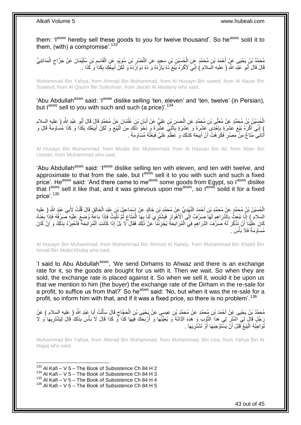them: 'I<sup>asws</sup> hereby sell these goods to you for twelve thousand'. So he<sup>asws</sup> sold it to them, (with) a compromise'. $133$ 

ِمُحَمَّدُ بْنُ يَحْيَى عَنٍّ أَحْمَدَ بْنِ مُحَمَّدٍ عِنِ الْجُسَيْنِ بْنِ سَعِيدٍ عَنِ النَّصْرِ بْنِ سُوَيْدٍ عَنِ الْقَاسِمِ بْنِ سُلَيْمَانَ عَنْ جَرَّاحٍ الْمَدَائِنِيِّ ِ ْ ْ ٍ ِ ْ قَالَ قَالَ أَبُو عَلَّدِ اللَّهِ ( عليه السلام ) إِنِّيَ لَأَكْرَهُ بَيْعَ دَهْ يَازُدَهْ وَ دَهْ دَوَازَّدَهْ وَ لَكِنْ أَبِيعُكَ بِكَذَا وَ كَذَا  $\,$ ِ َ ِ َ ِ

Muhammad Bin Yahya, from Ahmad Bin Muhammad, from Al Husayn Bin saeed, from Al Nazar Bin Suweyd, from Al Qasim Bin Suleyman, from Jarrah Al Madainy who said,

'Abu Abdullah<sup>asws</sup> said: 'I<sup>asws</sup> dislike selling 'ten, eleven' and 'ten, twelve' (in Persian), but  $I^{assws}$  sell to you with such and such (a price)'.<sup>134</sup>

الْحُسَيْنُ بْنُ مُحَمَّدٍ عَنْ مُعَلَّى بْنِ مُحَمَّدٍ عَنِ الْحَسَنِ بْنِ عَلِيٍّ عَنْ أَبَانِ بْنِ عُثْمَانَ عَنْ مُحَمَّدٍ قَإِلَ قَالَ أَبُو عَبْدِ اللَّهِ ( عليه السلام ْ َ ْ َ ْ ) إِنِّي أَكْرَهُ بَيْعَ عَشَرَةٍ بِإِحْدَى َعَشْرَةٍ فَ عَشْرَةٍ بِاَثْنَيْ عَشْرَةَ وَ نَحْوَ ذَلِكَ مِنَ الْبَيْعِ وَ لَكِنْ أَبِيعُكَ بِكَذَا وَ كَذَا مُسَاوَمَةً قَالَ وَ **∶** יֲ<br>י ِ َ ֺ֧֖ׅ֧ׅ֧֧֚֚֚֚֚֚֚֚֚֚֚֚֚֚֝֝֬֓֡֡֓֡֟֡֡֡֡֡֡֬֓֡֟֓֡֟֓֡֟֓֡֡֡֬֩֓֓֩ ِ ِ َ ِ ْ أَتَانِي ۖ مَتَاعٌ مِنْ مِصْرٍ ۖ فَكَرِ هُتُ أَنْ أَبِيعَهُ كَذَلِكَ وَ عَظُمَّ عَلَيَّ فَبِعْثُهُ مُسَاوَمَةً ۚ ِ ِ َ ِ ا<br>ا

Al Husayn Bin Muhammad, from Moalla Bin Muhammad, from Al Hassan Bin Ali, from Aban Bin Usman, from Muhammad who said,

'Abu Abdullah<sup>asws</sup> said: 'I<sup>asws</sup> dislike selling ten with eleven, and ten with twelve, and approximate to that from the sale, but  $I^{as\tilde{w}s}$  sell it to you with such and such a fixed price'. He<sup>asws</sup> said: 'And there came to me<sup>asws</sup> some goods from Egypt, so l<sup>asws</sup> dislike that l<sup>asws</sup> sell it like that, and it was grievous upon me<sup>asws</sup>, so l<sup>asws</sup> soild it for a fixed price'.<sup>135</sup>

لْحُسَيْنُ بْنُ مُحَمَّدٍ عَنْ مُحَمَّدٍ بْنِ أَحْمَدَ النَّهْدِيِّ عَنْ مُحَمَّدٍ بْنِ خَالِدٍ عَنْ إِسْمَاعِيلَ بْنِ عَبْدِ الْخَالِقِ قَالَ قُلْتُ لِأَبِي عَبْدِ اللَّهِ رِ عليه<br>الْحُسَيْنُ بْنُ مُحَمَّدٍ عَنْ مُحَمَّد ْ ْ ِ ِ السلام ) إِنَّا نَبْعَثُ بِالْذَرَاهِمِ لَمَا ۖ صَرْفٌ إِلَى ٱلْأَهْوَازِ فَيَشْتَرِي لَنَا بِهَا الْمَتَاعَ ثُمَّ نَلْبَثُ فَإِذَا بَاعَهُ وُضِعَ عَلَيْهِ ۖ صَرْفُهُ فَإِذَا بِعْنَاهُ ْ ُ ْ ِ ِ י<br>י لَ ِ ِ ֺ֧֖ׅ֧ׅ֧֧֚֚֚֚֚֚֚֚֚֚֚֚֚֚֝֝֬֓֡֡֓֡֟֡֡֡֡֡֡֬֓֡֟֓֡֟֓֡֟֓֡֡֡֬֩֓֓֩ لَ كَانَ عَٰلَيْْنَا ۖ أَنْ نَذْكُرَ لَهُ صَرُّفَ الدَّرَاهِمِ فِي الْمُرَابَحَةِ يُجْزِئُنَا ۚ عَنْ ذَلِكَ فَقَالَ لَا بَلْ إِذَا كَانَتِ الْمُرَابَحَةُ فَأَخْبِرْهُ بِذَلِكَ وَ إِنْ كَانَ **ٍ** ْ ِ **ٔ** َ ِ ِ َ ْ مُسَاوَمَةً فَلَا بَأْسَ . ،<br>ا

Al Husayn Bin Muhammad, from Muhammad Bin Ahmad Al Nahdy, from Muhammad Bin Khalid Bin Ismail Bin Abdul Khaliq who said,

'I said to Abu Abdullah<sup>asws</sup>, 'We send Dirhams to Ahwaz and there is an exchange rate for it, so the goods are bought for us with it. Then we wait. So when they are sold, the exchange rate is placed against it. So when we sell it, would it be upon us that we mention to him (the buyer) the exchange rate of the Dirham in the re-sale for a profit, to suffice us from that?' So he<sup>asws</sup> said: 'No, but when it was the re-sale for a profit, so inform him with that, and if it was a fixed price, so there is no problem'.<sup>136</sup>

َ مُحَمَّدُ بْنُ يَحْيَى عَنْ أَحْمَدَ بْنِ مُحَمَّدٍ عَنْ مُحَمَّدٍ بْنِ عِيسَى عَنْ يَحْيَى بْنِ الْحَجَّاجِ قَالَِ سَأَلْتُ أَبَا عَبْدِ اللَّهِ ( عليه السلام ) عَنْ ْ َ ِ ْ رَجُٰلٍ قَالَ لِيَ اشْتَرِ لِي هَذَا الثَّوْبَ وَ هَذِهِ الدَّابَّةَ وَ يُعَيَّنُهَا وَ أَرْبِحَكَ فِيهَا كَذَا فَو كَذَا قَالَ لَا بَأْسَ بِذَلِكَ قَالَ لَيَشْتَرِيهَا وَ لَا<br>رَجُلٍ قَالَ لِيَن نَبِي ِ اُ َّ ِ ِ ْ ُّتُواجِّبْهُ الْبَيْعَ قَبْلَ أَنَّ يَسْنَوْجِبَهَا أَوْ تَشْتَرِيَهَا . َ َ :<br>ا ِ

Muhammad Bin Yahya, from Ahmad Bin Muhammad, from Muhammad, Bin Usa, from Yahya Bin Al Haijaj who said.

1  $133$  Al Kafi – V 5 – The Book of Subsistence Ch 84 H 2

- $134$  Al Kafi V 5 The Book of Subsistence Ch 84 H 3
- $135$  Al Kafi V 5 The Book of Subsistence Ch 84 H 4
- $136$  Al Kafi V 5 The Book of Subsistence Ch 84 H 5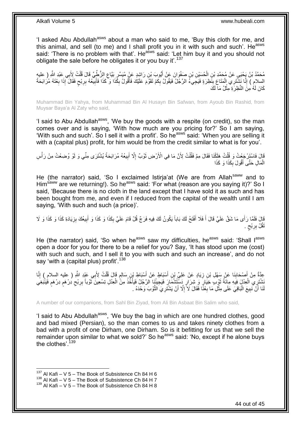'I asked Abu Abdullah<sup>asws</sup> about a man who said to me, 'Buy this cloth for me, and this animal, and sell (to me) and I shall profit you in it with such and such'. He<sup>asws</sup> said: 'There is no problem with that'. He<sup>asws</sup> said: 'Let him buy it and you should not obligate the sale before he obligates it or you buy it'.<sup>137</sup>

مُحَمَّدُ بْنُ يَحْيَي عَنْ مُحَمَّدِ بْنِ الْحُسَيْنِ بْنِ صَفْوَانَ عَنْ أَيُّوبَ بْنِ رَاشِدٍ عَنْ مُيَسِّرٍ بَيَّاعِ الزُّطِّيِّ قَالَ قُلْتُ لِأَبِي عَبْدِ اللَّهِ ( عليه<br>مُحَمَّدُ بْنُ يَحْيَي عَنْ مُحَمَّدِ بْنِ الْ َ ْ ْ ِ السلامِ ) إِنَّا نَشْتَرِي الْمَتَاعَ بِنَظِرَةٍ فَيَجِيءُ الرَّجُلُ فَيَقُولُ بِكَمْ تَقَوَّمَ عَلَيْكَ فَأَقُولُ بِكَذَا وَكَّكَذَا فَأُبْيَعُهُ بِرِبْحٍ فَقَالَ آإِذَا بِعْتَهُ مُرَابَحَةً **!** ْ ֺׅׅ֧֧֦֧֧֧֧ׅ֧֧ׅ֧ׅ֧ׅ֧ׅ֧֧ׅ֧ׅ֧֧ׅ֧ׅ֧֧֧֧֚֚֚֚֚֚֚֚֚֚֚֚֚֚֚֚֚֚֚֚֚֚֚֚֚֚֚֝֡֡֡֡֡֡֡֝֡֓֡֝֓֓֡֓֡֬֓֝֬֡֬֝֬֝֬֝֬ ِ ٍ ِ ِ اً ِ َ ِ ِ كَانَ لَهُ مِنَ النَّظِرَةِ مِثْلُ مَا لَكَ ْ

Muhammad Bin Yahya, from Muhammad Bin Al Husayn Bin Safwan, from Ayoub Bin Rashid, from Muysar Baya'a Al Zaty who said,

'I said to Abu Abdullah<sup>asws</sup>, 'We buy the goods with a respite (on credit), so the man comes over and is saying, 'With how much are you pricing for?' So I am saying, 'With such and such'. So I sell it with a profit'. So he<sup>asws</sup> said: 'When you are selling it with a (capital plus) profit, for him would be from the credit similar to what is for you'.

قَالَ فَاسْتَزْجَعْتُ وَ قُلْتُ هَلَكْنَا فَقَالَ مِمَّ فَقُلْتُ لِأَنَّ مَا فِي الْأَرْضِ ثَوْبٌ إِلَّا أَبِيعُهُ مُرَابَحَةً يُشْتَرَى مِنِّي وَ لَوْ وُضِعْتُ مِنْ رَأْسِ ِ َ ِ َ ْ ْ **ٔ** الْمَالِ حَتَّى أَقُولَ بِكَذَا وَ كَذَا ِ َ ْ

He (the narrator) said, 'So I exclaimed Istirja'at (We are from Allah<sup>saww</sup> and to Him<sup>saww</sup> are we returning!). So he<sup>asws</sup> said: 'For what (reason are you saying it)?' So I said, 'Because there is no cloth in the land except that I have sold it as such and has been bought from me, and even if I reduced from the capital of the wealth until I am saying, 'With such and such (a price)'.

قَالَ فَلَمَّا رَأَى مَا شَقَّ عَلَيَّ قَالَ أَ فَلَا أَفْتَحُ لَكَ بَاباً يَكُونُ لَكَ فِيهِ فَرَجٌ قُلْ قَامَ عَلَيَّ بِكَذَا وَ كَذَا وَ لَلَا وَ كَذَا وَ لَا<br>ُ ِ َ َ َ ِ ِ تَقُلْ بِرِبْحٍ . ٍ ِ

He (the narrator) said, 'So when he<sup>asws</sup> saw my difficulties, he<sup>asws</sup> said: 'Shall I<sup>asws</sup> open a door for you for there to be a relief for you? Say, 'It has stood upon me (cost) with such and such, and I sell it to you with such and such an increase', and do not say 'with a (capital plus) profit'.<sup>138</sup>

ِ عِدَّةٌ مِنْ أَصْحَابِذَا عَنْ سَهْلِ بْنِ زِيَادٍ عَنْ عَلِيِّ بْنِ أَسْنَاطٍ عَنْ أَسْبَاطٍ بْنِ سَالِمٍ قَالَ قُلْتُ لِأَبِي عَبْدِ اللَّهِ ( عليه السلامِ ) إِنَّا ْ ٍ َ َ ِ **∣** َ َّ ِ ْتَنْشَرِي الْعِنْلَ فِيَهِ مِائَةُ تَوْبِ خِيَارٍ وَ شِرَارٍ دَسَّتْتُنُّمَارَ فَيَجِيئُنَا الرَّجُلُ فَيَأْخُذُ مِنَّ الْعِنْلِ تِسْعِينَ تَوْباً بِرِبْحِ دِرْهَمٍ فُيَنْبَغِيَ<br>ِ ْ ا<br>أ رو<br>ا ْ ٍ ֧֖֧֖֖֖֖֖֧֖֖֖֖֧֧֧֧֧֧֧֧֧֧֧֧֧֧֧֧֧֚֚֚֚֚֚֚֚֚֚֚֝֝֟֓֝֓֝֓֝֬֟֓֝֬֟֓֝֬֝֓֝֓֝֬֝֓֝֬֝֬֝֓֝֬֝֬֓֝֬֝֬֝֬ ِ ِ َ لَنَا أَنْ نَبِيعَ الْبَاقِيَ عَلَى مِثْلِ مَا بِعْنًا فَقَالَ لَا َإِلَّا أَنْ يَشْتَرِيَ النَّوْبَ وَحْدَهُ . **∶** ا<br>ا :<br>ا **∣** َّ ِ َ ِ

A number of our companions, from Sahl Bin Ziyad, from Ali Bin Asbaat Bin Salim who said,

'I said to Abu Abdullah<sup>asws</sup>, 'We buy the bag in which are one hundred clothes, good and bad mixed (Persian), so the man comes to us and takes ninety clothes from a bad with a profit of one Dirham, one Dirham. So is it befitting for us that we sell the remainder upon similar to what we sold?' So he<sup>asws</sup> said: 'No, except if he alone buys the clothes'.<sup>139</sup>

 $137$  Al Kafi – V 5 – The Book of Subsistence Ch 84 H 6

 $138$  Al Kafi – V 5 – The Book of Subsistence Ch 84 H 7

 $139$  Al Kafi – V 5 – The Book of Subsistence Ch 84 H 8